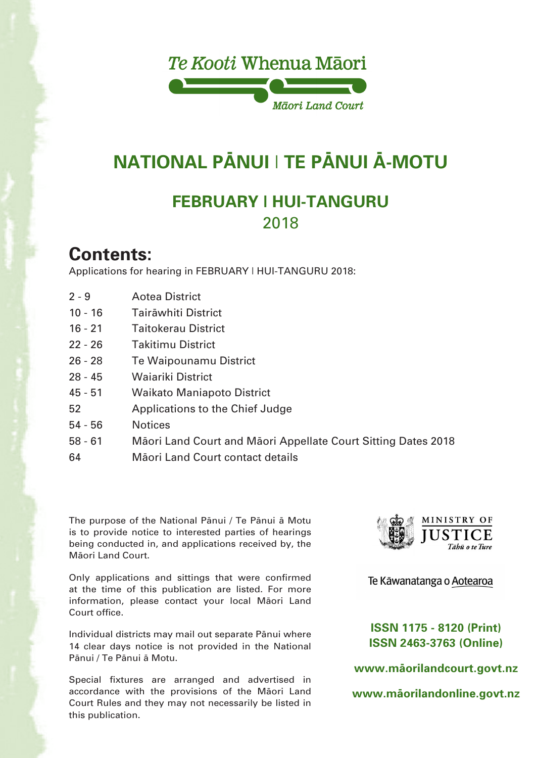

# **NATIONAL PÄNUI** | **TE PÄNUI Ä-MOTU**

# **FEBRUARY | HUI-TANGURU** 2018

# **Contents:**

Applications for hearing in FEBRUARY | HUI-TANGURU 2018:

- 2 9 Aotea District
- 10 16 Tairäwhiti District
- 16 21 Taitokerau District
- 22 26 Takitimu District
- 26 28 Te Waipounamu District
- 28 45 Waiariki District
- 45 51 Waikato Maniapoto District
- 52 Applications to the Chief Judge
- 54 56 Notices
- 58 61 Mäori Land Court and Mäori Appellate Court Sitting Dates 2018
- 64 Mäori Land Court contact details

The purpose of the National Pänui / Te Pänui ä Motu is to provide notice to interested parties of hearings being conducted in, and applications received by, the Mäori Land Court.

Only applications and sittings that were confirmed at the time of this publication are listed. For more information, please contact your local Mäori Land Court office.

Individual districts may mail out separate Pänui where 14 clear days notice is not provided in the National Pänui / Te Pänui ä Motu.

Special fixtures are arranged and advertised in accordance with the provisions of the Mäori Land Court Rules and they may not necessarily be listed in this publication.



Te Kāwanatanga o Aotearoa

**ISSN 1175 - 8120 (Print) ISSN 2463-3763 (Online)**

**www.mäorilandcourt.govt.nz**

**www.mäorilandonline.govt.nz**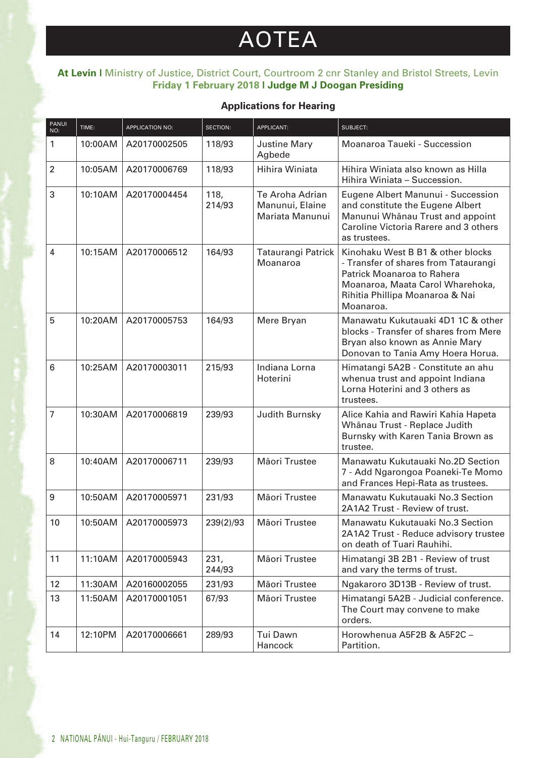# AOTEA

## **At Levin |** Ministry of Justice, District Court, Courtroom 2 cnr Stanley and Bristol Streets, Levin **Friday 1 February 2018 | Judge M J Doogan Presiding**

| <b>PANUI</b><br>NO: | TIME:   | APPLICATION NO:        | SECTION:       | APPLICANT:                                            | SUBJECT:                                                                                                                                                                                    |
|---------------------|---------|------------------------|----------------|-------------------------------------------------------|---------------------------------------------------------------------------------------------------------------------------------------------------------------------------------------------|
| 1                   | 10:00AM | A20170002505           | 118/93         | <b>Justine Mary</b><br>Agbede                         | Moanaroa Taueki - Succession                                                                                                                                                                |
| $\overline{2}$      | 10:05AM | A20170006769           | 118/93         | Hihira Winiata                                        | Hihira Winiata also known as Hilla<br>Hihira Winiata - Succession.                                                                                                                          |
| 3                   | 10:10AM | A20170004454           | 118,<br>214/93 | Te Aroha Adrian<br>Manunui, Elaine<br>Mariata Manunui | Eugene Albert Manunui - Succession<br>and constitute the Eugene Albert<br>Manunui Whānau Trust and appoint<br>Caroline Victoria Rarere and 3 others<br>as trustees.                         |
| $\overline{4}$      | 10:15AM | A20170006512           | 164/93         | Tataurangi Patrick<br>Moanaroa                        | Kinohaku West B B1 & other blocks<br>- Transfer of shares from Tataurangi<br>Patrick Moanaroa to Rahera<br>Moanaroa, Maata Carol Wharehoka,<br>Rihitia Phillipa Moanaroa & Nai<br>Moanaroa. |
| 5                   | 10:20AM | A20170005753           | 164/93         | Mere Bryan                                            | Manawatu Kukutauaki 4D1 1C & other<br>blocks - Transfer of shares from Mere<br>Bryan also known as Annie Mary<br>Donovan to Tania Amy Hoera Horua.                                          |
| 6                   | 10:25AM | A20170003011           | 215/93         | Indiana Lorna<br>Hoterini                             | Himatangi 5A2B - Constitute an ahu<br>whenua trust and appoint Indiana<br>Lorna Hoterini and 3 others as<br>trustees.                                                                       |
| $\overline{7}$      | 10:30AM | A20170006819           | 239/93         | Judith Burnsky                                        | Alice Kahia and Rawiri Kahia Hapeta<br>Whānau Trust - Replace Judith<br>Burnsky with Karen Tania Brown as<br>trustee.                                                                       |
| 8                   | 10:40AM | A20170006711           | 239/93         | Māori Trustee                                         | Manawatu Kukutauaki No.2D Section<br>7 - Add Ngarongoa Poaneki-Te Momo<br>and Frances Hepi-Rata as trustees.                                                                                |
| 9                   | 10:50AM | A20170005971           | 231/93         | Māori Trustee                                         | Manawatu Kukutauaki No.3 Section<br>2A1A2 Trust - Review of trust.                                                                                                                          |
| 10                  |         | 10:50AM   A20170005973 | 239(2)/93      | Māori Trustee                                         | Manawatu Kukutauaki No.3 Section<br>2A1A2 Trust - Reduce advisory trustee<br>on death of Tuari Rauhihi.                                                                                     |
| 11                  | 11:10AM | A20170005943           | 231,<br>244/93 | Māori Trustee                                         | Himatangi 3B 2B1 - Review of trust<br>and vary the terms of trust.                                                                                                                          |
| 12                  | 11:30AM | A20160002055           | 231/93         | Māori Trustee                                         | Ngakaroro 3D13B - Review of trust.                                                                                                                                                          |
| 13                  | 11:50AM | A20170001051           | 67/93          | Māori Trustee                                         | Himatangi 5A2B - Judicial conference.<br>The Court may convene to make<br>orders.                                                                                                           |
| 14                  | 12:10PM | A20170006661           | 289/93         | Tui Dawn<br>Hancock                                   | Horowhenua A5F2B & A5F2C -<br>Partition.                                                                                                                                                    |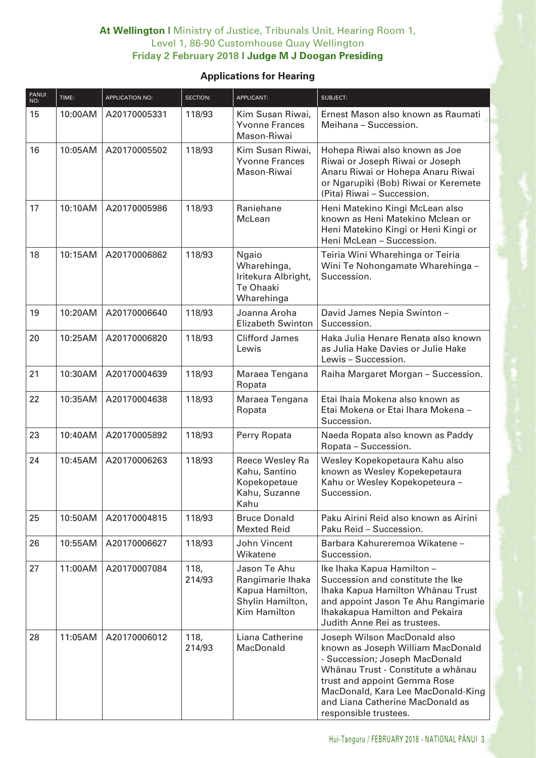## **At Wellington |** Ministry of Justice, Tribunals Unit, Hearing Room 1, Level 1, 86-90 Customhouse Quay Wellington **Friday 2 February 2018 | Judge M J Doogan Presiding**

| <b>PANUI</b><br>NO: | TIME:   | APPLICATION NO: | SECTION:       | APPLICANT:                                                                              | SUBJECT:                                                                                                                                                                                                                                                                     |
|---------------------|---------|-----------------|----------------|-----------------------------------------------------------------------------------------|------------------------------------------------------------------------------------------------------------------------------------------------------------------------------------------------------------------------------------------------------------------------------|
| 15                  | 10:00AM | A20170005331    | 118/93         | Kim Susan Riwai,<br><b>Yvonne Frances</b><br>Mason-Riwai                                | Ernest Mason also known as Raumati<br>Meihana - Succession.                                                                                                                                                                                                                  |
| 16                  | 10:05AM | A20170005502    | 118/93         | Kim Susan Riwai,<br><b>Yvonne Frances</b><br>Mason-Riwai                                | Hohepa Riwai also known as Joe<br>Riwai or Joseph Riwai or Joseph<br>Anaru Riwai or Hohepa Anaru Riwai<br>or Ngarupiki (Bob) Riwai or Keremete<br>(Pita) Riwai - Succession.                                                                                                 |
| 17                  | 10:10AM | A20170005986    | 118/93         | Raniehane<br>McLean                                                                     | Heni Matekino Kingi McLean also<br>known as Heni Matekino Mclean or<br>Heni Matekino Kingi or Heni Kingi or<br>Heni McLean - Succession.                                                                                                                                     |
| 18                  | 10:15AM | A20170006862    | 118/93         | Ngaio<br>Wharehinga,<br>Iritekura Albright,<br>Te Ohaaki<br>Wharehinga                  | Teiria Wini Wharehinga or Teiria<br>Wini Te Nohongamate Wharehinga -<br>Succession.                                                                                                                                                                                          |
| 19                  | 10:20AM | A20170006640    | 118/93         | Joanna Aroha<br><b>Elizabeth Swinton</b>                                                | David James Nepia Swinton -<br>Succession.                                                                                                                                                                                                                                   |
| 20                  | 10:25AM | A20170006820    | 118/93         | <b>Clifford James</b><br>Lewis                                                          | Haka Julia Henare Renata also known<br>as Julia Hake Davies or Julie Hake<br>Lewis - Succession.                                                                                                                                                                             |
| 21                  | 10:30AM | A20170004639    | 118/93         | Maraea Tengana<br>Ropata                                                                | Raiha Margaret Morgan - Succession.                                                                                                                                                                                                                                          |
| 22                  | 10:35AM | A20170004638    | 118/93         | Maraea Tengana<br>Ropata                                                                | Etai Ihaia Mokena also known as<br>Etai Mokena or Etai Ihara Mokena -<br>Succession.                                                                                                                                                                                         |
| 23                  | 10:40AM | A20170005892    | 118/93         | Perry Ropata                                                                            | Naeda Ropata also known as Paddy<br>Ropata - Succession.                                                                                                                                                                                                                     |
| 24                  | 10:45AM | A20170006263    | 118/93         | Reece Wesley Ra<br>Kahu, Santino<br>Kopekopetaue<br>Kahu, Suzanne<br>Kahu               | Wesley Kopekopetaura Kahu also<br>known as Wesley Kopekepetaura<br>Kahu or Wesley Kopekopeteura -<br>Succession.                                                                                                                                                             |
| 25                  | 10:50AM | A20170004815    | 118/93         | <b>Bruce Donald</b><br><b>Mexted Reid</b>                                               | Paku Airini Reid also known as Airini<br>Paku Reid - Succession.                                                                                                                                                                                                             |
| 26                  | 10:55AM | A20170006627    | 118/93         | John Vincent<br>Wikatene                                                                | Barbara Kahureremoa Wikatene -<br>Succession.                                                                                                                                                                                                                                |
| 27                  | 11:00AM | A20170007084    | 118,<br>214/93 | Jason Te Ahu<br>Rangimarie Ihaka<br>Kapua Hamilton,<br>Shylin Hamilton,<br>Kim Hamilton | Ike Ihaka Kapua Hamilton -<br>Succession and constitute the Ike<br>Ihaka Kapua Hamilton Whānau Trust<br>and appoint Jason Te Ahu Rangimarie<br>Ihakakapua Hamilton and Pekaira<br>Judith Anne Rei as trustees.                                                               |
| 28                  | 11:05AM | A20170006012    | 118,<br>214/93 | Liana Catherine<br>MacDonald                                                            | Joseph Wilson MacDonald also<br>known as Joseph William MacDonald<br>- Succession; Joseph MacDonald<br>Whānau Trust - Constitute a whānau<br>trust and appoint Gemma Rose<br>MacDonald, Kara Lee MacDonald-King<br>and Liana Catherine MacDonald as<br>responsible trustees. |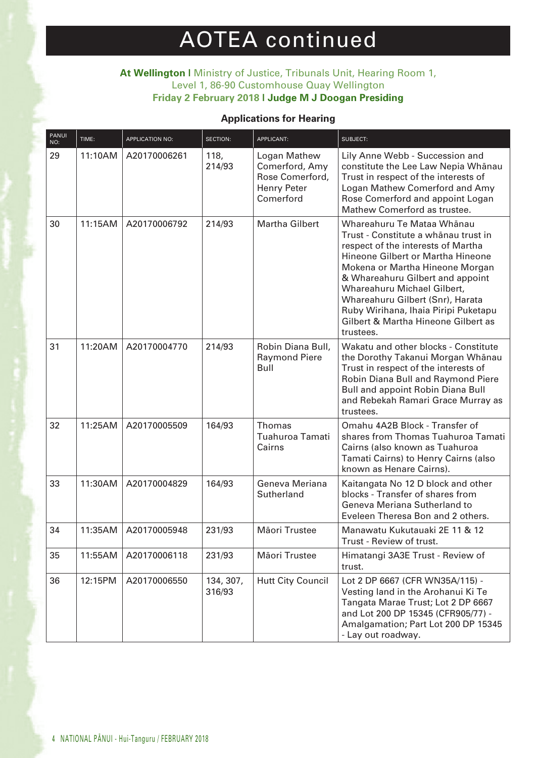# AOTEA continued

## **At Wellington |** Ministry of Justice, Tribunals Unit, Hearing Room 1, Level 1, 86-90 Customhouse Quay Wellington **Friday 2 February 2018 | Judge M J Doogan Presiding**

| <b>PANUI</b><br>NO: | TIME:   | <b>APPLICATION NO:</b> | <b>SECTION:</b>     | APPLICANT:                                                                           | <b>SUBJECT:</b>                                                                                                                                                                                                                                                                                                                                                                     |
|---------------------|---------|------------------------|---------------------|--------------------------------------------------------------------------------------|-------------------------------------------------------------------------------------------------------------------------------------------------------------------------------------------------------------------------------------------------------------------------------------------------------------------------------------------------------------------------------------|
| 29                  | 11:10AM | A20170006261           | 118,<br>214/93      | Logan Mathew<br>Comerford, Amy<br>Rose Comerford,<br><b>Henry Peter</b><br>Comerford | Lily Anne Webb - Succession and<br>constitute the Lee Law Nepia Whānau<br>Trust in respect of the interests of<br>Logan Mathew Comerford and Amy<br>Rose Comerford and appoint Logan<br>Mathew Comerford as trustee.                                                                                                                                                                |
| 30                  | 11:15AM | A20170006792           | 214/93              | <b>Martha Gilbert</b>                                                                | Whareahuru Te Mataa Whānau<br>Trust - Constitute a whānau trust in<br>respect of the interests of Martha<br>Hineone Gilbert or Martha Hineone<br>Mokena or Martha Hineone Morgan<br>& Whareahuru Gilbert and appoint<br>Whareahuru Michael Gilbert,<br>Whareahuru Gilbert (Snr), Harata<br>Ruby Wirihana, Ihaia Piripi Puketapu<br>Gilbert & Martha Hineone Gilbert as<br>trustees. |
| 31                  | 11:20AM | A20170004770           | 214/93              | Robin Diana Bull,<br><b>Raymond Piere</b><br>Bull                                    | Wakatu and other blocks - Constitute<br>the Dorothy Takanui Morgan Whānau<br>Trust in respect of the interests of<br>Robin Diana Bull and Raymond Piere<br><b>Bull and appoint Robin Diana Bull</b><br>and Rebekah Ramari Grace Murray as<br>trustees.                                                                                                                              |
| 32                  | 11:25AM | A20170005509           | 164/93              | <b>Thomas</b><br>Tuahuroa Tamati<br>Cairns                                           | Omahu 4A2B Block - Transfer of<br>shares from Thomas Tuahuroa Tamati<br>Cairns (also known as Tuahuroa<br>Tamati Cairns) to Henry Cairns (also<br>known as Henare Cairns).                                                                                                                                                                                                          |
| 33                  | 11:30AM | A20170004829           | 164/93              | Geneva Meriana<br>Sutherland                                                         | Kaitangata No 12 D block and other<br>blocks - Transfer of shares from<br>Geneva Meriana Sutherland to<br>Eveleen Theresa Bon and 2 others.                                                                                                                                                                                                                                         |
| 34                  | 11:35AM | A20170005948           | 231/93              | Māori Trustee                                                                        | Manawatu Kukutauaki 2E 11 & 12<br>Trust - Review of trust.                                                                                                                                                                                                                                                                                                                          |
| 35                  | 11:55AM | A20170006118           | 231/93              | Māori Trustee                                                                        | Himatangi 3A3E Trust - Review of<br>trust.                                                                                                                                                                                                                                                                                                                                          |
| 36                  | 12:15PM | A20170006550           | 134, 307,<br>316/93 | <b>Hutt City Council</b>                                                             | Lot 2 DP 6667 (CFR WN35A/115) -<br>Vesting land in the Arohanui Ki Te<br>Tangata Marae Trust; Lot 2 DP 6667<br>and Lot 200 DP 15345 (CFR905/77) -<br>Amalgamation; Part Lot 200 DP 15345<br>- Lay out roadway.                                                                                                                                                                      |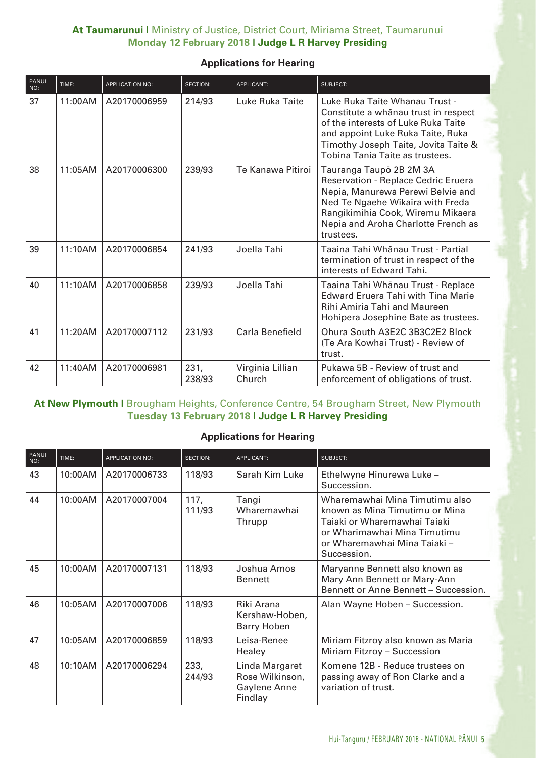## **At Taumarunui |** Ministry of Justice, District Court, Miriama Street, Taumarunui **Monday 12 February 2018 | Judge L R Harvey Presiding**

| PANUI<br>NO: | TIME:   | <b>APPLICATION NO:</b> | SECTION:       | <b>APPLICANT:</b>          | SUBJECT:                                                                                                                                                                                                                         |
|--------------|---------|------------------------|----------------|----------------------------|----------------------------------------------------------------------------------------------------------------------------------------------------------------------------------------------------------------------------------|
| 37           | 11:00AM | A20170006959           | 214/93         | Luke Ruka Taite            | Luke Ruka Taite Whanau Trust -<br>Constitute a whānau trust in respect<br>of the interests of Luke Ruka Taite<br>and appoint Luke Ruka Taite, Ruka<br>Timothy Joseph Taite, Jovita Taite &<br>Tobina Tanja Taite as trustees.    |
| 38           | 11:05AM | A20170006300           | 239/93         | Te Kanawa Pitiroi          | Tauranga Taupō 2B 2M 3A<br>Reservation - Replace Cedric Eruera<br>Nepia, Manurewa Perewi Belvie and<br>Ned Te Ngaehe Wikaira with Freda<br>Rangikimihia Cook, Wiremu Mikaera<br>Nepia and Aroha Charlotte French as<br>trustees. |
| 39           | 11:10AM | A20170006854           | 241/93         | Joella Tahi                | Taaina Tahi Whānau Trust - Partial<br>termination of trust in respect of the<br>interests of Edward Tahi.                                                                                                                        |
| 40           | 11:10AM | A20170006858           | 239/93         | Joella Tahi                | Taaina Tahi Whānau Trust - Replace<br><b>Edward Eruera Tahi with Tina Marie</b><br>Rihi Amiria Tahi and Maureen<br>Hohipera Josephine Bate as trustees.                                                                          |
| 41           | 11:20AM | A20170007112           | 231/93         | Carla Benefield            | Ohura South A3E2C 3B3C2E2 Block<br>(Te Ara Kowhai Trust) - Review of<br>trust.                                                                                                                                                   |
| 42           | 11:40AM | A20170006981           | 231,<br>238/93 | Virginia Lillian<br>Church | Pukawa 5B - Review of trust and<br>enforcement of obligations of trust.                                                                                                                                                          |

## **Applications for Hearing**

## **At New Plymouth |** Brougham Heights, Conference Centre, 54 Brougham Street, New Plymouth **Tuesday 13 February 2018 | Judge L R Harvey Presiding**

| <b>PANUI</b><br>NO: | TIME:   | <b>APPLICATION NO:</b> | <b>SECTION:</b> | <b>APPLICANT:</b>                                            | SUBJECT:                                                                                                                                                                        |
|---------------------|---------|------------------------|-----------------|--------------------------------------------------------------|---------------------------------------------------------------------------------------------------------------------------------------------------------------------------------|
| 43                  | 10:00AM | A20170006733           | 118/93          | Sarah Kim Luke                                               | Ethelwyne Hinurewa Luke -<br>Succession.                                                                                                                                        |
| 44                  | 10:00AM | A20170007004           | 117,<br>111/93  | Tangi<br>Wharemawhai<br>Thrupp                               | Wharemawhai Mina Timutimu also<br>known as Mina Timutimu or Mina<br>Tajaki or Wharemawhai Tajaki<br>or Wharimawhai Mina Timutimu<br>or Wharemawhai Mina Taiaki -<br>Succession. |
| 45                  | 10:00AM | A20170007131           | 118/93          | Joshua Amos<br><b>Bennett</b>                                | Maryanne Bennett also known as<br>Mary Ann Bennett or Mary-Ann<br>Bennett or Anne Bennett - Succession.                                                                         |
| 46                  | 10:05AM | A20170007006           | 118/93          | Riki Arana<br>Kershaw-Hoben,<br><b>Barry Hoben</b>           | Alan Wayne Hoben - Succession.                                                                                                                                                  |
| 47                  | 10:05AM | A20170006859           | 118/93          | Leisa-Renee<br>Healey                                        | Miriam Fitzroy also known as Maria<br>Miriam Fitzroy - Succession                                                                                                               |
| 48                  | 10:10AM | A20170006294           | 233,<br>244/93  | Linda Margaret<br>Rose Wilkinson,<br>Gaylene Anne<br>Findlay | Komene 12B - Reduce trustees on<br>passing away of Ron Clarke and a<br>variation of trust.                                                                                      |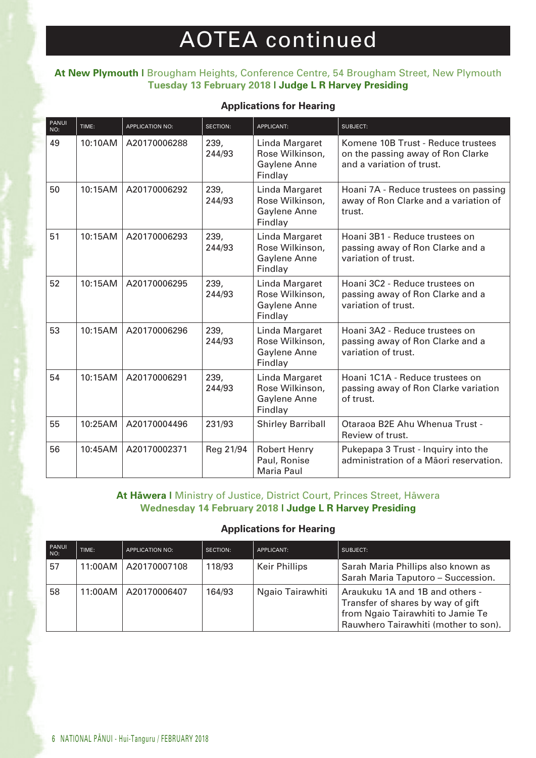# AOTEA continued

## **At New Plymouth |** Brougham Heights, Conference Centre, 54 Brougham Street, New Plymouth **Tuesday 13 February 2018 | Judge L R Harvey Presiding**

| <b>PANUI</b><br>NO: | TIME:   | <b>APPLICATION NO:</b> | <b>SECTION:</b>                                                                | APPLICANT:                                                   | SUBJECT:                                                                                             |
|---------------------|---------|------------------------|--------------------------------------------------------------------------------|--------------------------------------------------------------|------------------------------------------------------------------------------------------------------|
| 49                  | 10:10AM | A20170006288           | 239,<br>244/93                                                                 | Linda Margaret<br>Rose Wilkinson,<br>Gaylene Anne<br>Findlay | Komene 10B Trust - Reduce trustees<br>on the passing away of Ron Clarke<br>and a variation of trust. |
| 50                  | 10:15AM | A20170006292           | 239,<br>Linda Margaret<br>Rose Wilkinson,<br>244/93<br>Gaylene Anne<br>Findlay |                                                              | Hoani 7A - Reduce trustees on passing<br>away of Ron Clarke and a variation of<br>trust.             |
| 51                  | 10:15AM | A20170006293           | 239,<br>244/93                                                                 | Linda Margaret<br>Rose Wilkinson,<br>Gaylene Anne<br>Findlay | Hoani 3B1 - Reduce trustees on<br>passing away of Ron Clarke and a<br>variation of trust.            |
| 52                  | 10:15AM | A20170006295           | 239,<br>244/93                                                                 | Linda Margaret<br>Rose Wilkinson,<br>Gaylene Anne<br>Findlay | Hoani 3C2 - Reduce trustees on<br>passing away of Ron Clarke and a<br>variation of trust.            |
| 53                  | 10:15AM | A20170006296           | 239,<br>244/93                                                                 | Linda Margaret<br>Rose Wilkinson,<br>Gaylene Anne<br>Findlay | Hoani 3A2 - Reduce trustees on<br>passing away of Ron Clarke and a<br>variation of trust.            |
| 54                  | 10:15AM | A20170006291           | 239,<br>244/93                                                                 | Linda Margaret<br>Rose Wilkinson,<br>Gaylene Anne<br>Findlay | Hoani 1C1A - Reduce trustees on<br>passing away of Ron Clarke variation<br>of trust.                 |
| 55                  | 10:25AM | A20170004496           | 231/93                                                                         | <b>Shirley Barriball</b>                                     | Otaraoa B2E Ahu Whenua Trust -<br>Review of trust.                                                   |
| 56                  | 10:45AM | A20170002371           | Reg 21/94                                                                      | <b>Robert Henry</b><br>Paul, Ronise<br>Maria Paul            | Pukepapa 3 Trust - Inquiry into the<br>administration of a Māori reservation.                        |

## **Applications for Hearing**

## **At Häwera |** Ministry of Justice, District Court, Princes Street, Häwera **Wednesday 14 February 2018 | Judge L R Harvey Presiding**

| PANUI<br>NO: | TIME: | <b>APPLICATION NO:</b> | SECTION: | APPLICANT:           | SUBJECT:                                                                                                                                          |
|--------------|-------|------------------------|----------|----------------------|---------------------------------------------------------------------------------------------------------------------------------------------------|
| 57           |       | 11:00AM   A20170007108 | 118/93   | <b>Keir Phillips</b> | Sarah Maria Phillips also known as<br>Sarah Maria Taputoro - Succession.                                                                          |
| 58           |       | 11:00AM   A20170006407 | 164/93   | Ngaio Tairawhiti     | Araukuku 1A and 1B and others -<br>Transfer of shares by way of gift<br>from Ngaio Tairawhiti to Jamie Te<br>Rauwhero Tairawhiti (mother to son). |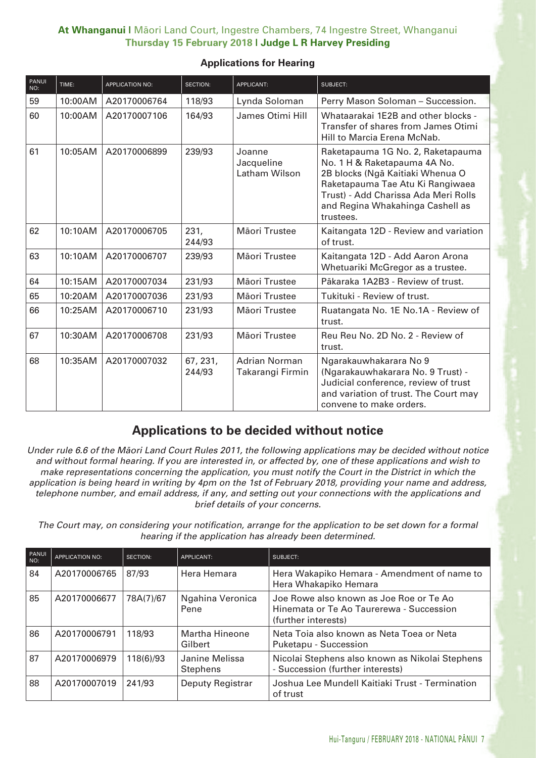## At Whanganui I Māori Land Court, Ingestre Chambers, 74 Ingestre Street, Whanganui **Thursday 15 February 2018 | Judge L R Harvey Presiding**

| <b>PANUI</b><br>NO: | TIME:   | <b>APPLICATION NO:</b> | SECTION:           | <b>APPLICANT:</b>                     | SUBJECT:                                                                                                                                                                                                                           |
|---------------------|---------|------------------------|--------------------|---------------------------------------|------------------------------------------------------------------------------------------------------------------------------------------------------------------------------------------------------------------------------------|
| 59                  | 10:00AM | A20170006764           | 118/93             | Lynda Soloman                         | Perry Mason Soloman - Succession.                                                                                                                                                                                                  |
| 60                  | 10:00AM | A20170007106           | 164/93             | James Otimi Hill                      | Whataarakai 1E2B and other blocks -<br>Transfer of shares from James Otimi<br>Hill to Marcia Erena McNab.                                                                                                                          |
| 61                  | 10:05AM | A20170006899           | 239/93             | Joanne<br>Jacqueline<br>Latham Wilson | Raketapauma 1G No. 2, Raketapauma<br>No. 1 H & Raketapauma 4A No.<br>2B blocks (Ngā Kaitiaki Whenua O<br>Raketapauma Tae Atu Ki Rangiwaea<br>Trust) - Add Charissa Ada Meri Rolls<br>and Regina Whakahinga Cashell as<br>trustees. |
| 62                  | 10:10AM | A20170006705           | 231,<br>244/93     | Māori Trustee                         | Kaitangata 12D - Review and variation<br>of trust.                                                                                                                                                                                 |
| 63                  | 10:10AM | A20170006707           | 239/93             | Māori Trustee                         | Kaitangata 12D - Add Aaron Arona<br>Whetuariki McGregor as a trustee.                                                                                                                                                              |
| 64                  | 10:15AM | A20170007034           | 231/93             | Māori Trustee                         | Pākaraka 1A2B3 - Review of trust.                                                                                                                                                                                                  |
| 65                  | 10:20AM | A20170007036           | 231/93             | Māori Trustee                         | Tukituki - Review of trust.                                                                                                                                                                                                        |
| 66                  | 10:25AM | A20170006710           | 231/93             | Māori Trustee                         | Ruatangata No. 1E No.1A - Review of<br>trust.                                                                                                                                                                                      |
| 67                  | 10:30AM | A20170006708           | 231/93             | Māori Trustee                         | Reu Reu No. 2D No. 2 - Review of<br>trust.                                                                                                                                                                                         |
| 68                  | 10:35AM | A20170007032           | 67, 231,<br>244/93 | Adrian Norman<br>Takarangi Firmin     | Ngarakauwhakarara No 9<br>(Ngarakauwhakarara No. 9 Trust) -<br>Judicial conference, review of trust<br>and variation of trust. The Court may<br>convene to make orders.                                                            |

## **Applications for Hearing**

## **Applications to be decided without notice**

*Under rule 6.6 of the Mäori Land Court Rules 2011, the following applications may be decided without notice and without formal hearing. If you are interested in, or affected by, one of these applications and wish to make representations concerning the application, you must notify the Court in the District in which the application is being heard in writing by 4pm on the 1st of February 2018, providing your name and address, telephone number, and email address, if any, and setting out your connections with the applications and brief details of your concerns.*

*The Court may, on considering your notification, arrange for the application to be set down for a formal hearing if the application has already been determined.*

| PANUI<br>NO: | <b>APPLICATION NO:</b> | <b>SECTION:</b> | APPLICANT:                        | SUBJECT:                                                                                                   |
|--------------|------------------------|-----------------|-----------------------------------|------------------------------------------------------------------------------------------------------------|
| 84           | A20170006765           | 87/93           | Hera Hemara                       | Hera Wakapiko Hemara - Amendment of name to<br>Hera Whakapiko Hemara                                       |
| 85           | A20170006677           | 78A(7)/67       | Ngahina Veronica<br>Pene          | Joe Rowe also known as Joe Roe or Te Ao<br>Hinemata or Te Ao Taurerewa - Succession<br>(further interests) |
| 86           | A20170006791           | 118/93          | Martha Hineone<br>Gilbert         | Neta Toja also known as Neta Toea or Neta<br>Puketapu - Succession                                         |
| 87           | A20170006979           | 118(6)/93       | Janine Melissa<br><b>Stephens</b> | Nicolai Stephens also known as Nikolai Stephens<br>- Succession (further interests)                        |
| 88           | A20170007019           | 241/93          | Deputy Registrar                  | Joshua Lee Mundell Kaitiaki Trust - Termination<br>of trust                                                |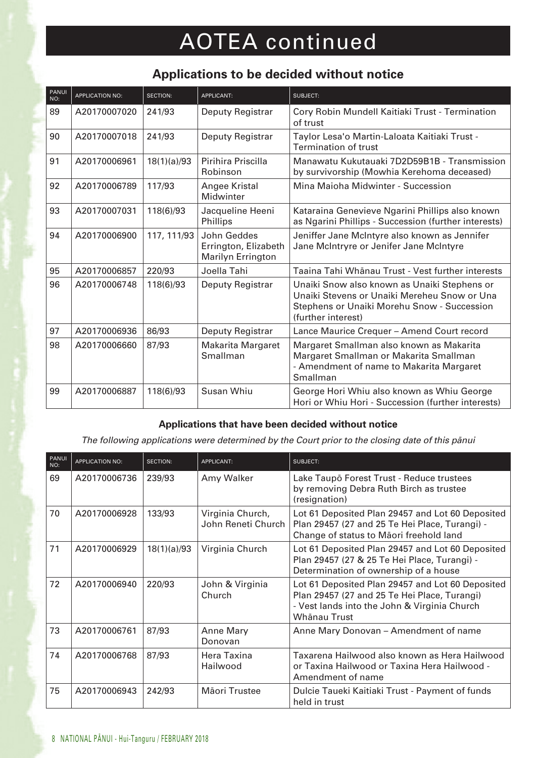# AOTEA continued

## **Applications to be decided without notice**

| <b>PANUI</b><br>NO: | <b>APPLICATION NO:</b> | <b>SECTION:</b> | <b>APPLICANT:</b>                                               | SUBJECT:                                                                                                                                                          |
|---------------------|------------------------|-----------------|-----------------------------------------------------------------|-------------------------------------------------------------------------------------------------------------------------------------------------------------------|
| 89                  | A20170007020           | 241/93          | Deputy Registrar                                                | Cory Robin Mundell Kaitiaki Trust - Termination<br>of trust                                                                                                       |
| 90                  | A20170007018           | 241/93          | Deputy Registrar                                                | Taylor Lesa'o Martin-Laloata Kaitiaki Trust -<br><b>Termination of trust</b>                                                                                      |
| 91                  | A20170006961           | 18(1)(a)/93     | Pirihira Priscilla<br>Robinson                                  | Manawatu Kukutauaki 7D2D59B1B - Transmission<br>by survivorship (Mowhia Kerehoma deceased)                                                                        |
| 92                  | A20170006789           | 117/93          | Angee Kristal<br>Midwinter                                      | Mina Maioha Midwinter - Succession                                                                                                                                |
| 93                  | A20170007031           | 118(6)/93       | Jacqueline Heeni<br>Phillips                                    | Kataraina Genevieve Ngarini Phillips also known<br>as Ngarini Phillips - Succession (further interests)                                                           |
| 94                  | A20170006900           | 117, 111/93     | John Geddes<br>Errington, Elizabeth<br><b>Marilyn Errington</b> | Jeniffer Jane McIntyre also known as Jennifer<br>Jane McIntryre or Jenifer Jane McIntyre                                                                          |
| 95                  | A20170006857           | 220/93          | Joella Tahi                                                     | Taaina Tahi Whānau Trust - Vest further interests                                                                                                                 |
| 96                  | A20170006748           | 118(6)/93       | Deputy Registrar                                                | Unaiki Snow also known as Unaiki Stephens or<br>Unaiki Stevens or Unaiki Mereheu Snow or Una<br>Stephens or Unaiki Morehu Snow - Succession<br>(further interest) |
| 97                  | A20170006936           | 86/93           | Deputy Registrar                                                | Lance Maurice Crequer - Amend Court record                                                                                                                        |
| 98                  | A20170006660           | 87/93           | <b>Makarita Margaret</b><br>Smallman                            | Margaret Smallman also known as Makarita<br>Margaret Smallman or Makarita Smallman<br>- Amendment of name to Makarita Margaret<br>Smallman                        |
| 99                  | A20170006887           | 118(6)/93       | Susan Whiu                                                      | George Hori Whiu also known as Whiu George<br>Hori or Whiu Hori - Succession (further interests)                                                                  |

## **Applications that have been decided without notice**

*The following applications were determined by the Court prior to the closing date of this pänui*

| <b>PANUI</b><br>NO: | <b>APPLICATION NO:</b> | SECTION:    | <b>APPLICANT:</b>                      | SUBJECT:                                                                                                                                                         |
|---------------------|------------------------|-------------|----------------------------------------|------------------------------------------------------------------------------------------------------------------------------------------------------------------|
| 69                  | A20170006736           | 239/93      | Amy Walker                             | Lake Taupō Forest Trust - Reduce trustees<br>by removing Debra Ruth Birch as trustee<br>(resignation)                                                            |
| 70                  | A20170006928           | 133/93      | Virginia Church,<br>John Reneti Church | Lot 61 Deposited Plan 29457 and Lot 60 Deposited<br>Plan 29457 (27 and 25 Te Hei Place, Turangi) -<br>Change of status to Māori freehold land                    |
| 71                  | A20170006929           | 18(1)(a)/93 | Virginia Church                        | Lot 61 Deposited Plan 29457 and Lot 60 Deposited<br>Plan 29457 (27 & 25 Te Hei Place, Turangi) -<br>Determination of ownership of a house                        |
| 72                  | A20170006940           | 220/93      | John & Virginia<br>Church              | Lot 61 Deposited Plan 29457 and Lot 60 Deposited<br>Plan 29457 (27 and 25 Te Hei Place, Turangi)<br>- Vest lands into the John & Virginia Church<br>Whānau Trust |
| 73                  | A20170006761           | 87/93       | <b>Anne Mary</b><br>Donovan            | Anne Mary Donovan - Amendment of name                                                                                                                            |
| 74                  | A20170006768           | 87/93       | Hera Taxina<br>Hailwood                | Taxarena Hailwood also known as Hera Hailwood<br>or Taxina Hailwood or Taxina Hera Hailwood -<br>Amendment of name                                               |
| 75                  | A20170006943           | 242/93      | Māori Trustee                          | Dulcie Taueki Kaitiaki Trust - Payment of funds<br>held in trust                                                                                                 |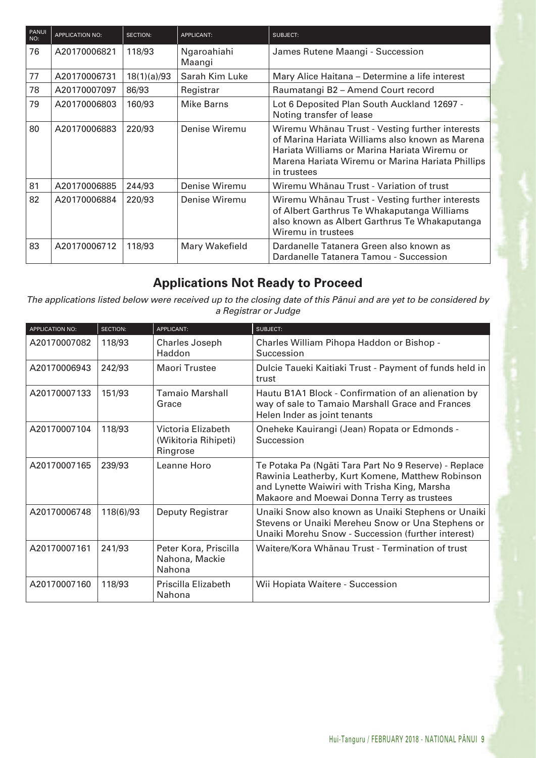| PANUI<br>NO: | <b>APPLICATION NO:</b> | <b>SECTION:</b> | <b>APPLICANT:</b>     | SUBJECT:                                                                                                                                                                                                              |
|--------------|------------------------|-----------------|-----------------------|-----------------------------------------------------------------------------------------------------------------------------------------------------------------------------------------------------------------------|
| 76           | A20170006821           | 118/93          | Ngaroahiahi<br>Maangi | James Rutene Maangi - Succession                                                                                                                                                                                      |
| 77           | A20170006731           | 18(1)(a)/93     | Sarah Kim Luke        | Mary Alice Haitana - Determine a life interest                                                                                                                                                                        |
| 78           | A20170007097           | 86/93           | Registrar             | Raumatangi B2 - Amend Court record                                                                                                                                                                                    |
| 79           | A20170006803           | 160/93          | Mike Barns            | Lot 6 Deposited Plan South Auckland 12697 -<br>Noting transfer of lease                                                                                                                                               |
| 80           | A20170006883           | 220/93          | Denise Wiremu         | Wiremu Whānau Trust - Vesting further interests<br>of Marina Hariata Williams also known as Marena<br>Hariata Williams or Marina Hariata Wiremu or<br>Marena Hariata Wiremu or Marina Hariata Phillips<br>in trustees |
| 81           | A20170006885           | 244/93          | Denise Wiremu         | Wiremu Whānau Trust - Variation of trust                                                                                                                                                                              |
| 82           | A20170006884           | 220/93          | Denise Wiremu         | Wiremu Whānau Trust - Vesting further interests<br>of Albert Garthrus Te Whakaputanga Williams<br>also known as Albert Garthrus Te Whakaputanga<br>Wiremu in trustees                                                 |
| 83           | A20170006712           | 118/93          | Mary Wakefield        | Dardanelle Tatanera Green also known as<br>Dardanelle Tatanera Tamou - Succession                                                                                                                                     |

## **Applications Not Ready to Proceed**

*The applications listed below were received up to the closing date of this Pänui and are yet to be considered by a Registrar or Judge*

| <b>APPLICATION NO:</b> | <b>SECTION:</b> | APPLICANT:                                             | SUBJECT:                                                                                                                                                                                                |
|------------------------|-----------------|--------------------------------------------------------|---------------------------------------------------------------------------------------------------------------------------------------------------------------------------------------------------------|
| A20170007082           | 118/93          | Charles Joseph<br>Haddon                               | Charles William Pihopa Haddon or Bishop -<br>Succession                                                                                                                                                 |
| A20170006943           | 242/93          | Maori Trustee                                          | Dulcie Taueki Kaitiaki Trust - Payment of funds held in<br>trust                                                                                                                                        |
| A20170007133           | 151/93          | Tamaio Marshall<br>Grace                               | Hautu B1A1 Block - Confirmation of an alienation by<br>way of sale to Tamaio Marshall Grace and Frances<br>Helen Inder as joint tenants                                                                 |
| A20170007104           | 118/93          | Victoria Elizabeth<br>(Wikitoria Rihipeti)<br>Ringrose | Oneheke Kauirangi (Jean) Ropata or Edmonds -<br>Succession                                                                                                                                              |
| A20170007165           | 239/93          | Leanne Horo                                            | Te Potaka Pa (Ngāti Tara Part No 9 Reserve) - Replace<br>Rawinia Leatherby, Kurt Komene, Matthew Robinson<br>and Lynette Waiwiri with Trisha King, Marsha<br>Makaore and Moewai Donna Terry as trustees |
| A20170006748           | 118(6)/93       | Deputy Registrar                                       | Unaiki Snow also known as Unaiki Stephens or Unaiki<br>Stevens or Unaiki Mereheu Snow or Una Stephens or<br>Unaiki Morehu Snow - Succession (further interest)                                          |
| A20170007161           | 241/93          | Peter Kora, Priscilla<br>Nahona, Mackie<br>Nahona      | Waitere/Kora Whānau Trust - Termination of trust                                                                                                                                                        |
| A20170007160           | 118/93          | Priscilla Elizabeth<br>Nahona                          | Wii Hopiata Waitere - Succession                                                                                                                                                                        |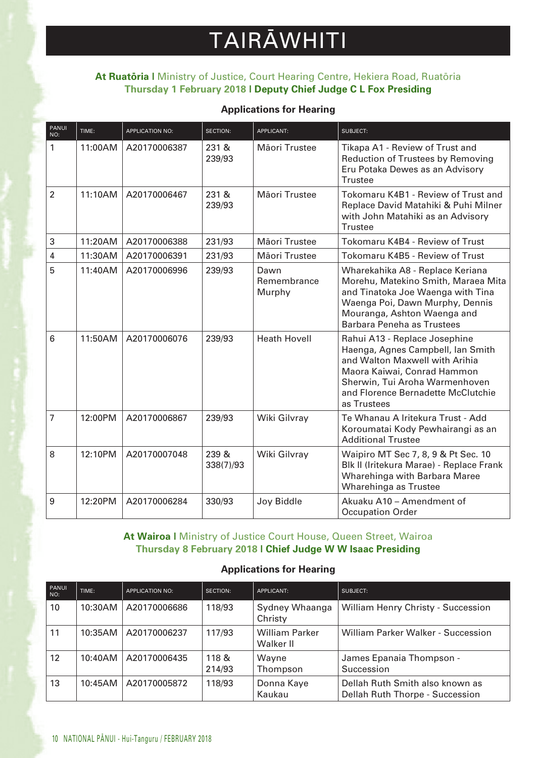# TAIRÄWHITI

## **At Ruatöria |** Ministry of Justice, Court Hearing Centre, Hekiera Road, Ruatöria **Thursday 1 February 2018 | Deputy Chief Judge C L Fox Presiding**

| <b>PANUI</b><br>NO: | TIME:   | APPLICATION NO: | SECTION:           | APPLICANT:                    | <b>SUBJECT:</b>                                                                                                                                                                                                            |
|---------------------|---------|-----------------|--------------------|-------------------------------|----------------------------------------------------------------------------------------------------------------------------------------------------------------------------------------------------------------------------|
| $\mathbf{1}$        | 11:00AM | A20170006387    | 231 &<br>239/93    | Māori Trustee                 | Tikapa A1 - Review of Trust and<br>Reduction of Trustees by Removing<br>Eru Potaka Dewes as an Advisory<br><b>Trustee</b>                                                                                                  |
| $\overline{2}$      | 11:10AM | A20170006467    | 231 &<br>239/93    | Māori Trustee                 | Tokomaru K4B1 - Review of Trust and<br>Replace David Matahiki & Puhi Milner<br>with John Matahiki as an Advisory<br><b>Trustee</b>                                                                                         |
| 3                   | 11:20AM | A20170006388    | 231/93             | Māori Trustee                 | Tokomaru K4B4 - Review of Trust                                                                                                                                                                                            |
| $\overline{4}$      | 11:30AM | A20170006391    | 231/93             | Māori Trustee                 | Tokomaru K4B5 - Review of Trust                                                                                                                                                                                            |
| 5                   | 11:40AM | A20170006996    | 239/93             | Dawn<br>Remembrance<br>Murphy | Wharekahika A8 - Replace Keriana<br>Morehu, Matekino Smith, Maraea Mita<br>and Tinatoka Joe Waenga with Tina<br>Waenga Poi, Dawn Murphy, Dennis<br>Mouranga, Ashton Waenga and<br>Barbara Peneha as Trustees               |
| 6                   | 11:50AM | A20170006076    | 239/93             | <b>Heath Hovell</b>           | Rahui A13 - Replace Josephine<br>Haenga, Agnes Campbell, Ian Smith<br>and Walton Maxwell with Arihia<br>Maora Kaiwai, Conrad Hammon<br>Sherwin, Tui Aroha Warmenhoven<br>and Florence Bernadette McClutchie<br>as Trustees |
| $\overline{7}$      | 12:00PM | A20170006867    | 239/93             | Wiki Gilvray                  | Te Whanau A Iritekura Trust - Add<br>Koroumatai Kody Pewhairangi as an<br><b>Additional Trustee</b>                                                                                                                        |
| 8                   | 12:10PM | A20170007048    | 239 &<br>338(7)/93 | Wiki Gilvray                  | Waipiro MT Sec 7, 8, 9 & Pt Sec. 10<br>Blk II (Iritekura Marae) - Replace Frank<br>Wharehinga with Barbara Maree<br>Wharehinga as Trustee                                                                                  |
| 9                   | 12:20PM | A20170006284    | 330/93             | Joy Biddle                    | Akuaku A10 - Amendment of<br><b>Occupation Order</b>                                                                                                                                                                       |

## **Applications for Hearing**

**At Wairoa |** Ministry of Justice Court House, Queen Street, Wairoa **Thursday 8 February 2018 | Chief Judge W W Isaac Presiding**

| PANUI<br>NO: | TIME:      | <b>APPLICATION NO:</b> | SECTION:        | APPLICANT:                         | SUBJECT:                                                           |
|--------------|------------|------------------------|-----------------|------------------------------------|--------------------------------------------------------------------|
| 10           | 10:30AM    | A20170006686           | 118/93          | Sydney Whaanga<br>Christy          | William Henry Christy - Succession                                 |
| 11           | 10:35AM    | A20170006237           | 117/93          | <b>William Parker</b><br>Walker II | <b>William Parker Walker - Succession</b>                          |
| 12           | $10:40$ AM | A20170006435           | 118 &<br>214/93 | Wayne<br>Thompson                  | James Epanaia Thompson -<br>Succession                             |
| 13           | 10:45AM    | A20170005872           | 118/93          | Donna Kaye<br>Kaukau               | Dellah Ruth Smith also known as<br>Dellah Ruth Thorpe - Succession |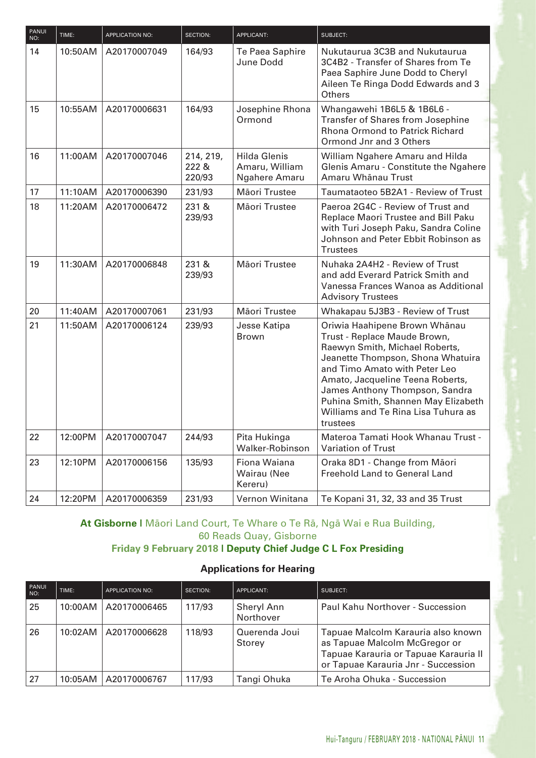| PANUI<br>NO: | TIME:   | APPLICATION NO: | SECTION:                     | APPLICANT:                                             | SUBJECT:                                                                                                                                                                                                                                                                                                                              |
|--------------|---------|-----------------|------------------------------|--------------------------------------------------------|---------------------------------------------------------------------------------------------------------------------------------------------------------------------------------------------------------------------------------------------------------------------------------------------------------------------------------------|
| 14           | 10:50AM | A20170007049    | 164/93                       | Te Paea Saphire<br>June Dodd                           | Nukutaurua 3C3B and Nukutaurua<br>3C4B2 - Transfer of Shares from Te<br>Paea Saphire June Dodd to Cheryl<br>Aileen Te Ringa Dodd Edwards and 3<br><b>Others</b>                                                                                                                                                                       |
| 15           | 10:55AM | A20170006631    | 164/93                       | Josephine Rhona<br>Ormond                              | Whangawehi 1B6L5 & 1B6L6 -<br><b>Transfer of Shares from Josephine</b><br><b>Rhona Ormond to Patrick Richard</b><br>Ormond Jnr and 3 Others                                                                                                                                                                                           |
| 16           | 11:00AM | A20170007046    | 214, 219,<br>222 &<br>220/93 | <b>Hilda Glenis</b><br>Amaru, William<br>Ngahere Amaru | William Ngahere Amaru and Hilda<br>Glenis Amaru - Constitute the Ngahere<br>Amaru Whānau Trust                                                                                                                                                                                                                                        |
| 17           | 11:10AM | A20170006390    | 231/93                       | Māori Trustee                                          | Taumataoteo 5B2A1 - Review of Trust                                                                                                                                                                                                                                                                                                   |
| 18           | 11:20AM | A20170006472    | 231 &<br>239/93              | Māori Trustee                                          | Paeroa 2G4C - Review of Trust and<br>Replace Maori Trustee and Bill Paku<br>with Turi Joseph Paku, Sandra Coline<br>Johnson and Peter Ebbit Robinson as<br><b>Trustees</b>                                                                                                                                                            |
| 19           | 11:30AM | A20170006848    | 231 &<br>239/93              | Māori Trustee                                          | Nuhaka 2A4H2 - Review of Trust<br>and add Everard Patrick Smith and<br>Vanessa Frances Wanoa as Additional<br><b>Advisory Trustees</b>                                                                                                                                                                                                |
| 20           | 11:40AM | A20170007061    | 231/93                       | Māori Trustee                                          | Whakapau 5J3B3 - Review of Trust                                                                                                                                                                                                                                                                                                      |
| 21           | 11:50AM | A20170006124    | 239/93                       | Jesse Katipa<br><b>Brown</b>                           | Oriwia Haahipene Brown Whānau<br>Trust - Replace Maude Brown,<br>Raewyn Smith, Michael Roberts,<br>Jeanette Thompson, Shona Whatuira<br>and Timo Amato with Peter Leo<br>Amato, Jacqueline Teena Roberts,<br>James Anthony Thompson, Sandra<br>Puhina Smith, Shannen May Elizabeth<br>Williams and Te Rina Lisa Tuhura as<br>trustees |
| 22           | 12:00PM | A20170007047    | 244/93                       | Pita Hukinga<br>Walker-Robinson                        | Materoa Tamati Hook Whanau Trust -<br>Variation of Trust                                                                                                                                                                                                                                                                              |
| 23           | 12:10PM | A20170006156    | 135/93                       | Fiona Waiana<br>Wairau (Nee<br>Kereru)                 | Oraka 8D1 - Change from Māori<br><b>Freehold Land to General Land</b>                                                                                                                                                                                                                                                                 |
| 24           | 12:20PM | A20170006359    | 231/93                       | Vernon Winitana                                        | Te Kopani 31, 32, 33 and 35 Trust                                                                                                                                                                                                                                                                                                     |

**At Gisborne |** Mäori Land Court, Te Whare o Te Rä, Ngä Wai e Rua Building, 60 Reads Quay, Gisborne

## **Friday 9 February 2018 | Deputy Chief Judge C L Fox Presiding**

| PANUI<br>NO: | TIME:   | <b>APPLICATION NO:</b> | SECTION: | APPLICANT:              | SUBJECT:                                                                                                                                            |
|--------------|---------|------------------------|----------|-------------------------|-----------------------------------------------------------------------------------------------------------------------------------------------------|
| 25           | 10:00AM | A20170006465           | 117/93   | Sheryl Ann<br>Northover | Paul Kahu Northover - Succession                                                                                                                    |
| 26           | 10:02AM | A20170006628           | 118/93   | Querenda Joui<br>Storey | Tapuae Malcolm Karauria also known<br>as Tapuae Malcolm McGregor or<br>Tapuae Karauria or Tapuae Karauria II<br>or Tapuae Karauria Jnr - Succession |
| 27           | 10:05AM | A20170006767           | 117/93   | Tangi Ohuka             | Te Aroha Ohuka - Succession                                                                                                                         |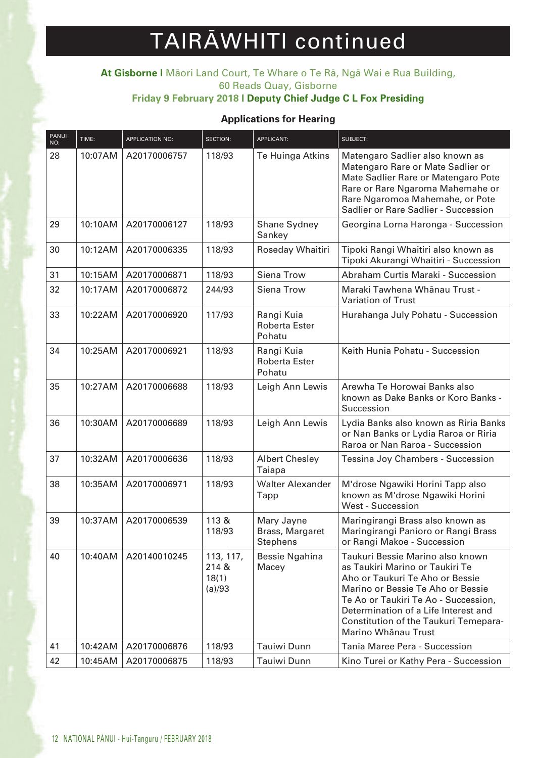# TAIRÄWHITI continued

## **At Gisborne |** Mäori Land Court, Te Whare o Te Rä, Ngä Wai e Rua Building, 60 Reads Quay, Gisborne **Friday 9 February 2018 | Deputy Chief Judge C L Fox Presiding**

| <b>PANUI</b><br>NO: | TIME:   | APPLICATION NO: | SECTION:                              | APPLICANT:                                       | <b>SUBJECT:</b>                                                                                                                                                                                                                                                                             |
|---------------------|---------|-----------------|---------------------------------------|--------------------------------------------------|---------------------------------------------------------------------------------------------------------------------------------------------------------------------------------------------------------------------------------------------------------------------------------------------|
| 28                  | 10:07AM | A20170006757    | 118/93                                | Te Huinga Atkins                                 | Matengaro Sadlier also known as<br>Matengaro Rare or Mate Sadlier or<br>Mate Sadlier Rare or Matengaro Pote<br>Rare or Rare Ngaroma Mahemahe or<br>Rare Ngaromoa Mahemahe, or Pote<br>Sadlier or Rare Sadlier - Succession                                                                  |
| 29                  | 10:10AM | A20170006127    | 118/93                                | Shane Sydney<br>Sankey                           | Georgina Lorna Haronga - Succession                                                                                                                                                                                                                                                         |
| 30                  | 10:12AM | A20170006335    | 118/93                                | Roseday Whaitiri                                 | Tipoki Rangi Whaitiri also known as<br>Tipoki Akurangi Whaitiri - Succession                                                                                                                                                                                                                |
| 31                  | 10:15AM | A20170006871    | 118/93                                | Siena Trow                                       | Abraham Curtis Maraki - Succession                                                                                                                                                                                                                                                          |
| 32                  | 10:17AM | A20170006872    | 244/93                                | Siena Trow                                       | Maraki Tawhena Whānau Trust -<br><b>Variation of Trust</b>                                                                                                                                                                                                                                  |
| 33                  | 10:22AM | A20170006920    | 117/93                                | Rangi Kuia<br>Roberta Ester<br>Pohatu            | Hurahanga July Pohatu - Succession                                                                                                                                                                                                                                                          |
| 34                  | 10:25AM | A20170006921    | 118/93                                | Rangi Kuia<br>Roberta Ester<br>Pohatu            | Keith Hunia Pohatu - Succession                                                                                                                                                                                                                                                             |
| 35                  | 10:27AM | A20170006688    | 118/93                                | Leigh Ann Lewis                                  | Arewha Te Horowai Banks also<br>known as Dake Banks or Koro Banks -<br>Succession                                                                                                                                                                                                           |
| 36                  | 10:30AM | A20170006689    | 118/93                                | Leigh Ann Lewis                                  | Lydia Banks also known as Riria Banks<br>or Nan Banks or Lydia Raroa or Riria<br>Raroa or Nan Raroa - Succession                                                                                                                                                                            |
| 37                  | 10:32AM | A20170006636    | 118/93                                | <b>Albert Chesley</b><br>Taiapa                  | Tessina Joy Chambers - Succession                                                                                                                                                                                                                                                           |
| 38                  | 10:35AM | A20170006971    | 118/93                                | <b>Walter Alexander</b><br>Tapp                  | M'drose Ngawiki Horini Tapp also<br>known as M'drose Ngawiki Horini<br>West - Succession                                                                                                                                                                                                    |
| 39                  | 10:37AM | A20170006539    | 113 &<br>118/93                       | Mary Jayne<br>Brass, Margaret<br><b>Stephens</b> | Maringirangi Brass also known as<br>Maringirangi Panioro or Rangi Brass<br>or Rangi Makoe - Succession                                                                                                                                                                                      |
| 40                  | 10:40AM | A20140010245    | 113, 117,<br>214 &<br>18(1)<br>(a)/93 | Bessie Ngahina<br>Macey                          | Taukuri Bessie Marino also known<br>as Taukiri Marino or Taukiri Te<br>Aho or Taukuri Te Aho or Bessie<br>Marino or Bessie Te Aho or Bessie<br>Te Ao or Taukiri Te Ao - Succession,<br>Determination of a Life Interest and<br>Constitution of the Taukuri Temepara-<br>Marino Whanau Trust |
| 41                  | 10:42AM | A20170006876    | 118/93                                | Tauiwi Dunn                                      | Tania Maree Pera - Succession                                                                                                                                                                                                                                                               |
| 42                  | 10:45AM | A20170006875    | 118/93                                | Tauiwi Dunn                                      | Kino Turei or Kathy Pera - Succession                                                                                                                                                                                                                                                       |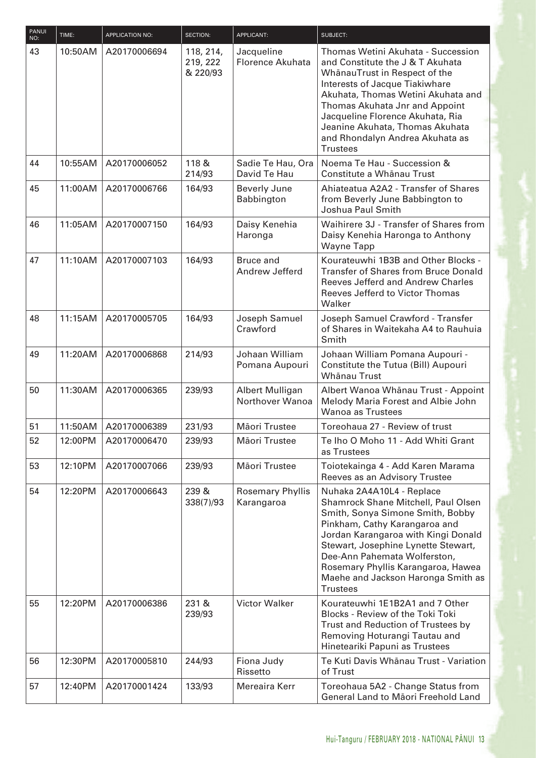| PANUI<br>NO: | TIME:   | APPLICATION NO: | SECTION:                          | APPLICANT:                            | <b>SUBJECT:</b>                                                                                                                                                                                                                                                                                                                                    |
|--------------|---------|-----------------|-----------------------------------|---------------------------------------|----------------------------------------------------------------------------------------------------------------------------------------------------------------------------------------------------------------------------------------------------------------------------------------------------------------------------------------------------|
| 43           | 10:50AM | A20170006694    | 118, 214,<br>219, 222<br>& 220/93 | Jacqueline<br>Florence Akuhata        | Thomas Wetini Akuhata - Succession<br>and Constitute the J & T Akuhata<br>WhānauTrust in Respect of the<br>Interests of Jacque Tiakiwhare<br>Akuhata, Thomas Wetini Akuhata and<br>Thomas Akuhata Jnr and Appoint<br>Jacqueline Florence Akuhata, Ria<br>Jeanine Akuhata, Thomas Akuhata<br>and Rhondalyn Andrea Akuhata as<br><b>Trustees</b>     |
| 44           | 10:55AM | A20170006052    | 118 &<br>214/93                   | Sadie Te Hau, Ora<br>David Te Hau     | Noema Te Hau - Succession &<br>Constitute a Whānau Trust                                                                                                                                                                                                                                                                                           |
| 45           | 11:00AM | A20170006766    | 164/93                            | <b>Beverly June</b><br>Babbington     | Ahiateatua A2A2 - Transfer of Shares<br>from Beverly June Babbington to<br>Joshua Paul Smith                                                                                                                                                                                                                                                       |
| 46           | 11:05AM | A20170007150    | 164/93                            | Daisy Kenehia<br>Haronga              | Waihirere 3J - Transfer of Shares from<br>Daisy Kenehia Haronga to Anthony<br>Wayne Tapp                                                                                                                                                                                                                                                           |
| 47           | 11:10AM | A20170007103    | 164/93                            | <b>Bruce and</b><br>Andrew Jefferd    | Kourateuwhi 1B3B and Other Blocks -<br><b>Transfer of Shares from Bruce Donald</b><br>Reeves Jefferd and Andrew Charles<br>Reeves Jefferd to Victor Thomas<br>Walker                                                                                                                                                                               |
| 48           | 11:15AM | A20170005705    | 164/93                            | Joseph Samuel<br>Crawford             | Joseph Samuel Crawford - Transfer<br>of Shares in Waitekaha A4 to Rauhuia<br>Smith                                                                                                                                                                                                                                                                 |
| 49           | 11:20AM | A20170006868    | 214/93                            | Johaan William<br>Pomana Aupouri      | Johaan William Pomana Aupouri -<br>Constitute the Tutua (Bill) Aupouri<br>Whānau Trust                                                                                                                                                                                                                                                             |
| 50           | 11:30AM | A20170006365    | 239/93                            | Albert Mulligan<br>Northover Wanoa    | Albert Wanoa Whānau Trust - Appoint<br>Melody Maria Forest and Albie John<br><b>Wanoa as Trustees</b>                                                                                                                                                                                                                                              |
| 51           | 11:50AM | A20170006389    | 231/93                            | Māori Trustee                         | Toreohaua 27 - Review of trust                                                                                                                                                                                                                                                                                                                     |
| 52           | 12:00PM | A20170006470    | 239/93                            | Māori Trustee                         | Te Iho O Moho 11 - Add Whiti Grant<br>as Trustees                                                                                                                                                                                                                                                                                                  |
| 53           | 12:10PM | A20170007066    | 239/93                            | Māori Trustee                         | Toiotekainga 4 - Add Karen Marama<br>Reeves as an Advisory Trustee                                                                                                                                                                                                                                                                                 |
| 54           | 12:20PM | A20170006643    | 239 &<br>338(7)/93                | <b>Rosemary Phyllis</b><br>Karangaroa | Nuhaka 2A4A10L4 - Replace<br>Shamrock Shane Mitchell, Paul Olsen<br>Smith, Sonya Simone Smith, Bobby<br>Pinkham, Cathy Karangaroa and<br>Jordan Karangaroa with Kingi Donald<br>Stewart, Josephine Lynette Stewart,<br>Dee-Ann Pahemata Wolferston,<br>Rosemary Phyllis Karangaroa, Hawea<br>Maehe and Jackson Haronga Smith as<br><b>Trustees</b> |
| 55           | 12:20PM | A20170006386    | 231 &<br>239/93                   | Victor Walker                         | Kourateuwhi 1E1B2A1 and 7 Other<br><b>Blocks - Review of the Toki Toki</b><br>Trust and Reduction of Trustees by<br>Removing Hoturangi Tautau and<br>Hineteariki Papuni as Trustees                                                                                                                                                                |
| 56           | 12:30PM | A20170005810    | 244/93                            | Fiona Judy<br>Rissetto                | Te Kuti Davis Whānau Trust - Variation<br>of Trust                                                                                                                                                                                                                                                                                                 |
| 57           | 12:40PM | A20170001424    | 133/93                            | Mereaira Kerr                         | Toreohaua 5A2 - Change Status from<br>General Land to Māori Freehold Land                                                                                                                                                                                                                                                                          |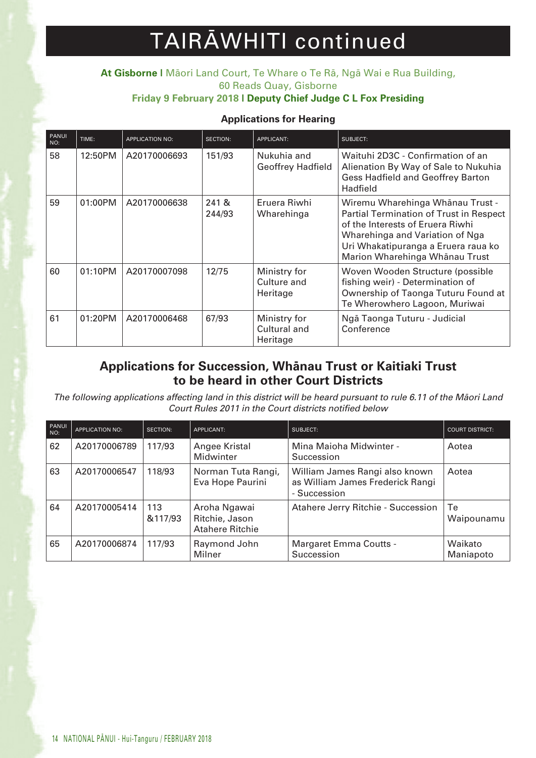# TAIRÄWHITI continued

## **At Gisborne |** Mäori Land Court, Te Whare o Te Rä, Ngä Wai e Rua Building, 60 Reads Quay, Gisborne

## **Friday 9 February 2018 | Deputy Chief Judge C L Fox Presiding**

## **Applications for Hearing**

| PANUI<br>NO: | TIME:   | <b>APPLICATION NO:</b> | <b>SECTION:</b> | <b>APPLICANT:</b>                        | SUBJECT:                                                                                                                                                                                                                    |
|--------------|---------|------------------------|-----------------|------------------------------------------|-----------------------------------------------------------------------------------------------------------------------------------------------------------------------------------------------------------------------------|
| 58           | 12:50PM | A20170006693           | 151/93          | Nukuhia and<br><b>Geoffrey Hadfield</b>  | Waituhi 2D3C - Confirmation of an<br>Alienation By Way of Sale to Nukuhia<br><b>Gess Hadfield and Geoffrey Barton</b><br>Hadfield                                                                                           |
| 59           | 01:00PM | A20170006638           | 241 &<br>244/93 | Eruera Riwhi<br>Wharehinga               | Wiremu Wharehinga Whānau Trust -<br>Partial Termination of Trust in Respect<br>of the Interests of Eruera Riwhi<br>Wharehinga and Variation of Nga<br>Uri Whakatipuranga a Eruera raua ko<br>Marion Wharehinga Whānau Trust |
| 60           | 01:10PM | A20170007098           | 12/75           | Ministry for<br>Culture and<br>Heritage  | Woven Wooden Structure (possible<br>fishing weir) - Determination of<br>Ownership of Taonga Tuturu Found at<br>Te Wherowhero Lagoon, Muriwai                                                                                |
| 61           | 01:20PM | A20170006468           | 67/93           | Ministry for<br>Cultural and<br>Heritage | Ngā Taonga Tuturu - Judicial<br>Conference                                                                                                                                                                                  |

## **Applications for Succession, Whänau Trust or Kaitiaki Trust to be heard in other Court Districts**

*The following applications affecting land in this district will be heard pursuant to rule 6.11 of the Mäori Land Court Rules 2011 in the Court districts notified below*

| PANUI<br>NO: | <b>APPLICATION NO:</b> | <b>SECTION:</b> | APPLICANT:                                               | SUBJECT:                                                                           | <b>COURT DISTRICT:</b> |
|--------------|------------------------|-----------------|----------------------------------------------------------|------------------------------------------------------------------------------------|------------------------|
| 62           | A20170006789           | 117/93          | Angee Kristal<br>Midwinter                               | Mina Maioha Midwinter -<br>Succession                                              | Aotea                  |
| 63           | A20170006547           | 118/93          | Norman Tuta Rangi,<br>Eva Hope Paurini                   | William James Rangi also known<br>as William James Frederick Rangi<br>- Succession | Aotea                  |
| 64           | A20170005414           | 113<br>&117/93  | Aroha Ngawai<br>Ritchie, Jason<br><b>Atahere Ritchie</b> | Atahere Jerry Ritchie - Succession                                                 | Te<br>Waipounamu       |
| 65           | A20170006874           | 117/93          | Raymond John<br>Milner                                   | Margaret Emma Coutts -<br>Succession                                               | Waikato<br>Maniapoto   |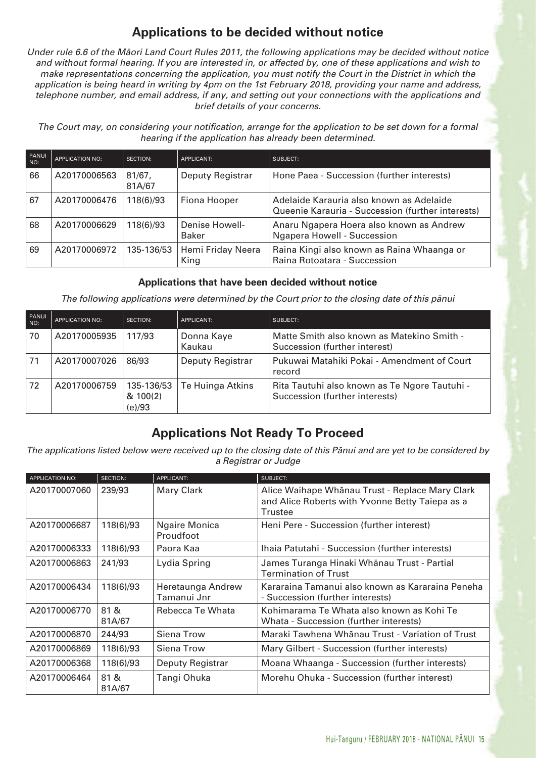## **Applications to be decided without notice**

*Under rule 6.6 of the Mäori Land Court Rules 2011, the following applications may be decided without notice and without formal hearing. If you are interested in, or affected by, one of these applications and wish to make representations concerning the application, you must notify the Court in the District in which the application is being heard in writing by 4pm on the 1st February 2018, providing your name and address, telephone number, and email address, if any, and setting out your connections with the applications and brief details of your concerns.*

*The Court may, on considering your notification, arrange for the application to be set down for a formal hearing if the application has already been determined.*

| PANUI<br>NO: | <b>APPLICATION NO:</b> | SECTION:         | APPLICANT:                | SUBJECT:                                                                                      |
|--------------|------------------------|------------------|---------------------------|-----------------------------------------------------------------------------------------------|
| 66           | A20170006563           | 81/67,<br>81A/67 | Deputy Registrar          | Hone Paea - Succession (further interests)                                                    |
| 67           | A20170006476           | 118(6)/93        | Fiona Hooper              | Adelaide Karauria also known as Adelaide<br>Queenie Karauria - Succession (further interests) |
| 68           | A20170006629           | 118(6)/93        | Denise Howell-<br>Baker   | Anaru Ngapera Hoera also known as Andrew<br><b>Ngapera Howell - Succession</b>                |
| 69           | A20170006972           | 135-136/53       | Hemi Friday Neera<br>King | Raina Kingi also known as Raina Whaanga or<br>Raina Rotoatara - Succession                    |

## **Applications that have been decided without notice**

*The following applications were determined by the Court prior to the closing date of this pänui*

| PANUI<br>NO: | <b>APPLICATION NO:</b> | SECTION:                         | APPLICANT:           | SUBJECT:                                                                        |
|--------------|------------------------|----------------------------------|----------------------|---------------------------------------------------------------------------------|
| 70           | A20170005935           | 117/93                           | Donna Kaye<br>Kaukau | Matte Smith also known as Matekino Smith -<br>Succession (further interest)     |
| 71           | A20170007026           | 86/93                            | Deputy Registrar     | Pukuwai Matahiki Pokai - Amendment of Court<br>record                           |
| 72           | A20170006759           | 135-136/53<br>& 100(2)<br>(e)/93 | Te Huinga Atkins     | Rita Tautuhi also known as Te Ngore Tautuhi -<br>Succession (further interests) |

## **Applications Not Ready To Proceed**

*The applications listed below were received up to the closing date of this Pänui and are yet to be considered by a Registrar or Judge*

| <b>APPLICATION NO:</b> | <b>SECTION:</b>  | APPLICANT:                       | SUBJECT:                                                                                                      |
|------------------------|------------------|----------------------------------|---------------------------------------------------------------------------------------------------------------|
| A20170007060           | 239/93           | <b>Mary Clark</b>                | Alice Waihape Whānau Trust - Replace Mary Clark<br>and Alice Roberts with Yvonne Betty Taiepa as a<br>Trustee |
| A20170006687           | 118(6)/93        | Ngaire Monica<br>Proudfoot       | Heni Pere - Succession (further interest)                                                                     |
| A20170006333           | 118(6)/93        | Paora Kaa                        | Ihaia Patutahi - Succession (further interests)                                                               |
| A20170006863           | 241/93           | Lydia Spring                     | James Turanga Hinaki Whānau Trust - Partial<br><b>Termination of Trust</b>                                    |
| A20170006434           | 118(6)/93        | Heretaunga Andrew<br>Tamanui Jnr | Kararaina Tamanui also known as Kararaina Peneha<br>- Succession (further interests)                          |
| A20170006770           | 81 &<br>81A/67   | Rebecca Te Whata                 | Kohimarama Te Whata also known as Kohi Te<br>Whata - Succession (further interests)                           |
| A20170006870           | 244/93           | Siena Trow                       | Maraki Tawhena Whānau Trust - Variation of Trust                                                              |
| A20170006869           | 118(6)/93        | Siena Trow                       | Mary Gilbert - Succession (further interests)                                                                 |
| A20170006368           | 118(6)/93        | Deputy Registrar                 | Moana Whaanga - Succession (further interests)                                                                |
| A20170006464           | $81\&$<br>81A/67 | Tangi Ohuka                      | Morehu Ohuka - Succession (further interest)                                                                  |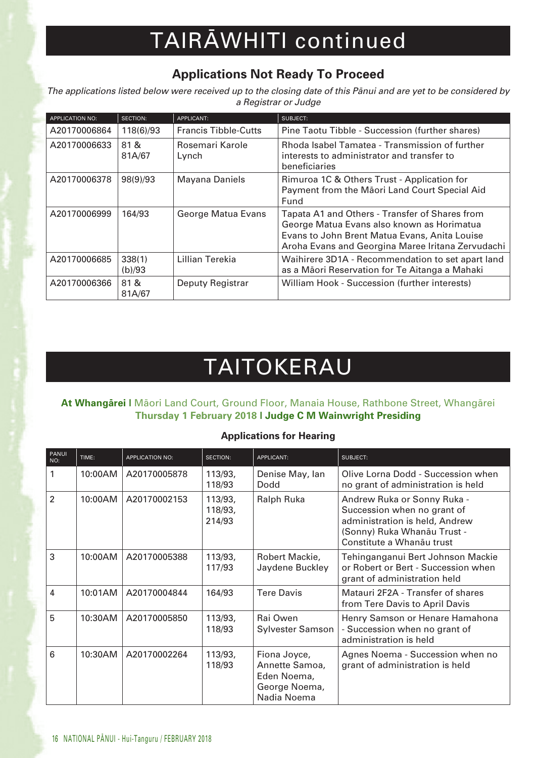## **Applications Not Ready To Proceed**

*The applications listed below were received up to the closing date of this Pänui and are yet to be considered by a Registrar or Judge*

| <b>APPLICATION NO:</b> | <b>SECTION:</b>  | <b>APPLICANT:</b>           | SUBJECT:                                                                                                                                                                                           |
|------------------------|------------------|-----------------------------|----------------------------------------------------------------------------------------------------------------------------------------------------------------------------------------------------|
| A20170006864           | 118(6)/93        | <b>Francis Tibble-Cutts</b> | Pine Taotu Tibble - Succession (further shares)                                                                                                                                                    |
| A20170006633           | 81&<br>81A/67    | Rosemari Karole<br>Lynch    | Rhoda Isabel Tamatea - Transmission of further<br>interests to administrator and transfer to<br>beneficiaries                                                                                      |
| A20170006378           | 98(9)/93         | Mayana Daniels              | Rimuroa 1C & Others Trust - Application for<br>Payment from the Māori Land Court Special Aid<br>Fund                                                                                               |
| A20170006999           | 164/93           | George Matua Evans          | Tapata A1 and Others - Transfer of Shares from<br>George Matua Evans also known as Horimatua<br>Evans to John Brent Matua Evans, Anita Louise<br>Aroha Evans and Georgina Maree Iritana Zervudachi |
| A20170006685           | 338(1)<br>(b)/93 | Lillian Terekia             | Waihirere 3D1A - Recommendation to set apart land<br>as a Māori Reservation for Te Aitanga a Mahaki                                                                                                |
| A20170006366           | 81&<br>81A/67    | Deputy Registrar            | William Hook - Succession (further interests)                                                                                                                                                      |

# TAITOKERAU

## **At Whangärei |** Mäori Land Court, Ground Floor, Manaia House, Rathbone Street, Whangärei **Thursday 1 February 2018 | Judge C M Wainwright Presiding**

| <b>PANUI</b><br>NO: | TIME:   | <b>APPLICATION NO:</b> | <b>SECTION:</b>              | <b>APPLICANT:</b>                                                             | <b>SUBJECT:</b>                                                                                                                                          |
|---------------------|---------|------------------------|------------------------------|-------------------------------------------------------------------------------|----------------------------------------------------------------------------------------------------------------------------------------------------------|
| 1                   | 10:00AM | A20170005878           | 113/93,<br>118/93            | Denise May, lan<br>Dodd                                                       | Olive Lorna Dodd - Succession when<br>no grant of administration is held                                                                                 |
| $\overline{2}$      | 10:00AM | A20170002153           | 113/93,<br>118/93,<br>214/93 | Ralph Ruka                                                                    | Andrew Ruka or Sonny Ruka -<br>Succession when no grant of<br>administration is held, Andrew<br>(Sonny) Ruka Whanāu Trust -<br>Constitute a Whanau trust |
| 3                   | 10:00AM | A20170005388           | 113/93,<br>117/93            | Robert Mackie,<br>Jaydene Buckley                                             | Tehinganganui Bert Johnson Mackie<br>or Robert or Bert - Succession when<br>grant of administration held                                                 |
| $\overline{4}$      | 10:01AM | A20170004844           | 164/93                       | <b>Tere Davis</b>                                                             | Matauri 2F2A - Transfer of shares<br>from Tere Davis to April Davis                                                                                      |
| 5                   | 10:30AM | A20170005850           | 113/93,<br>118/93            | Rai Owen<br><b>Sylvester Samson</b>                                           | Henry Samson or Henare Hamahona<br>- Succession when no grant of<br>administration is held                                                               |
| 6                   | 10:30AM | A20170002264           | 113/93,<br>118/93            | Fiona Joyce,<br>Annette Samoa,<br>Eden Noema,<br>George Noema,<br>Nadia Noema | Agnes Noema - Succession when no<br>grant of administration is held                                                                                      |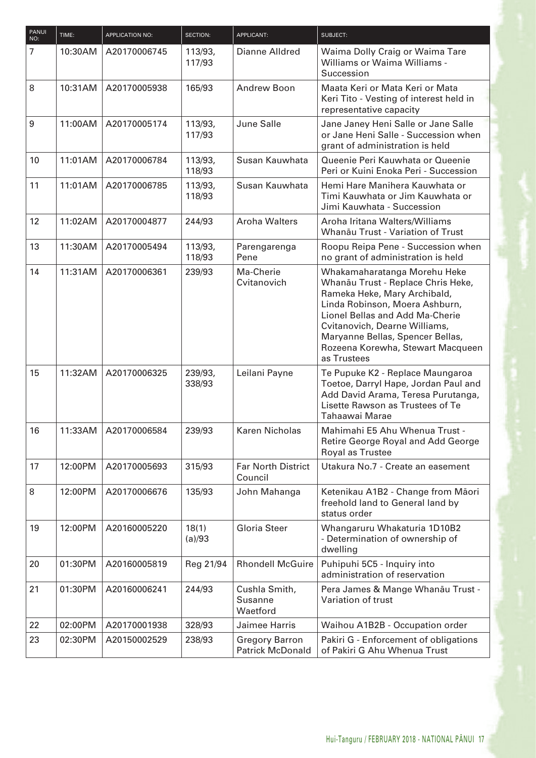| PANUI<br>NO:   | TIME:   | APPLICATION NO: | SECTION:          | APPLICANT:                                       | SUBJECT:                                                                                                                                                                                                                                                                                         |
|----------------|---------|-----------------|-------------------|--------------------------------------------------|--------------------------------------------------------------------------------------------------------------------------------------------------------------------------------------------------------------------------------------------------------------------------------------------------|
| $\overline{7}$ | 10:30AM | A20170006745    | 113/93,<br>117/93 | <b>Dianne Alldred</b>                            | Waima Dolly Craig or Waima Tare<br>Williams or Waima Williams -<br>Succession                                                                                                                                                                                                                    |
| 8              | 10:31AM | A20170005938    | 165/93            | <b>Andrew Boon</b>                               | Maata Keri or Mata Keri or Mata<br>Keri Tito - Vesting of interest held in<br>representative capacity                                                                                                                                                                                            |
| 9              | 11:00AM | A20170005174    | 113/93,<br>117/93 | June Salle                                       | Jane Janey Heni Salle or Jane Salle<br>or Jane Heni Salle - Succession when<br>grant of administration is held                                                                                                                                                                                   |
| 10             | 11:01AM | A20170006784    | 113/93,<br>118/93 | Susan Kauwhata                                   | Queenie Peri Kauwhata or Queenie<br>Peri or Kuini Enoka Peri - Succession                                                                                                                                                                                                                        |
| 11             | 11:01AM | A20170006785    | 113/93,<br>118/93 | Susan Kauwhata                                   | Hemi Hare Manihera Kauwhata or<br>Timi Kauwhata or Jim Kauwhata or<br>Jimi Kauwhata - Succession                                                                                                                                                                                                 |
| 12             | 11:02AM | A20170004877    | 244/93            | <b>Aroha Walters</b>                             | Aroha Iritana Walters/Williams<br>Whanau Trust - Variation of Trust                                                                                                                                                                                                                              |
| 13             | 11:30AM | A20170005494    | 113/93,<br>118/93 | Parengarenga<br>Pene                             | Roopu Reipa Pene - Succession when<br>no grant of administration is held                                                                                                                                                                                                                         |
| 14             | 11:31AM | A20170006361    | 239/93            | Ma-Cherie<br>Cvitanovich                         | Whakamaharatanga Morehu Heke<br>Whanāu Trust - Replace Chris Heke,<br>Rameka Heke, Mary Archibald,<br>Linda Robinson, Moera Ashburn,<br>Lionel Bellas and Add Ma-Cherie<br>Cvitanovich, Dearne Williams,<br>Maryanne Bellas, Spencer Bellas,<br>Rozeena Korewha, Stewart Macqueen<br>as Trustees |
| 15             | 11:32AM | A20170006325    | 239/93,<br>338/93 | Leilani Payne                                    | Te Pupuke K2 - Replace Maungaroa<br>Toetoe, Darryl Hape, Jordan Paul and<br>Add David Arama, Teresa Purutanga,<br>Lisette Rawson as Trustees of Te<br>Tahaawai Marae                                                                                                                             |
| 16             | 11:33AM | A20170006584    | 239/93            | Karen Nicholas                                   | Mahimahi E5 Ahu Whenua Trust -<br>Retire George Royal and Add George<br>Royal as Trustee                                                                                                                                                                                                         |
| 17             | 12:00PM | A20170005693    | 315/93            | <b>Far North District</b><br>Council             | Utakura No.7 - Create an easement                                                                                                                                                                                                                                                                |
| 8              | 12:00PM | A20170006676    | 135/93            | John Mahanga                                     | Ketenikau A1B2 - Change from Māori<br>freehold land to General land by<br>status order                                                                                                                                                                                                           |
| 19             | 12:00PM | A20160005220    | 18(1)<br>(a)/93   | <b>Gloria Steer</b>                              | Whangaruru Whakaturia 1D10B2<br>- Determination of ownership of<br>dwelling                                                                                                                                                                                                                      |
| 20             | 01:30PM | A20160005819    | Reg 21/94         | <b>Rhondell McGuire</b>                          | Puhipuhi 5C5 - Inquiry into<br>administration of reservation                                                                                                                                                                                                                                     |
| 21             | 01:30PM | A20160006241    | 244/93            | Cushla Smith,<br>Susanne<br>Waetford             | Pera James & Mange Whanau Trust -<br>Variation of trust                                                                                                                                                                                                                                          |
| 22             | 02:00PM | A20170001938    | 328/93            | Jaimee Harris                                    | Waihou A1B2B - Occupation order                                                                                                                                                                                                                                                                  |
| 23             | 02:30PM | A20150002529    | 238/93            | <b>Gregory Barron</b><br><b>Patrick McDonald</b> | Pakiri G - Enforcement of obligations<br>of Pakiri G Ahu Whenua Trust                                                                                                                                                                                                                            |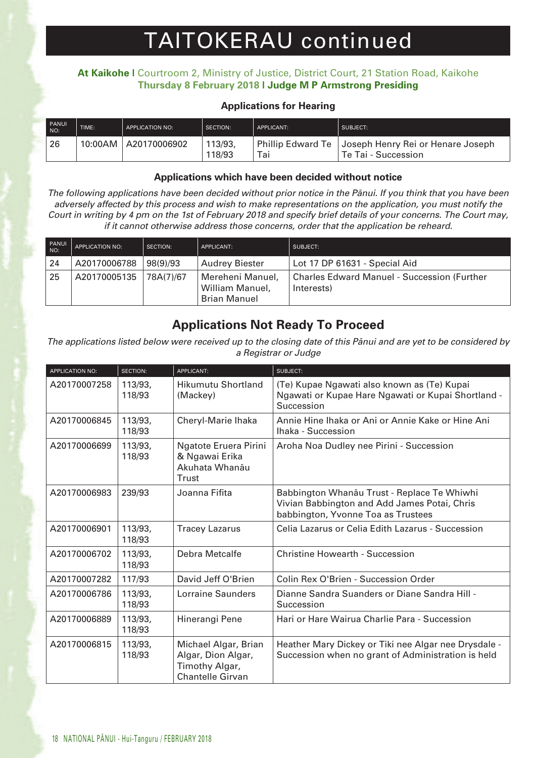# TAITOKERAU continued

## **At Kaikohe |** Courtroom 2, Ministry of Justice, District Court, 21 Station Road, Kaikohe **Thursday 8 February 2018 | Judge M P Armstrong Presiding**

## **Applications for Hearing**

| PANUI<br>NO: | TIME: | <b>APPLICATION NO:</b> | SECTION:          | APPLICANT: | SUBJECT:                                                                       |
|--------------|-------|------------------------|-------------------|------------|--------------------------------------------------------------------------------|
| 26           |       | 10:00AM   A20170006902 | 113/93,<br>118/93 | Tai        | Phillip Edward Te   Joseph Henry Rei or Henare Joseph<br>  Te Tai - Succession |

## **Applications which have been decided without notice**

*The following applications have been decided without prior notice in the Pänui. If you think that you have been adversely affected by this process and wish to make representations on the application, you must notify the Court in writing by 4 pm on the 1st of February 2018 and specify brief details of your concerns. The Court may, if it cannot otherwise address those concerns, order that the application be reheard.*

| <b>PANUL</b><br>NO: | <b>APPLICATION NO:</b> | SECTION:  | APPLICANT:                                                 | SUBJECT:                                                  |
|---------------------|------------------------|-----------|------------------------------------------------------------|-----------------------------------------------------------|
| 24                  | A20170006788           | 98(9)/93  | <b>Audrey Biester</b>                                      | Lot 17 DP 61631 - Special Aid                             |
| 25                  | A20170005135           | 78A(7)/67 | Mereheni Manuel,<br>William Manuel,<br><b>Brian Manuel</b> | Charles Edward Manuel - Succession (Further<br>Interests) |

## **Applications Not Ready To Proceed**

*The applications listed below were received up to the closing date of this Pänui and are yet to be considered by a Registrar or Judge*

| <b>APPLICATION NO:</b> | SECTION:          | APPLICANT:                                                                              | SUBJECT:                                                                                                                          |
|------------------------|-------------------|-----------------------------------------------------------------------------------------|-----------------------------------------------------------------------------------------------------------------------------------|
| A20170007258           | 113/93,<br>118/93 | <b>Hikumutu Shortland</b><br>(Mackey)                                                   | (Te) Kupae Ngawati also known as (Te) Kupai<br>Ngawati or Kupae Hare Ngawati or Kupai Shortland -<br>Succession                   |
| A20170006845           | 113/93,<br>118/93 | Cheryl-Marie Ihaka                                                                      | Annie Hine Ihaka or Ani or Annie Kake or Hine Ani<br>Ihaka - Succession                                                           |
| A20170006699           | 113/93,<br>118/93 | Ngatote Eruera Pirini<br>& Ngawai Erika<br>Akuhata Whanau<br>Trust                      | Aroha Noa Dudley nee Pirini - Succession                                                                                          |
| A20170006983           | 239/93            | Joanna Fifita                                                                           | Babbington Whanau Trust - Replace Te Whiwhi<br>Vivian Babbington and Add James Potai, Chris<br>babbington, Yvonne Toa as Trustees |
| A20170006901           | 113/93,<br>118/93 | <b>Tracey Lazarus</b>                                                                   | Celia Lazarus or Celia Edith Lazarus - Succession                                                                                 |
| A20170006702           | 113/93,<br>118/93 | Debra Metcalfe                                                                          | <b>Christine Howearth - Succession</b>                                                                                            |
| A20170007282           | 117/93            | David Jeff O'Brien                                                                      | Colin Rex O'Brien - Succession Order                                                                                              |
| A20170006786           | 113/93,<br>118/93 | Lorraine Saunders                                                                       | Dianne Sandra Suanders or Diane Sandra Hill -<br>Succession                                                                       |
| A20170006889           | 113/93,<br>118/93 | Hinerangi Pene                                                                          | Hari or Hare Wairua Charlie Para - Succession                                                                                     |
| A20170006815           | 113/93,<br>118/93 | Michael Algar, Brian<br>Algar, Dion Algar,<br>Timothy Algar,<br><b>Chantelle Girvan</b> | Heather Mary Dickey or Tiki nee Algar nee Drysdale -<br>Succession when no grant of Administration is held                        |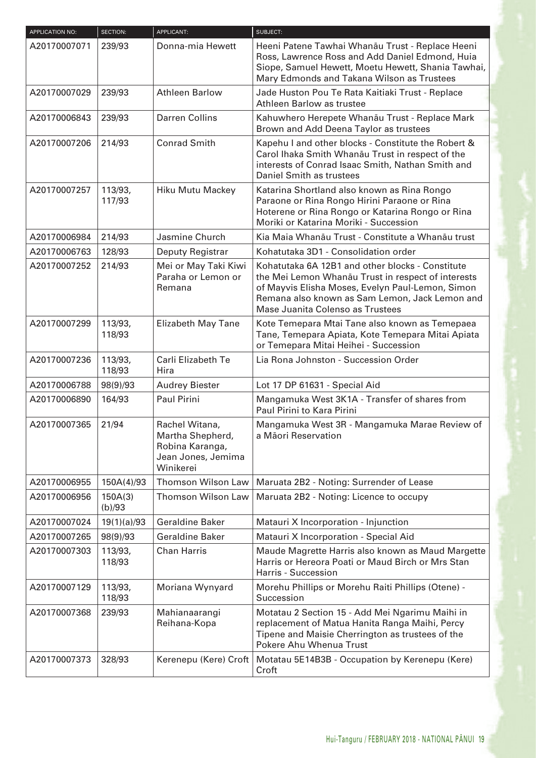| <b>APPLICATION NO:</b> | SECTION:          | APPLICANT:                                                                               | SUBJECT:                                                                                                                                                                                                                                         |
|------------------------|-------------------|------------------------------------------------------------------------------------------|--------------------------------------------------------------------------------------------------------------------------------------------------------------------------------------------------------------------------------------------------|
| A20170007071           | 239/93            | Donna-mia Hewett                                                                         | Heeni Patene Tawhai Whanāu Trust - Replace Heeni<br>Ross, Lawrence Ross and Add Daniel Edmond, Huia<br>Siope, Samuel Hewett, Moetu Hewett, Shania Tawhai,<br>Mary Edmonds and Takana Wilson as Trustees                                          |
| A20170007029           | 239/93            | <b>Athleen Barlow</b>                                                                    | Jade Huston Pou Te Rata Kaitiaki Trust - Replace<br>Athleen Barlow as trustee                                                                                                                                                                    |
| A20170006843           | 239/93            | <b>Darren Collins</b>                                                                    | Kahuwhero Herepete Whanāu Trust - Replace Mark<br>Brown and Add Deena Taylor as trustees                                                                                                                                                         |
| A20170007206           | 214/93            | <b>Conrad Smith</b>                                                                      | Kapehu I and other blocks - Constitute the Robert &<br>Carol Ihaka Smith Whanau Trust in respect of the<br>interests of Conrad Isaac Smith, Nathan Smith and<br>Daniel Smith as trustees                                                         |
| A20170007257           | 113/93,<br>117/93 | Hiku Mutu Mackey                                                                         | Katarina Shortland also known as Rina Rongo<br>Paraone or Rina Rongo Hirini Paraone or Rina<br>Hoterene or Rina Rongo or Katarina Rongo or Rina<br>Moriki or Katarina Moriki - Succession                                                        |
| A20170006984           | 214/93            | Jasmine Church                                                                           | Kia Maia Whanāu Trust - Constitute a Whanāu trust                                                                                                                                                                                                |
| A20170006763           | 128/93            | Deputy Registrar                                                                         | Kohatutaka 3D1 - Consolidation order                                                                                                                                                                                                             |
| A20170007252           | 214/93            | Mei or May Taki Kiwi<br>Paraha or Lemon or<br>Remana                                     | Kohatutaka 6A 12B1 and other blocks - Constitute<br>the Mei Lemon Whanau Trust in respect of interests<br>of Mayvis Elisha Moses, Evelyn Paul-Lemon, Simon<br>Remana also known as Sam Lemon, Jack Lemon and<br>Mase Juanita Colenso as Trustees |
| A20170007299           | 113/93,<br>118/93 | <b>Elizabeth May Tane</b>                                                                | Kote Temepara Mtai Tane also known as Temepaea<br>Tane, Temepara Apiata, Kote Temepara Mitai Apiata<br>or Temepara Mitai Heihei - Succession                                                                                                     |
| A20170007236           | 113/93,<br>118/93 | Carli Elizabeth Te<br>Hira                                                               | Lia Rona Johnston - Succession Order                                                                                                                                                                                                             |
| A20170006788           | 98(9)/93          | <b>Audrey Biester</b>                                                                    | Lot 17 DP 61631 - Special Aid                                                                                                                                                                                                                    |
| A20170006890           | 164/93            | Paul Pirini                                                                              | Mangamuka West 3K1A - Transfer of shares from<br>Paul Pirini to Kara Pirini                                                                                                                                                                      |
| A20170007365           | 21/94             | Rachel Witana,<br>Martha Shepherd,<br>Robina Karanga,<br>Jean Jones, Jemima<br>Winikerei | Mangamuka West 3R - Mangamuka Marae Review of<br>a Māori Reservation                                                                                                                                                                             |
| A20170006955           | 150A(4)/93        | <b>Thomson Wilson Law</b>                                                                | Maruata 2B2 - Noting: Surrender of Lease                                                                                                                                                                                                         |
| A20170006956           | 150A(3)<br>(b)/93 | <b>Thomson Wilson Law</b>                                                                | Maruata 2B2 - Noting: Licence to occupy                                                                                                                                                                                                          |
| A20170007024           | 19(1)(a)/93       | <b>Geraldine Baker</b>                                                                   | Matauri X Incorporation - Injunction                                                                                                                                                                                                             |
| A20170007265           | 98(9)/93          | <b>Geraldine Baker</b>                                                                   | Matauri X Incorporation - Special Aid                                                                                                                                                                                                            |
| A20170007303           | 113/93,<br>118/93 | <b>Chan Harris</b>                                                                       | Maude Magrette Harris also known as Maud Margette<br>Harris or Hereora Poati or Maud Birch or Mrs Stan<br>Harris - Succession                                                                                                                    |
| A20170007129           | 113/93,<br>118/93 | Moriana Wynyard                                                                          | Morehu Phillips or Morehu Raiti Phillips (Otene) -<br>Succession                                                                                                                                                                                 |
| A20170007368           | 239/93            | Mahianaarangi<br>Reihana-Kopa                                                            | Motatau 2 Section 15 - Add Mei Ngarimu Maihi in<br>replacement of Matua Hanita Ranga Maihi, Percy<br>Tipene and Maisie Cherrington as trustees of the<br>Pokere Ahu Whenua Trust                                                                 |
| A20170007373           | 328/93            | Kerenepu (Kere) Croft                                                                    | Motatau 5E14B3B - Occupation by Kerenepu (Kere)<br>Croft                                                                                                                                                                                         |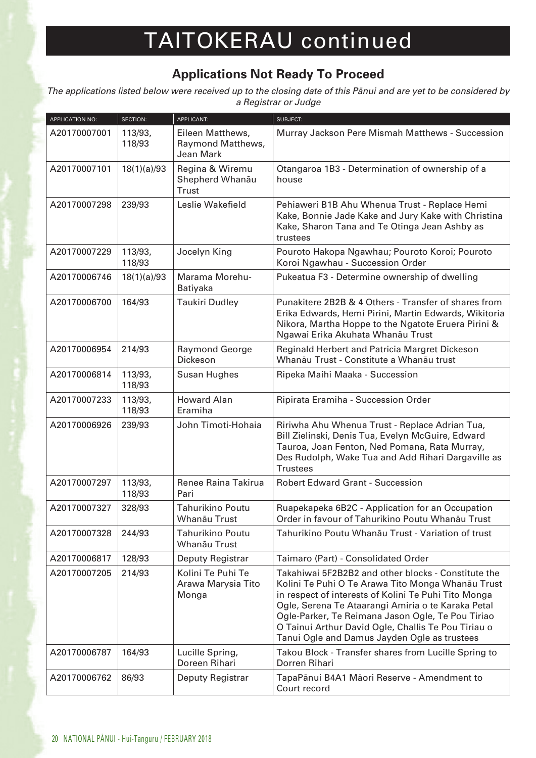## **Applications Not Ready To Proceed**

*The applications listed below were received up to the closing date of this Pänui and are yet to be considered by a Registrar or Judge*

| <b>APPLICATION NO:</b> | <b>SECTION:</b>   | APPLICANT:                                         | SUBJECT:                                                                                                                                                                                                                                                                                                                                                                           |  |
|------------------------|-------------------|----------------------------------------------------|------------------------------------------------------------------------------------------------------------------------------------------------------------------------------------------------------------------------------------------------------------------------------------------------------------------------------------------------------------------------------------|--|
| A20170007001           | 113/93,<br>118/93 | Eileen Matthews,<br>Raymond Matthews,<br>Jean Mark | Murray Jackson Pere Mismah Matthews - Succession                                                                                                                                                                                                                                                                                                                                   |  |
| A20170007101           | 18(1)(a)/93       | Regina & Wiremu<br>Shepherd Whanau<br><b>Trust</b> | Otangaroa 1B3 - Determination of ownership of a<br>house                                                                                                                                                                                                                                                                                                                           |  |
| A20170007298           | 239/93            | Leslie Wakefield                                   | Pehiaweri B1B Ahu Whenua Trust - Replace Hemi<br>Kake, Bonnie Jade Kake and Jury Kake with Christina<br>Kake, Sharon Tana and Te Otinga Jean Ashby as<br>trustees                                                                                                                                                                                                                  |  |
| A20170007229           | 113/93,<br>118/93 | Jocelyn King                                       | Pouroto Hakopa Ngawhau; Pouroto Koroi; Pouroto<br>Koroi Ngawhau - Succession Order                                                                                                                                                                                                                                                                                                 |  |
| A20170006746           | 18(1)(a)/93       | Marama Morehu-<br><b>Batiyaka</b>                  | Pukeatua F3 - Determine ownership of dwelling                                                                                                                                                                                                                                                                                                                                      |  |
| A20170006700           | 164/93            | <b>Taukiri Dudley</b>                              | Punakitere 2B2B & 4 Others - Transfer of shares from<br>Erika Edwards, Hemi Pirini, Martin Edwards, Wikitoria<br>Nikora, Martha Hoppe to the Ngatote Eruera Pirini &<br>Ngawai Erika Akuhata Whanāu Trust                                                                                                                                                                          |  |
| A20170006954           | 214/93            | Raymond George<br>Dickeson                         | Reginald Herbert and Patricia Margret Dickeson<br>Whanāu Trust - Constitute a Whanāu trust                                                                                                                                                                                                                                                                                         |  |
| A20170006814           | 113/93,<br>118/93 | Susan Hughes                                       | Ripeka Maihi Maaka - Succession                                                                                                                                                                                                                                                                                                                                                    |  |
| A20170007233           | 113/93,<br>118/93 | <b>Howard Alan</b><br>Eramiha                      | Ripirata Eramiha - Succession Order                                                                                                                                                                                                                                                                                                                                                |  |
| A20170006926           | 239/93            | John Timoti-Hohaia                                 | Ririwha Ahu Whenua Trust - Replace Adrian Tua,<br>Bill Zielinski, Denis Tua, Evelyn McGuire, Edward<br>Tauroa, Joan Fenton, Ned Pomana, Rata Murray,<br>Des Rudolph, Wake Tua and Add Rihari Dargaville as<br><b>Trustees</b>                                                                                                                                                      |  |
| A20170007297           | 113/93,<br>118/93 | Renee Raina Takirua<br>Pari                        | <b>Robert Edward Grant - Succession</b>                                                                                                                                                                                                                                                                                                                                            |  |
| A20170007327           | 328/93            | Tahurikino Poutu<br>Whanāu Trust                   | Ruapekapeka 6B2C - Application for an Occupation<br>Order in favour of Tahurikino Poutu Whanāu Trust                                                                                                                                                                                                                                                                               |  |
| A20170007328           | 244/93            | <b>Tahurikino Poutu</b><br>Whanau Trust            | Tahurikino Poutu Whanāu Trust - Variation of trust                                                                                                                                                                                                                                                                                                                                 |  |
| A20170006817           | 128/93            | Deputy Registrar                                   | Taimaro (Part) - Consolidated Order                                                                                                                                                                                                                                                                                                                                                |  |
| A20170007205           | 214/93            | Kolini Te Puhi Te<br>Arawa Marysia Tito<br>Monga   | Takahiwai 5F2B2B2 and other blocks - Constitute the<br>Kolini Te Puhi O Te Arawa Tito Monga Whanau Trust<br>in respect of interests of Kolini Te Puhi Tito Monga<br>Ogle, Serena Te Ataarangi Amiria o te Karaka Petal<br>Ogle-Parker, Te Reimana Jason Ogle, Te Pou Tiriao<br>O Tainui Arthur David Ogle, Challis Te Pou Tiriau o<br>Tanui Ogle and Damus Jayden Ogle as trustees |  |
| A20170006787           | 164/93            | Lucille Spring,<br>Doreen Rihari                   | Takou Block - Transfer shares from Lucille Spring to<br>Dorren Rihari                                                                                                                                                                                                                                                                                                              |  |
| A20170006762           | 86/93             | Deputy Registrar                                   | TapaPānui B4A1 Māori Reserve - Amendment to<br>Court record                                                                                                                                                                                                                                                                                                                        |  |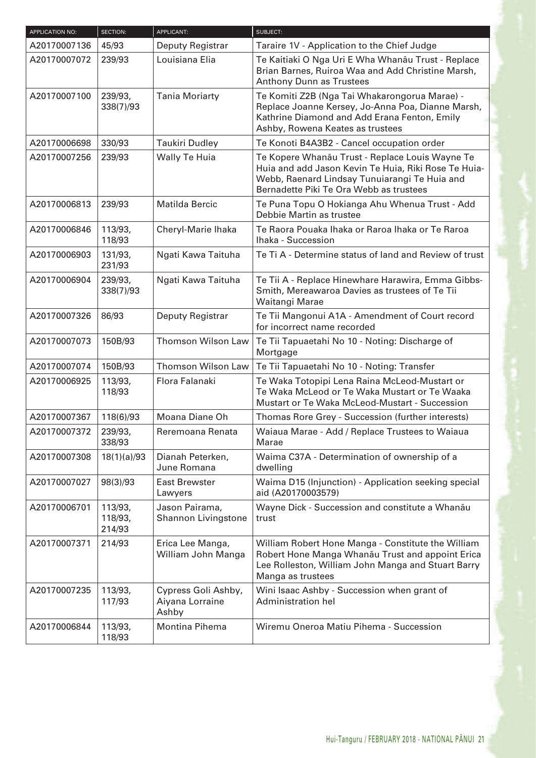| <b>APPLICATION NO:</b> | SECTION:                     | APPLICANT:                                      | SUBJECT:                                                                                                                                                                                            |
|------------------------|------------------------------|-------------------------------------------------|-----------------------------------------------------------------------------------------------------------------------------------------------------------------------------------------------------|
| A20170007136           | 45/93                        | Deputy Registrar                                | Taraire 1V - Application to the Chief Judge                                                                                                                                                         |
| A20170007072           | 239/93                       | Louisiana Elia                                  | Te Kaitiaki O Nga Uri E Wha Whanau Trust - Replace<br>Brian Barnes, Ruiroa Waa and Add Christine Marsh,<br>Anthony Dunn as Trustees                                                                 |
| A20170007100           | 239/93,<br>338(7)/93         | <b>Tania Moriarty</b>                           | Te Komiti Z2B (Nga Tai Whakarongorua Marae) -<br>Replace Joanne Kersey, Jo-Anna Poa, Dianne Marsh,<br>Kathrine Diamond and Add Erana Fenton, Emily<br>Ashby, Rowena Keates as trustees              |
| A20170006698           | 330/93                       | <b>Taukiri Dudley</b>                           | Te Konoti B4A3B2 - Cancel occupation order                                                                                                                                                          |
| A20170007256           | 239/93                       | Wally Te Huia                                   | Te Kopere Whanāu Trust - Replace Louis Wayne Te<br>Huia and add Jason Kevin Te Huia, Riki Rose Te Huia-<br>Webb, Raenard Lindsay Tunuiarangi Te Huia and<br>Bernadette Piki Te Ora Webb as trustees |
| A20170006813           | 239/93                       | Matilda Bercic                                  | Te Puna Topu O Hokianga Ahu Whenua Trust - Add<br>Debbie Martin as trustee                                                                                                                          |
| A20170006846           | 113/93,<br>118/93            | Cheryl-Marie Ihaka                              | Te Raora Pouaka Ihaka or Raroa Ihaka or Te Raroa<br>Ihaka - Succession                                                                                                                              |
| A20170006903           | 131/93,<br>231/93            | Ngati Kawa Taituha                              | Te Ti A - Determine status of land and Review of trust                                                                                                                                              |
| A20170006904           | 239/93,<br>338(7)/93         | Ngati Kawa Taituha                              | Te Tii A - Replace Hinewhare Harawira, Emma Gibbs-<br>Smith, Mereawaroa Davies as trustees of Te Tii<br>Waitangi Marae                                                                              |
| A20170007326           | 86/93                        | Deputy Registrar                                | Te Tii Mangonui A1A - Amendment of Court record<br>for incorrect name recorded                                                                                                                      |
| A20170007073           | 150B/93                      | <b>Thomson Wilson Law</b>                       | Te Tii Tapuaetahi No 10 - Noting: Discharge of<br>Mortgage                                                                                                                                          |
| A20170007074           | 150B/93                      | <b>Thomson Wilson Law</b>                       | Te Tii Tapuaetahi No 10 - Noting: Transfer                                                                                                                                                          |
| A20170006925           | 113/93,<br>118/93            | Flora Falanaki                                  | Te Waka Totopipi Lena Raina McLeod-Mustart or<br>Te Waka McLeod or Te Waka Mustart or Te Waaka<br>Mustart or Te Waka McLeod-Mustart - Succession                                                    |
| A20170007367           | 118(6)/93                    | Moana Diane Oh                                  | Thomas Rore Grey - Succession (further interests)                                                                                                                                                   |
| A20170007372           | 239/93,<br>338/93            | Reremoana Renata                                | Waiaua Marae - Add / Replace Trustees to Waiaua<br>Marae                                                                                                                                            |
| A20170007308           | 18(1)(a)/93                  | Dianah Peterken,<br>June Romana                 | Waima C37A - Determination of ownership of a<br>dwelling                                                                                                                                            |
| A20170007027           | 98(3)/93                     | <b>East Brewster</b><br>Lawyers                 | Waima D15 (Injunction) - Application seeking special<br>aid (A20170003579)                                                                                                                          |
| A20170006701           | 113/93,<br>118/93,<br>214/93 | Jason Pairama,<br>Shannon Livingstone           | Wayne Dick - Succession and constitute a Whanau<br>trust                                                                                                                                            |
| A20170007371           | 214/93                       | Erica Lee Manga,<br>William John Manga          | William Robert Hone Manga - Constitute the William<br>Robert Hone Manga Whanau Trust and appoint Erica<br>Lee Rolleston, William John Manga and Stuart Barry<br>Manga as trustees                   |
| A20170007235           | 113/93,<br>117/93            | Cypress Goli Ashby,<br>Aiyana Lorraine<br>Ashby | Wini Isaac Ashby - Succession when grant of<br>Administration hel                                                                                                                                   |
| A20170006844           | 113/93,<br>118/93            | Montina Pihema                                  | Wiremu Oneroa Matiu Pihema - Succession                                                                                                                                                             |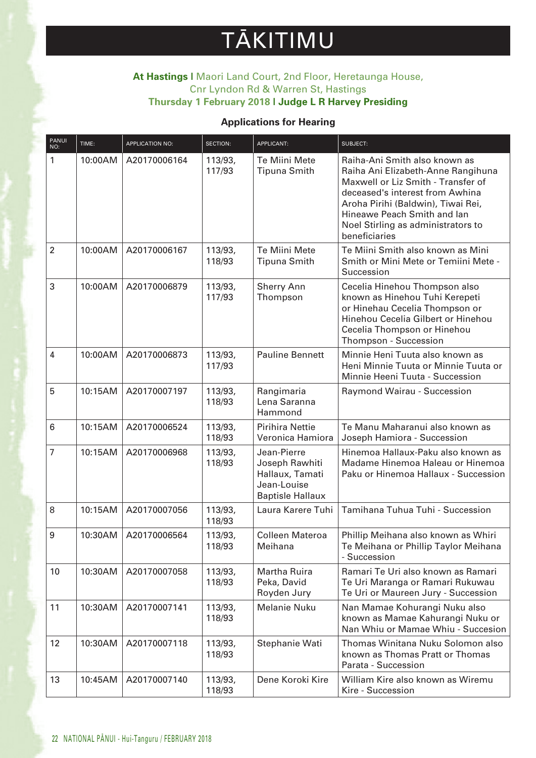# TÄKITIMU

## **At Hastings |** Maori Land Court, 2nd Floor, Heretaunga House, Cnr Lyndon Rd & Warren St, Hastings **Thursday 1 February 2018 | Judge L R Harvey Presiding**

| <b>PANUI</b><br>NO: | TIME:   | APPLICATION NO: | SECTION:          | APPLICANT:                                                                                 | SUBJECT:                                                                                                                                                                                                                                                                 |
|---------------------|---------|-----------------|-------------------|--------------------------------------------------------------------------------------------|--------------------------------------------------------------------------------------------------------------------------------------------------------------------------------------------------------------------------------------------------------------------------|
| 1                   | 10:00AM | A20170006164    | 113/93,<br>117/93 | <b>Te Miini Mete</b><br><b>Tipuna Smith</b>                                                | Raiha-Ani Smith also known as<br>Raiha Ani Elizabeth-Anne Rangihuna<br>Maxwell or Liz Smith - Transfer of<br>deceased's interest from Awhina<br>Aroha Pirihi (Baldwin), Tiwai Rei,<br>Hineawe Peach Smith and lan<br>Noel Stirling as administrators to<br>beneficiaries |
| 2                   | 10:00AM | A20170006167    | 113/93,<br>118/93 | Te Miini Mete<br><b>Tipuna Smith</b>                                                       | Te Miini Smith also known as Mini<br>Smith or Mini Mete or Temiini Mete -<br>Succession                                                                                                                                                                                  |
| 3                   | 10:00AM | A20170006879    | 113/93,<br>117/93 | <b>Sherry Ann</b><br>Thompson                                                              | Cecelia Hinehou Thompson also<br>known as Hinehou Tuhi Kerepeti<br>or Hinehau Cecelia Thompson or<br>Hinehou Cecelia Gilbert or Hinehou<br>Cecelia Thompson or Hinehou<br>Thompson - Succession                                                                          |
| $\overline{4}$      | 10:00AM | A20170006873    | 113/93,<br>117/93 | <b>Pauline Bennett</b>                                                                     | Minnie Heni Tuuta also known as<br>Heni Minnie Tuuta or Minnie Tuuta or<br>Minnie Heeni Tuuta - Succession                                                                                                                                                               |
| 5                   | 10:15AM | A20170007197    | 113/93,<br>118/93 | Rangimaria<br>Lena Saranna<br>Hammond                                                      | Raymond Wairau - Succession                                                                                                                                                                                                                                              |
| 6                   | 10:15AM | A20170006524    | 113/93,<br>118/93 | <b>Pirihira Nettie</b><br>Veronica Hamiora                                                 | Te Manu Maharanui also known as<br>Joseph Hamiora - Succession                                                                                                                                                                                                           |
| $\overline{7}$      | 10:15AM | A20170006968    | 113/93,<br>118/93 | Jean-Pierre<br>Joseph Rawhiti<br>Hallaux, Tamati<br>Jean-Louise<br><b>Baptisle Hallaux</b> | Hinemoa Hallaux-Paku also known as<br>Madame Hinemoa Haleau or Hinemoa<br>Paku or Hinemoa Hallaux - Succession                                                                                                                                                           |
| 8                   | 10:15AM | A20170007056    | 113/93,<br>118/93 | Laura Karere Tuhi                                                                          | Tamihana Tuhua Tuhi - Succession                                                                                                                                                                                                                                         |
| $\boldsymbol{9}$    | 10:30AM | A20170006564    | 113/93,<br>118/93 | Colleen Materoa<br>Meihana                                                                 | Phillip Meihana also known as Whiri<br>Te Meihana or Phillip Taylor Meihana<br>- Succession                                                                                                                                                                              |
| 10                  | 10:30AM | A20170007058    | 113/93,<br>118/93 | Martha Ruira<br>Peka, David<br>Royden Jury                                                 | Ramari Te Uri also known as Ramari<br>Te Uri Maranga or Ramari Rukuwau<br>Te Uri or Maureen Jury - Succession                                                                                                                                                            |
| 11                  | 10:30AM | A20170007141    | 113/93,<br>118/93 | <b>Melanie Nuku</b>                                                                        | Nan Mamae Kohurangi Nuku also<br>known as Mamae Kahurangi Nuku or<br>Nan Whiu or Mamae Whiu - Succesion                                                                                                                                                                  |
| 12                  | 10:30AM | A20170007118    | 113/93,<br>118/93 | Stephanie Wati                                                                             | Thomas Winitana Nuku Solomon also<br>known as Thomas Pratt or Thomas<br>Parata - Succession                                                                                                                                                                              |
| 13                  | 10:45AM | A20170007140    | 113/93,<br>118/93 | Dene Koroki Kire                                                                           | William Kire also known as Wiremu<br>Kire - Succession                                                                                                                                                                                                                   |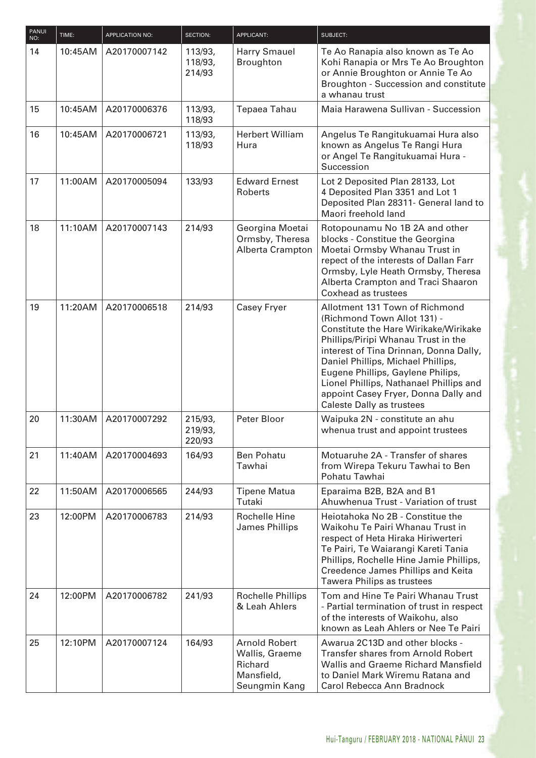| PANUI<br>NO: | TIME:   | <b>APPLICATION NO:</b> | SECTION:                     | APPLICANT:                                                                       | SUBJECT:                                                                                                                                                                                                                                                                                                                                                                           |
|--------------|---------|------------------------|------------------------------|----------------------------------------------------------------------------------|------------------------------------------------------------------------------------------------------------------------------------------------------------------------------------------------------------------------------------------------------------------------------------------------------------------------------------------------------------------------------------|
| 14           | 10:45AM | A20170007142           | 113/93,<br>118/93,<br>214/93 | Harry Smauel<br>Broughton                                                        | Te Ao Ranapia also known as Te Ao<br>Kohi Ranapia or Mrs Te Ao Broughton<br>or Annie Broughton or Annie Te Ao<br>Broughton - Succession and constitute<br>a whanau trust                                                                                                                                                                                                           |
| 15           | 10:45AM | A20170006376           | 113/93,<br>118/93            | Tepaea Tahau                                                                     | Maia Harawena Sullivan - Succession                                                                                                                                                                                                                                                                                                                                                |
| 16           | 10:45AM | A20170006721           | 113/93,<br>118/93            | <b>Herbert William</b><br>Hura                                                   | Angelus Te Rangitukuamai Hura also<br>known as Angelus Te Rangi Hura<br>or Angel Te Rangitukuamai Hura -<br>Succession                                                                                                                                                                                                                                                             |
| 17           | 11:00AM | A20170005094           | 133/93                       | <b>Edward Ernest</b><br><b>Roberts</b>                                           | Lot 2 Deposited Plan 28133, Lot<br>4 Deposited Plan 3351 and Lot 1<br>Deposited Plan 28311- General land to<br>Maori freehold land                                                                                                                                                                                                                                                 |
| 18           | 11:10AM | A20170007143           | 214/93                       | Georgina Moetai<br>Ormsby, Theresa<br>Alberta Crampton                           | Rotopounamu No 1B 2A and other<br>blocks - Constitue the Georgina<br>Moetai Ormsby Whanau Trust in<br>repect of the interests of Dallan Farr<br>Ormsby, Lyle Heath Ormsby, Theresa<br>Alberta Crampton and Traci Shaaron<br>Coxhead as trustees                                                                                                                                    |
| 19           | 11:20AM | A20170006518           | 214/93                       | <b>Casey Fryer</b>                                                               | Allotment 131 Town of Richmond<br>(Richmond Town Allot 131) -<br>Constitute the Hare Wirikake/Wirikake<br>Phillips/Piripi Whanau Trust in the<br>interest of Tina Drinnan, Donna Dally,<br>Daniel Phillips, Michael Phillips,<br>Eugene Phillips, Gaylene Philips,<br>Lionel Phillips, Nathanael Phillips and<br>appoint Casey Fryer, Donna Dally and<br>Caleste Dally as trustees |
| 20           | 11:30AM | A20170007292           | 215/93,<br>219/93,<br>220/93 | Peter Bloor                                                                      | Waipuka 2N - constitute an ahu<br>whenua trust and appoint trustees                                                                                                                                                                                                                                                                                                                |
| 21           | 11:40AM | A20170004693           | 164/93                       | <b>Ben Pohatu</b><br>Tawhai                                                      | Motuaruhe 2A - Transfer of shares<br>from Wirepa Tekuru Tawhai to Ben<br>Pohatu Tawhai                                                                                                                                                                                                                                                                                             |
| 22           | 11:50AM | A20170006565           | 244/93                       | <b>Tipene Matua</b><br>Tutaki                                                    | Eparaima B2B, B2A and B1<br>Ahuwhenua Trust - Variation of trust                                                                                                                                                                                                                                                                                                                   |
| 23           | 12:00PM | A20170006783           | 214/93                       | <b>Rochelle Hine</b><br>James Phillips                                           | Heiotahoka No 2B - Constitue the<br>Waikohu Te Pairi Whanau Trust in<br>respect of Heta Hiraka Hiriwerteri<br>Te Pairi, Te Waiarangi Kareti Tania<br>Phillips, Rochelle Hine Jamie Phillips,<br>Creedence James Phillips and Keita<br><b>Tawera Philips as trustees</b>                                                                                                            |
| 24           | 12:00PM | A20170006782           | 241/93                       | <b>Rochelle Phillips</b><br>& Leah Ahlers                                        | Tom and Hine Te Pairi Whanau Trust<br>- Partial termination of trust in respect<br>of the interests of Waikohu, also<br>known as Leah Ahlers or Nee Te Pairi                                                                                                                                                                                                                       |
| 25           | 12:10PM | A20170007124           | 164/93                       | <b>Arnold Robert</b><br>Wallis, Graeme<br>Richard<br>Mansfield,<br>Seungmin Kang | Awarua 2C13D and other blocks -<br><b>Transfer shares from Arnold Robert</b><br><b>Wallis and Graeme Richard Mansfield</b><br>to Daniel Mark Wiremu Ratana and<br>Carol Rebecca Ann Bradnock                                                                                                                                                                                       |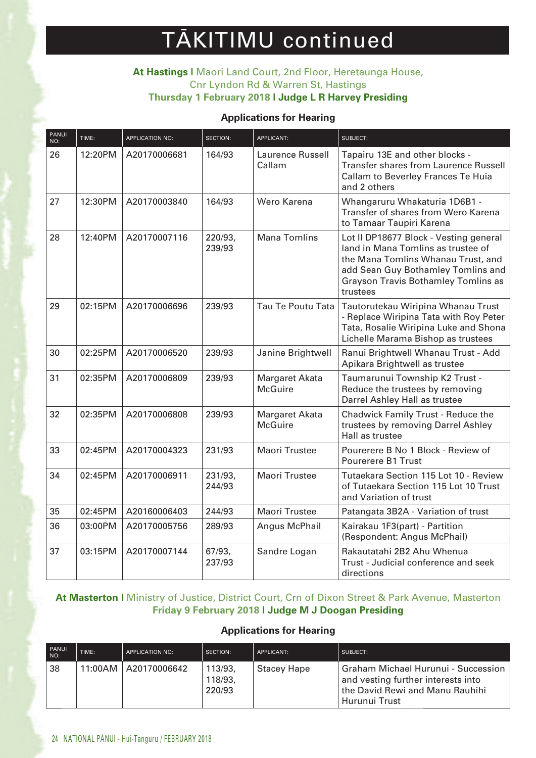# TÄKITIMU continued

## **At Hastings |** Maori Land Court, 2nd Floor, Heretaunga House, Cnr Lyndon Rd & Warren St, Hastings **Thursday 1 February 2018 | Judge L R Harvey Presiding**

## **Applications for Hearing**

| PANUI<br>NO: | TIME:   | APPLICATION NO: | SECTION:          | APPLICANT:                       | SUBJECT:                                                                                                                                                                                                           |
|--------------|---------|-----------------|-------------------|----------------------------------|--------------------------------------------------------------------------------------------------------------------------------------------------------------------------------------------------------------------|
| 26           | 12:20PM | A20170006681    | 164/93            | Laurence Russell<br>Callam       | Tapairu 13E and other blocks -<br><b>Transfer shares from Laurence Russell</b><br>Callam to Beverley Frances Te Huia<br>and 2 others                                                                               |
| 27           | 12:30PM | A20170003840    | 164/93            | Wero Karena                      | Whangaruru Whakaturia 1D6B1 -<br>Transfer of shares from Wero Karena<br>to Tamaar Taupiri Karena                                                                                                                   |
| 28           | 12:40PM | A20170007116    | 220/93,<br>239/93 | <b>Mana Tomlins</b>              | Lot II DP18677 Block - Vesting general<br>land in Mana Tomlins as trustee of<br>the Mana Tomlins Whanau Trust, and<br>add Sean Guy Bothamley Tomlins and<br><b>Grayson Travis Bothamley Tomlins as</b><br>trustees |
| 29           | 02:15PM | A20170006696    | 239/93            | Tau Te Poutu Tata                | Tautorutekau Wiripina Whanau Trust<br>- Replace Wiripina Tata with Roy Peter<br>Tata, Rosalie Wiripina Luke and Shona<br>Lichelle Marama Bishop as trustees                                                        |
| 30           | 02:25PM | A20170006520    | 239/93            | Janine Brightwell                | Ranui Brightwell Whanau Trust - Add<br>Apikara Brightwell as trustee                                                                                                                                               |
| 31           | 02:35PM | A20170006809    | 239/93            | Margaret Akata<br><b>McGuire</b> | Taumarunui Township K2 Trust -<br>Reduce the trustees by removing<br>Darrel Ashley Hall as trustee                                                                                                                 |
| 32           | 02:35PM | A20170006808    | 239/93            | Margaret Akata<br><b>McGuire</b> | Chadwick Family Trust - Reduce the<br>trustees by removing Darrel Ashley<br>Hall as trustee                                                                                                                        |
| 33           | 02:45PM | A20170004323    | 231/93            | <b>Maori Trustee</b>             | Pourerere B No 1 Block - Review of<br>Pourerere B1 Trust                                                                                                                                                           |
| 34           | 02:45PM | A20170006911    | 231/93,<br>244/93 | <b>Maori Trustee</b>             | Tutaekara Section 115 Lot 10 - Review<br>of Tutaekara Section 115 Lot 10 Trust<br>and Variation of trust                                                                                                           |
| 35           | 02:45PM | A20160006403    | 244/93            | <b>Maori Trustee</b>             | Patangata 3B2A - Variation of trust                                                                                                                                                                                |
| 36           | 03:00PM | A20170005756    | 289/93            | Angus McPhail                    | Kairakau 1F3(part) - Partition<br>(Respondent: Angus McPhail)                                                                                                                                                      |
| 37           | 03:15PM | A20170007144    | 67/93,<br>237/93  | Sandre Logan                     | Rakautatahi 2B2 Ahu Whenua<br>Trust - Judicial conference and seek<br>directions                                                                                                                                   |

## **At Masterton |** Ministry of Justice, District Court, Crn of Dixon Street & Park Avenue, Masterton **Friday 9 February 2018 | Judge M J Doogan Presiding**

| PANUI<br>NO: | TIME: | <b>APPLICATION NO:</b> | SECTION:                     | APPLICANT:  | SUBJECT:                                                                                                                             |
|--------------|-------|------------------------|------------------------------|-------------|--------------------------------------------------------------------------------------------------------------------------------------|
| 38           |       | 11:00AM   A20170006642 | 113/93.<br>118/93,<br>220/93 | Stacey Hape | <b>Graham Michael Hurunui - Succession</b><br>and vesting further interests into<br>the David Rewi and Manu Rauhihi<br>Hurunui Trust |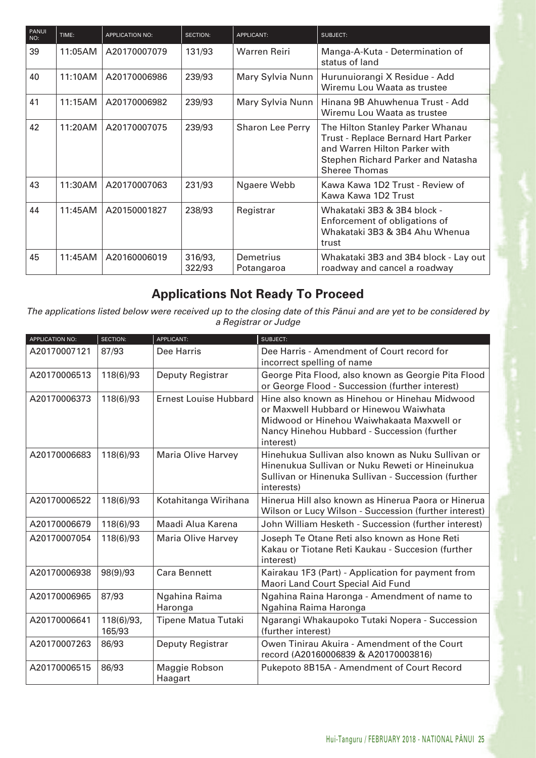| <b>PANUI</b><br>NO: | TIME:   | <b>APPLICATION NO:</b> | <b>SECTION:</b>   | <b>APPLICANT:</b>       | SUBJECT:                                                                                                                                                               |
|---------------------|---------|------------------------|-------------------|-------------------------|------------------------------------------------------------------------------------------------------------------------------------------------------------------------|
| 39                  | 11:05AM | A20170007079           | 131/93            | Warren Reiri            | Manga-A-Kuta - Determination of<br>status of land                                                                                                                      |
| 40                  | 11:10AM | A20170006986           | 239/93            | Mary Sylvia Nunn        | Hurunuiorangi X Residue - Add<br>Wiremu Lou Waata as trustee                                                                                                           |
| 41                  | 11:15AM | A20170006982           | 239/93            | Mary Sylvia Nunn        | Hinana 9B Ahuwhenua Trust - Add<br>Wiremu Lou Waata as trustee                                                                                                         |
| 42                  | 11:20AM | A20170007075           | 239/93            | <b>Sharon Lee Perry</b> | The Hilton Stanley Parker Whanau<br>Trust - Replace Bernard Hart Parker<br>and Warren Hilton Parker with<br>Stephen Richard Parker and Natasha<br><b>Sheree Thomas</b> |
| 43                  | 11:30AM | A20170007063           | 231/93            | Ngaere Webb             | Kawa Kawa 1D2 Trust - Review of<br>Kawa Kawa 1D2 Trust                                                                                                                 |
| 44                  | 11:45AM | A20150001827           | 238/93            | Registrar               | Whakataki 3B3 & 3B4 block -<br>Enforcement of obligations of<br>Whakataki 3B3 & 3B4 Ahu Whenua<br>trust                                                                |
| 45                  | 11:45AM | A20160006019           | 316/93,<br>322/93 | Demetrius<br>Potangaroa | Whakataki 3B3 and 3B4 block - Lay out<br>roadway and cancel a roadway                                                                                                  |

# **Applications Not Ready To Proceed**

*The applications listed below were received up to the closing date of this Pänui and are yet to be considered by a Registrar or Judge*

| <b>APPLICATION NO:</b> | SECTION:             | APPLICANT:                   | SUBJECT:                                                                                                                                                                                         |
|------------------------|----------------------|------------------------------|--------------------------------------------------------------------------------------------------------------------------------------------------------------------------------------------------|
| A20170007121           | 87/93                | Dee Harris                   | Dee Harris - Amendment of Court record for<br>incorrect spelling of name                                                                                                                         |
| A20170006513           | 118(6)/93            | Deputy Registrar             | George Pita Flood, also known as Georgie Pita Flood<br>or George Flood - Succession (further interest)                                                                                           |
| A20170006373           | 118(6)/93            | <b>Ernest Louise Hubbard</b> | Hine also known as Hinehou or Hinehau Midwood<br>or Maxwell Hubbard or Hinewou Waiwhata<br>Midwood or Hinehou Waiwhakaata Maxwell or<br>Nancy Hinehou Hubbard - Succession (further<br>interest) |
| A20170006683           | 118(6)/93            | Maria Olive Harvey           | Hinehukua Sullivan also known as Nuku Sullivan or<br>Hinenukua Sullivan or Nuku Reweti or Hineinukua<br>Sullivan or Hinenuka Sullivan - Succession (further<br>interests)                        |
| A20170006522           | 118(6)/93            | Kotahitanga Wirihana         | Hinerua Hill also known as Hinerua Paora or Hinerua<br>Wilson or Lucy Wilson - Succession (further interest)                                                                                     |
| A20170006679           | 118(6)/93            | Maadi Alua Karena            | John William Hesketh - Succession (further interest)                                                                                                                                             |
| A20170007054           | 118(6)/93            | Maria Olive Harvey           | Joseph Te Otane Reti also known as Hone Reti<br>Kakau or Tiotane Reti Kaukau - Succesion (further<br>interest)                                                                                   |
| A20170006938           | 98(9)/93             | <b>Cara Bennett</b>          | Kairakau 1F3 (Part) - Application for payment from<br>Maori Land Court Special Aid Fund                                                                                                          |
| A20170006965           | 87/93                | Ngahina Raima<br>Haronga     | Ngahina Raina Haronga - Amendment of name to<br>Ngahina Raima Haronga                                                                                                                            |
| A20170006641           | 118(6)/93,<br>165/93 | <b>Tipene Matua Tutaki</b>   | Ngarangi Whakaupoko Tutaki Nopera - Succession<br>(further interest)                                                                                                                             |
| A20170007263           | 86/93                | Deputy Registrar             | Owen Tinirau Akuira - Amendment of the Court<br>record (A20160006839 & A20170003816)                                                                                                             |
| A20170006515           | 86/93                | Maggie Robson<br>Haagart     | Pukepoto 8B15A - Amendment of Court Record                                                                                                                                                       |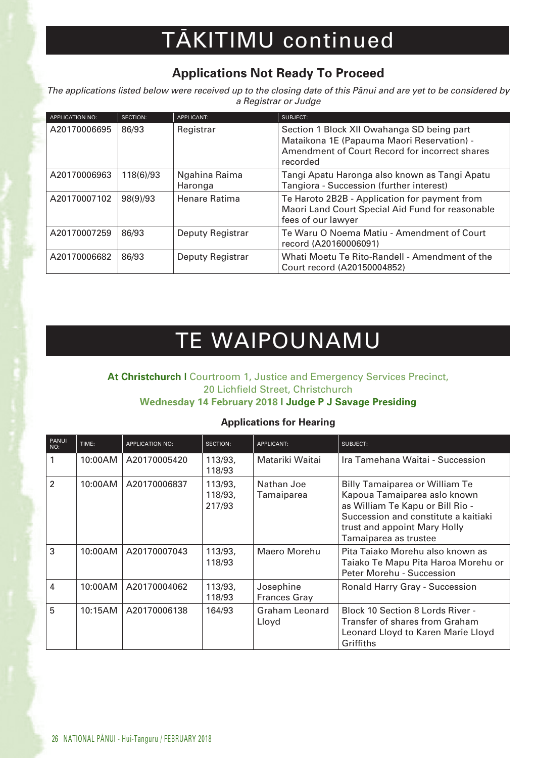# TÄKITIMU continued

## **Applications Not Ready To Proceed**

*The applications listed below were received up to the closing date of this Pänui and are yet to be considered by a Registrar or Judge*

| <b>APPLICATION NO:</b> | <b>SECTION:</b> | APPLICANT:               | SUBJECT:                                                                                                                                               |
|------------------------|-----------------|--------------------------|--------------------------------------------------------------------------------------------------------------------------------------------------------|
| A20170006695           | 86/93           | Registrar                | Section 1 Block XII Owahanga SD being part<br>Mataikona 1E (Papauma Maori Reservation) -<br>Amendment of Court Record for incorrect shares<br>recorded |
| A20170006963           | 118(6)/93       | Ngahina Raima<br>Haronga | Tangi Apatu Haronga also known as Tangi Apatu<br>Tangiora - Succession (further interest)                                                              |
| A20170007102           | 98(9)/93        | Henare Ratima            | Te Haroto 2B2B - Application for payment from<br>Maori Land Court Special Aid Fund for reasonable<br>fees of our lawyer                                |
| A20170007259           | 86/93           | Deputy Registrar         | Te Waru O Noema Matiu - Amendment of Court<br>record (A20160006091)                                                                                    |
| A20170006682           | 86/93           | Deputy Registrar         | Whati Moetu Te Rito-Randell - Amendment of the<br>Court record (A20150004852)                                                                          |

# TE WAIPOUNAMU

## **At Christchurch |** Courtroom 1, Justice and Emergency Services Precinct, 20 Lichfield Street, Christchurch

## **Wednesday 14 February 2018 | Judge P J Savage Presiding**

| <b>PANUI</b><br>NO: | TIME:   | <b>APPLICATION NO:</b> | <b>SECTION:</b>              | <b>APPLICANT:</b>                | SUBJECT:                                                                                                                                                                                                   |
|---------------------|---------|------------------------|------------------------------|----------------------------------|------------------------------------------------------------------------------------------------------------------------------------------------------------------------------------------------------------|
|                     | 10:00AM | A20170005420           | 113/93,<br>118/93            | Matariki Waitai                  | Ira Tamehana Waitai - Succession                                                                                                                                                                           |
| 2                   | 10:00AM | A20170006837           | 113/93,<br>118/93,<br>217/93 | Nathan Joe<br><b>Tamaiparea</b>  | <b>Billy Tamaiparea or William Te</b><br>Kapoua Tamaiparea aslo known<br>as William Te Kapu or Bill Rio -<br>Succession and constitute a kaitiaki<br>trust and appoint Mary Holly<br>Tamaiparea as trustee |
| 3                   | 10:00AM | A20170007043           | 113/93,<br>118/93            | Maero Morehu                     | Pita Tajako Morehu also known as<br>Taiako Te Mapu Pita Haroa Morehu or<br>Peter Morehu - Succession                                                                                                       |
| $\overline{4}$      | 10:00AM | A20170004062           | 113/93,<br>118/93            | Josephine<br><b>Frances Gray</b> | <b>Ronald Harry Gray - Succession</b>                                                                                                                                                                      |
| 5                   | 10:15AM | A20170006138           | 164/93                       | Graham Leonard<br>Lloyd          | Block 10 Section 8 Lords River -<br>Transfer of shares from Graham<br>Leonard Lloyd to Karen Marie Lloyd<br>Griffiths                                                                                      |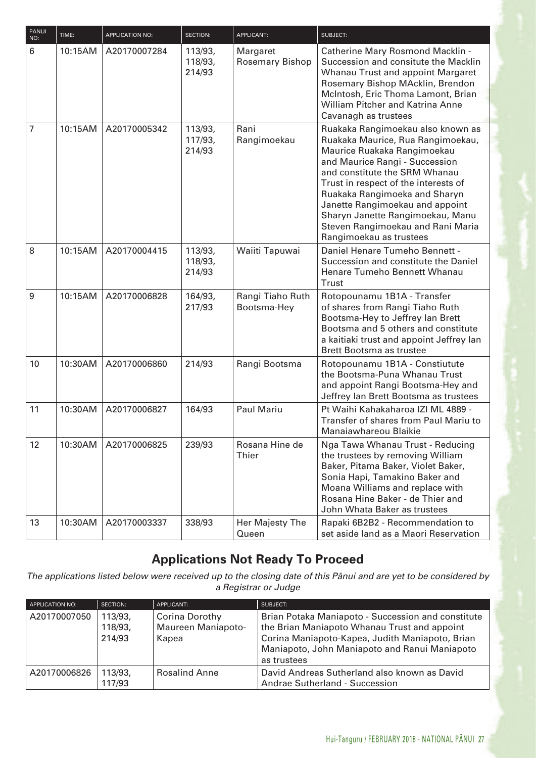| PANUI<br>NO:    | TIME:   | <b>APPLICATION NO:</b> | <b>SECTION:</b>              | APPLICANT:                      | <b>SUBJECT:</b>                                                                                                                                                                                                                                                                                                                                                                          |
|-----------------|---------|------------------------|------------------------------|---------------------------------|------------------------------------------------------------------------------------------------------------------------------------------------------------------------------------------------------------------------------------------------------------------------------------------------------------------------------------------------------------------------------------------|
| $6\phantom{1}6$ | 10:15AM | A20170007284           | 113/93,<br>118/93,<br>214/93 | Margaret<br>Rosemary Bishop     | Catherine Mary Rosmond Macklin -<br>Succession and consitute the Macklin<br>Whanau Trust and appoint Margaret<br>Rosemary Bishop MAcklin, Brendon<br>McIntosh, Eric Thoma Lamont, Brian<br>William Pitcher and Katrina Anne<br>Cavanagh as trustees                                                                                                                                      |
| $\overline{7}$  | 10:15AM | A20170005342           | 113/93,<br>117/93,<br>214/93 | Rani<br>Rangimoekau             | Ruakaka Rangimoekau also known as<br>Ruakaka Maurice, Rua Rangimoekau,<br>Maurice Ruakaka Rangimoekau<br>and Maurice Rangi - Succession<br>and constitute the SRM Whanau<br>Trust in respect of the interests of<br>Ruakaka Rangimoeka and Sharyn<br>Janette Rangimoekau and appoint<br>Sharyn Janette Rangimoekau, Manu<br>Steven Rangimoekau and Rani Maria<br>Rangimoekau as trustees |
| 8               | 10:15AM | A20170004415           | 113/93,<br>118/93,<br>214/93 | Waiiti Tapuwai                  | Daniel Henare Tumeho Bennett -<br>Succession and constitute the Daniel<br>Henare Tumeho Bennett Whanau<br><b>Trust</b>                                                                                                                                                                                                                                                                   |
| 9               | 10:15AM | A20170006828           | 164/93,<br>217/93            | Rangi Tiaho Ruth<br>Bootsma-Hey | Rotopounamu 1B1A - Transfer<br>of shares from Rangi Tiaho Ruth<br>Bootsma-Hey to Jeffrey lan Brett<br>Bootsma and 5 others and constitute<br>a kaitiaki trust and appoint Jeffrey lan<br>Brett Bootsma as trustee                                                                                                                                                                        |
| 10              | 10:30AM | A20170006860           | 214/93                       | Rangi Bootsma                   | Rotopounamu 1B1A - Constiutute<br>the Bootsma-Puna Whanau Trust<br>and appoint Rangi Bootsma-Hey and<br>Jeffrey lan Brett Bootsma as trustees                                                                                                                                                                                                                                            |
| 11              | 10:30AM | A20170006827           | 164/93                       | Paul Mariu                      | Pt Waihi Kahakaharoa IZI ML 4889 -<br>Transfer of shares from Paul Mariu to<br>Manajawhareou Blaikie                                                                                                                                                                                                                                                                                     |
| 12              | 10:30AM | A20170006825           | 239/93                       | Rosana Hine de<br>Thier         | Nga Tawa Whanau Trust - Reducing<br>the trustees by removing William<br>Baker, Pitama Baker, Violet Baker,<br>Sonia Hapi, Tamakino Baker and<br>Moana Williams and replace with<br>Rosana Hine Baker - de Thier and<br>John Whata Baker as trustees                                                                                                                                      |
| 13              | 10:30AM | A20170003337           | 338/93                       | Her Majesty The<br>Queen        | Rapaki 6B2B2 - Recommendation to<br>set aside land as a Maori Reservation                                                                                                                                                                                                                                                                                                                |

# **Applications Not Ready To Proceed**

*The applications listed below were received up to the closing date of this Pänui and are yet to be considered by a Registrar or Judge*

| APPLICATION NO: | SECTION:                     | APPLICANT:                                    | SUBJECT:                                                                                                                                                                                                              |
|-----------------|------------------------------|-----------------------------------------------|-----------------------------------------------------------------------------------------------------------------------------------------------------------------------------------------------------------------------|
| A20170007050    | 113/93,<br>118/93,<br>214/93 | Corina Dorothy<br>Maureen Maniapoto-<br>Kapea | Brian Potaka Maniapoto - Succession and constitute<br>the Brian Maniapoto Whanau Trust and appoint<br>Corina Maniapoto-Kapea, Judith Maniapoto, Brian<br>Maniapoto, John Maniapoto and Ranui Maniapoto<br>as trustees |
| A20170006826    | 113/93,<br>117/93            | <b>Rosalind Anne</b>                          | David Andreas Sutherland also known as David<br>Andrae Sutherland - Succession                                                                                                                                        |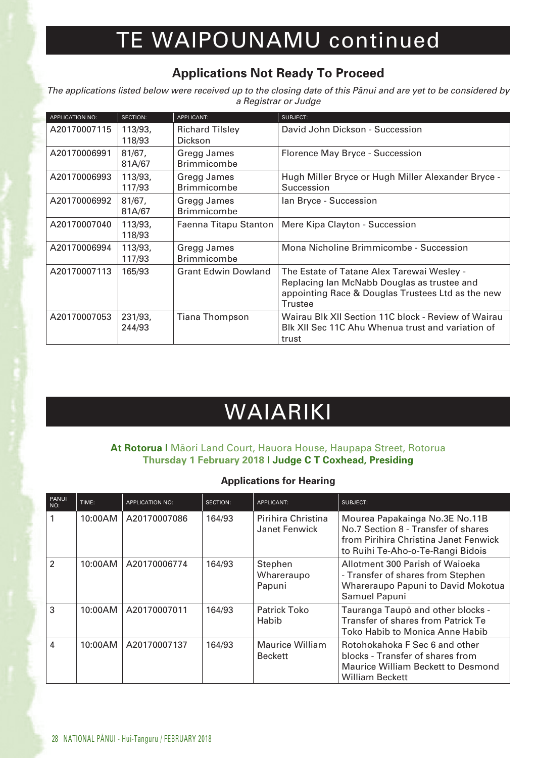## **Applications Not Ready To Proceed**

*The applications listed below were received up to the closing date of this Pänui and are yet to be considered by a Registrar or Judge*

| <b>APPLICATION NO:</b> | SECTION:          | APPLICANT:                        | SUBJECT:                                                                                                                                                         |
|------------------------|-------------------|-----------------------------------|------------------------------------------------------------------------------------------------------------------------------------------------------------------|
| A20170007115           | 113/93,<br>118/93 | <b>Richard Tilsley</b><br>Dickson | David John Dickson - Succession                                                                                                                                  |
| A20170006991           | 81/67,<br>81A/67  | Gregg James<br><b>Brimmicombe</b> | Florence May Bryce - Succession                                                                                                                                  |
| A20170006993           | 113/93,<br>117/93 | Gregg James<br><b>Brimmicombe</b> | Hugh Miller Bryce or Hugh Miller Alexander Bryce -<br>Succession                                                                                                 |
| A20170006992           | 81/67,<br>81A/67  | Gregg James<br><b>Brimmicombe</b> | lan Bryce - Succession                                                                                                                                           |
| A20170007040           | 113/93,<br>118/93 | Faenna Titapu Stanton             | Mere Kipa Clayton - Succession                                                                                                                                   |
| A20170006994           | 113/93,<br>117/93 | Gregg James<br><b>Brimmicombe</b> | Mona Nicholine Brimmicombe - Succession                                                                                                                          |
| A20170007113           | 165/93            | <b>Grant Edwin Dowland</b>        | The Estate of Tatane Alex Tarewai Wesley -<br>Replacing Ian McNabb Douglas as trustee and<br>appointing Race & Douglas Trustees Ltd as the new<br><b>Trustee</b> |
| A20170007053           | 231/93,<br>244/93 | <b>Tiana Thompson</b>             | Wairau Blk XII Section 11C block - Review of Wairau<br>Blk XII Sec 11C Ahu Whenua trust and variation of<br>trust                                                |

# WAIARIKI

## **At Rotorua |** Mäori Land Court, Hauora House, Haupapa Street, Rotorua **Thursday 1 February 2018 | Judge C T Coxhead, Presiding**

| <b>PANUI</b><br>NO: | TIME:   | <b>APPLICATION NO:</b> | SECTION: | <b>APPLICANT:</b>                   | SUBJECT:                                                                                                                                            |
|---------------------|---------|------------------------|----------|-------------------------------------|-----------------------------------------------------------------------------------------------------------------------------------------------------|
|                     | 10:00AM | A20170007086           | 164/93   | Pirihira Christina<br>Janet Fenwick | Mourea Papakainga No.3E No.11B<br>No.7 Section 8 - Transfer of shares<br>from Pirihira Christina Janet Fenwick<br>to Ruihi Te-Aho-o-Te-Rangi Bidois |
| $\mathfrak{p}$      | 10:00AM | A20170006774           | 164/93   | Stephen<br>Whareraupo<br>Papuni     | Allotment 300 Parish of Waioeka<br>- Transfer of shares from Stephen<br>Whareraupo Papuni to David Mokotua<br>Samuel Papuni                         |
| 3                   | 10:00AM | A20170007011           | 164/93   | <b>Patrick Toko</b><br>Habib        | Tauranga Taupō and other blocks -<br>Transfer of shares from Patrick Te<br>Toko Habib to Monica Anne Habib                                          |
| 4                   | 10:00AM | A20170007137           | 164/93   | Maurice William<br><b>Beckett</b>   | Rotohokahoka F Sec 6 and other<br>blocks - Transfer of shares from<br>Maurice William Beckett to Desmond<br><b>William Beckett</b>                  |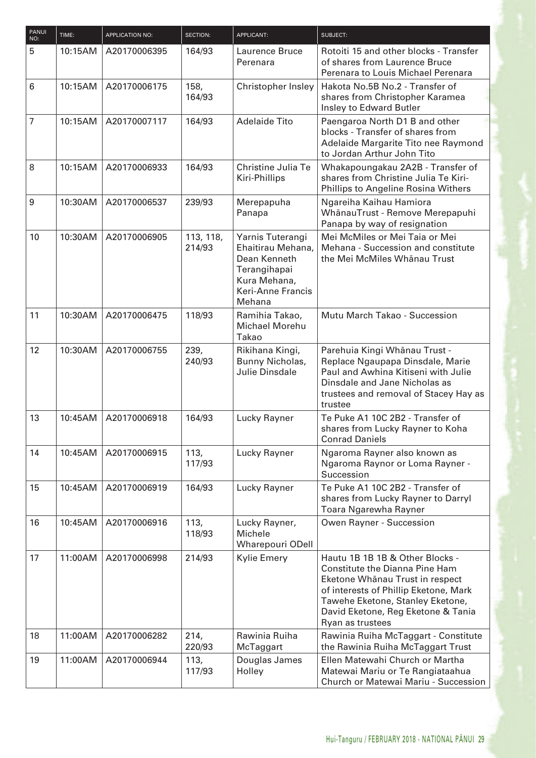| PANUI<br>NO:     | TIME:   | APPLICATION NO: | SECTION:            | APPLICANT:                                                                                                                  | SUBJECT:                                                                                                                                                                                                                                           |
|------------------|---------|-----------------|---------------------|-----------------------------------------------------------------------------------------------------------------------------|----------------------------------------------------------------------------------------------------------------------------------------------------------------------------------------------------------------------------------------------------|
| 5                | 10:15AM | A20170006395    | 164/93              | Laurence Bruce<br>Perenara                                                                                                  | Rotoiti 15 and other blocks - Transfer<br>of shares from Laurence Bruce<br>Perenara to Louis Michael Perenara                                                                                                                                      |
| $\,6\,$          | 10:15AM | A20170006175    | 158,<br>164/93      | Christopher Insley                                                                                                          | Hakota No.5B No.2 - Transfer of<br>shares from Christopher Karamea<br>Insley to Edward Butler                                                                                                                                                      |
| $\overline{7}$   | 10:15AM | A20170007117    | 164/93              | <b>Adelaide Tito</b>                                                                                                        | Paengaroa North D1 B and other<br>blocks - Transfer of shares from<br>Adelaide Margarite Tito nee Raymond<br>to Jordan Arthur John Tito                                                                                                            |
| $\,8\,$          | 10:15AM | A20170006933    | 164/93              | Christine Julia Te<br>Kiri-Phillips                                                                                         | Whakapoungakau 2A2B - Transfer of<br>shares from Christine Julia Te Kiri-<br>Phillips to Angeline Rosina Withers                                                                                                                                   |
| $\boldsymbol{9}$ | 10:30AM | A20170006537    | 239/93              | Merepapuha<br>Panapa                                                                                                        | Ngareiha Kaihau Hamiora<br>WhānauTrust - Remove Merepapuhi<br>Panapa by way of resignation                                                                                                                                                         |
| 10               | 10:30AM | A20170006905    | 113, 118,<br>214/93 | Yarnis Tuterangi<br>Ehaitirau Mehana,<br>Dean Kenneth<br>Terangihapai<br>Kura Mehana,<br><b>Keri-Anne Francis</b><br>Mehana | Mei McMiles or Mei Taia or Mei<br>Mehana - Succession and constitute<br>the Mei McMiles Whānau Trust                                                                                                                                               |
| 11               | 10:30AM | A20170006475    | 118/93              | Ramihia Takao,<br>Michael Morehu<br>Takao                                                                                   | Mutu March Takao - Succession                                                                                                                                                                                                                      |
| 12               | 10:30AM | A20170006755    | 239,<br>240/93      | Rikihana Kingi,<br>Bunny Nicholas,<br>Julie Dinsdale                                                                        | Parehuia Kingi Whānau Trust -<br>Replace Ngaupapa Dinsdale, Marie<br>Paul and Awhina Kitiseni with Julie<br>Dinsdale and Jane Nicholas as<br>trustees and removal of Stacey Hay as<br>trustee                                                      |
| 13               | 10:45AM | A20170006918    | 164/93              | Lucky Rayner                                                                                                                | Te Puke A1 10C 2B2 - Transfer of<br>shares from Lucky Rayner to Koha<br><b>Conrad Daniels</b>                                                                                                                                                      |
| 14               | 10:45AM | A20170006915    | 113,<br>117/93      | Lucky Rayner                                                                                                                | Ngaroma Rayner also known as<br>Ngaroma Raynor or Loma Rayner -<br>Succession                                                                                                                                                                      |
| 15               | 10:45AM | A20170006919    | 164/93              | Lucky Rayner                                                                                                                | Te Puke A1 10C 2B2 - Transfer of<br>shares from Lucky Rayner to Darryl<br>Toara Ngarewha Rayner                                                                                                                                                    |
| 16               | 10:45AM | A20170006916    | 113,<br>118/93      | Lucky Rayner,<br>Michele<br>Wharepouri ODell                                                                                | Owen Rayner - Succession                                                                                                                                                                                                                           |
| 17               | 11:00AM | A20170006998    | 214/93              | <b>Kylie Emery</b>                                                                                                          | Hautu 1B 1B 1B & Other Blocks -<br><b>Constitute the Dianna Pine Ham</b><br>Eketone Whānau Trust in respect<br>of interests of Phillip Eketone, Mark<br>Tawehe Eketone, Stanley Eketone,<br>David Eketone, Reg Eketone & Tania<br>Ryan as trustees |
| 18               | 11:00AM | A20170006282    | 214,<br>220/93      | Rawinia Ruiha<br>McTaggart                                                                                                  | Rawinia Ruiha McTaggart - Constitute<br>the Rawinia Ruiha McTaggart Trust                                                                                                                                                                          |
| 19               | 11:00AM | A20170006944    | 113,<br>117/93      | Douglas James<br>Holley                                                                                                     | Ellen Matewahi Church or Martha<br>Matewai Mariu or Te Rangiataahua<br>Church or Matewai Mariu - Succession                                                                                                                                        |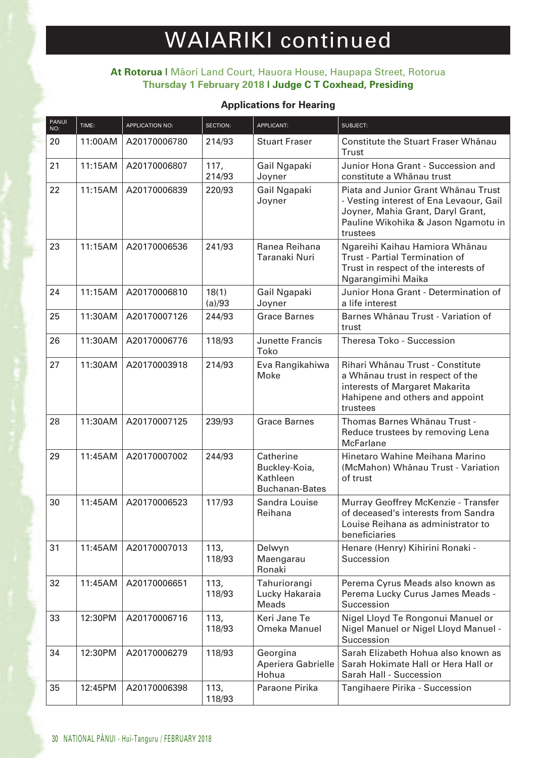# WAIARIKI continued

## **At Rotorua |** Mäori Land Court, Hauora House, Haupapa Street, Rotorua **Thursday 1 February 2018 | Judge C T Coxhead, Presiding**

| PANUI<br>NO: | TIME:   | <b>APPLICATION NO:</b> | SECTION:        | APPLICANT:                                                      | SUBJECT:                                                                                                                                                               |
|--------------|---------|------------------------|-----------------|-----------------------------------------------------------------|------------------------------------------------------------------------------------------------------------------------------------------------------------------------|
| 20           | 11:00AM | A20170006780           | 214/93          | <b>Stuart Fraser</b>                                            | <b>Constitute the Stuart Fraser Whānau</b><br>Trust                                                                                                                    |
| 21           | 11:15AM | A20170006807           | 117,<br>214/93  | Gail Ngapaki<br>Joyner                                          | Junior Hona Grant - Succession and<br>constitute a Whānau trust                                                                                                        |
| 22           | 11:15AM | A20170006839           | 220/93          | Gail Ngapaki<br>Joyner                                          | Piata and Junior Grant Whānau Trust<br>- Vesting interest of Ena Levaour, Gail<br>Joyner, Mahia Grant, Daryl Grant,<br>Pauline Wikohika & Jason Ngamotu in<br>trustees |
| 23           | 11:15AM | A20170006536           | 241/93          | Ranea Reihana<br>Taranaki Nuri                                  | Ngareihi Kaihau Hamiora Whānau<br><b>Trust - Partial Termination of</b><br>Trust in respect of the interests of<br>Ngarangimihi Maika                                  |
| 24           | 11:15AM | A20170006810           | 18(1)<br>(a)/93 | Gail Ngapaki<br>Joyner                                          | Junior Hona Grant - Determination of<br>a life interest                                                                                                                |
| 25           | 11:30AM | A20170007126           | 244/93          | <b>Grace Barnes</b>                                             | Barnes Whānau Trust - Variation of<br>trust                                                                                                                            |
| 26           | 11:30AM | A20170006776           | 118/93          | <b>Junette Francis</b><br>Toko                                  | Theresa Toko - Succession                                                                                                                                              |
| 27           | 11:30AM | A20170003918           | 214/93          | Eva Rangikahiwa<br>Moke                                         | Rihari Whānau Trust - Constitute<br>a Whānau trust in respect of the<br>interests of Margaret Makarita<br>Hahipene and others and appoint<br>trustees                  |
| 28           | 11:30AM | A20170007125           | 239/93          | <b>Grace Barnes</b>                                             | Thomas Barnes Whānau Trust -<br>Reduce trustees by removing Lena<br>McFarlane                                                                                          |
| 29           | 11:45AM | A20170007002           | 244/93          | Catherine<br>Buckley-Koia,<br>Kathleen<br><b>Buchanan-Bates</b> | Hinetaro Wahine Meihana Marino<br>(McMahon) Whānau Trust - Variation<br>of trust                                                                                       |
| 30           | 11:45AM | A20170006523           | 117/93          | Sandra Louise<br>Reihana                                        | Murray Geoffrey McKenzie - Transfer<br>of deceased's interests from Sandra<br>Louise Reihana as administrator to<br>beneficiaries                                      |
| 31           | 11:45AM | A20170007013           | 113,<br>118/93  | Delwyn<br>Maengarau<br>Ronaki                                   | Henare (Henry) Kihirini Ronaki -<br>Succession                                                                                                                         |
| 32           | 11:45AM | A20170006651           | 113,<br>118/93  | Tahuriorangi<br>Lucky Hakaraia<br><b>Meads</b>                  | Perema Cyrus Meads also known as<br>Perema Lucky Curus James Meads -<br>Succession                                                                                     |
| 33           | 12:30PM | A20170006716           | 113,<br>118/93  | Keri Jane Te<br>Omeka Manuel                                    | Nigel Lloyd Te Rongonui Manuel or<br>Nigel Manuel or Nigel Lloyd Manuel -<br>Succession                                                                                |
| 34           | 12:30PM | A20170006279           | 118/93          | Georgina<br>Aperiera Gabrielle<br>Hohua                         | Sarah Elizabeth Hohua also known as<br>Sarah Hokimate Hall or Hera Hall or<br>Sarah Hall - Succession                                                                  |
| 35           | 12:45PM | A20170006398           | 113,<br>118/93  | Paraone Pirika                                                  | Tangihaere Pirika - Succession                                                                                                                                         |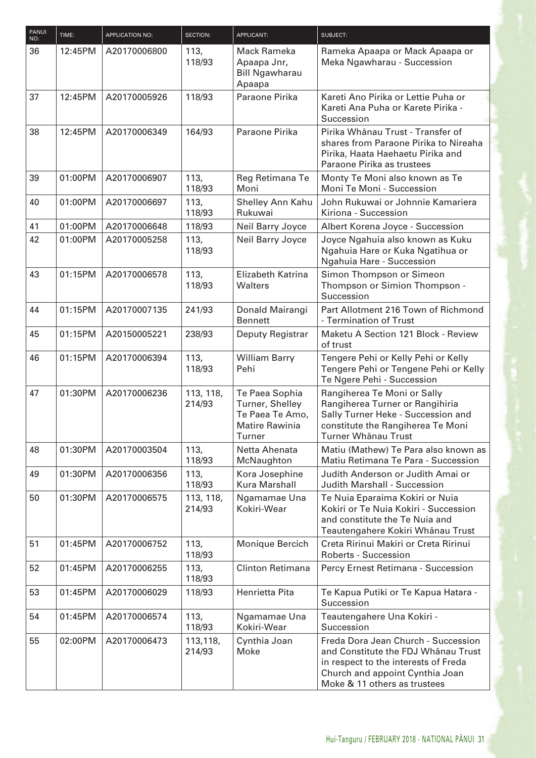| PANUI<br>NO: | TIME:   | APPLICATION NO: | SECTION:            | APPLICANT:                                                                       | SUBJECT:                                                                                                                                                                              |
|--------------|---------|-----------------|---------------------|----------------------------------------------------------------------------------|---------------------------------------------------------------------------------------------------------------------------------------------------------------------------------------|
| 36           | 12:45PM | A20170006800    | 113,<br>118/93      | Mack Rameka<br>Apaapa Jnr,<br><b>Bill Ngawharau</b><br>Apaapa                    | Rameka Apaapa or Mack Apaapa or<br>Meka Ngawharau - Succession                                                                                                                        |
| 37           | 12:45PM | A20170005926    | 118/93              | Paraone Pirika                                                                   | Kareti Ano Pirika or Lettie Puha or<br>Kareti Ana Puha or Karete Pirika -<br>Succession                                                                                               |
| 38           | 12:45PM | A20170006349    | 164/93              | Paraone Pirika                                                                   | Pirika Whānau Trust - Transfer of<br>shares from Paraone Pirika to Nireaha<br>Pirika, Haata Haehaetu Pirika and<br>Paraone Pirika as trustees                                         |
| 39           | 01:00PM | A20170006907    | 113,<br>118/93      | Reg Retimana Te<br>Moni                                                          | Monty Te Moni also known as Te<br>Moni Te Moni - Succession                                                                                                                           |
| 40           | 01:00PM | A20170006697    | 113,<br>118/93      | Shelley Ann Kahu<br>Rukuwai                                                      | John Rukuwai or Johnnie Kamariera<br>Kiriona - Succession                                                                                                                             |
| 41           | 01:00PM | A20170006648    | 118/93              | Neil Barry Joyce                                                                 | Albert Korena Joyce - Succession                                                                                                                                                      |
| 42           | 01:00PM | A20170005258    | 113,<br>118/93      | Neil Barry Joyce                                                                 | Joyce Ngahuia also known as Kuku<br>Ngahuia Hare or Kuka Ngatihua or<br>Ngahuia Hare - Succession                                                                                     |
| 43           | 01:15PM | A20170006578    | 113,<br>118/93      | Elizabeth Katrina<br>Walters                                                     | Simon Thompson or Simeon<br>Thompson or Simion Thompson -<br>Succession                                                                                                               |
| 44           | 01:15PM | A20170007135    | 241/93              | Donald Mairangi<br><b>Bennett</b>                                                | Part Allotment 216 Town of Richmond<br>- Termination of Trust                                                                                                                         |
| 45           | 01:15PM | A20150005221    | 238/93              | Deputy Registrar                                                                 | Maketu A Section 121 Block - Review<br>of trust                                                                                                                                       |
| 46           | 01:15PM | A20170006394    | 113,<br>118/93      | <b>William Barry</b><br>Pehi                                                     | Tengere Pehi or Kelly Pehi or Kelly<br>Tengere Pehi or Tengene Pehi or Kelly<br>Te Ngere Pehi - Succession                                                                            |
| 47           | 01:30PM | A20170006236    | 113, 118,<br>214/93 | Te Paea Sophia<br>Turner, Shelley<br>Te Paea Te Amo,<br>Matire Rawinia<br>Turner | Rangiherea Te Moni or Sally<br>Rangiherea Turner or Rangihiria<br>Sally Turner Heke - Succession and<br>constitute the Rangiherea Te Moni<br><b>Turner Whānau Trust</b>               |
| 48           | 01:30PM | A20170003504    | 113,<br>118/93      | Netta Ahenata<br>McNaughton                                                      | Matiu (Mathew) Te Para also known as<br>Matiu Retimana Te Para - Succession                                                                                                           |
| 49           | 01:30PM | A20170006356    | 113,<br>118/93      | Kora Josephine<br>Kura Marshall                                                  | Judith Anderson or Judith Amai or<br><b>Judith Marshall - Succession</b>                                                                                                              |
| 50           | 01:30PM | A20170006575    | 113, 118,<br>214/93 | Ngamamae Una<br>Kokiri-Wear                                                      | Te Nuia Eparaima Kokiri or Nuia<br>Kokiri or Te Nuia Kokiri - Succession<br>and constitute the Te Nuia and<br>Teautengahere Kokiri Whānau Trust                                       |
| 51           | 01:45PM | A20170006752    | 113,<br>118/93      | Monique Bercich                                                                  | Creta Ririnui Makiri or Creta Ririnui<br>Roberts - Succession                                                                                                                         |
| 52           | 01:45PM | A20170006255    | 113,<br>118/93      | Clinton Retimana                                                                 | Percy Ernest Retimana - Succession                                                                                                                                                    |
| 53           | 01:45PM | A20170006029    | 118/93              | Henrietta Pita                                                                   | Te Kapua Putiki or Te Kapua Hatara -<br>Succession                                                                                                                                    |
| 54           | 01:45PM | A20170006574    | 113,<br>118/93      | Ngamamae Una<br>Kokiri-Wear                                                      | Teautengahere Una Kokiri -<br>Succession                                                                                                                                              |
| 55           | 02:00PM | A20170006473    | 113,118,<br>214/93  | Cynthia Joan<br>Moke                                                             | Freda Dora Jean Church - Succession<br>and Constitute the FDJ Whānau Trust<br>in respect to the interests of Freda<br>Church and appoint Cynthia Joan<br>Moke & 11 others as trustees |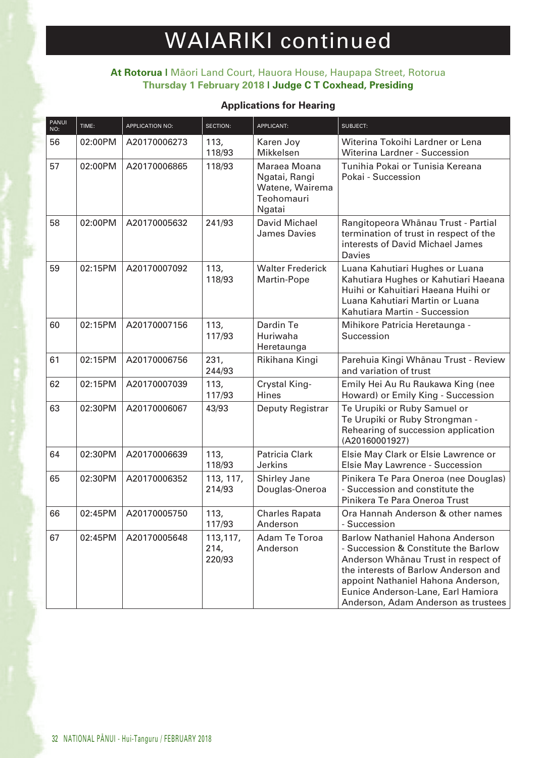# WAIARIKI continued

## **At Rotorua |** Mäori Land Court, Hauora House, Haupapa Street, Rotorua **Thursday 1 February 2018 | Judge C T Coxhead, Presiding**

| <b>PANUI</b><br>NO: | TIME:   | APPLICATION NO: | SECTION:                   | APPLICANT:                                                               | <b>SUBJECT:</b>                                                                                                                                                                                                                                                                   |
|---------------------|---------|-----------------|----------------------------|--------------------------------------------------------------------------|-----------------------------------------------------------------------------------------------------------------------------------------------------------------------------------------------------------------------------------------------------------------------------------|
| 56                  | 02:00PM | A20170006273    | 113,<br>118/93             | Karen Joy<br>Mikkelsen                                                   | Witerina Tokoihi Lardner or Lena<br>Witerina Lardner - Succession                                                                                                                                                                                                                 |
| 57                  | 02:00PM | A20170006865    | 118/93                     | Maraea Moana<br>Ngatai, Rangi<br>Watene, Wairema<br>Teohomauri<br>Ngatai | Tunihia Pokai or Tunisia Kereana<br>Pokai - Succession                                                                                                                                                                                                                            |
| 58                  | 02:00PM | A20170005632    | 241/93                     | David Michael<br><b>James Davies</b>                                     | Rangitopeora Whānau Trust - Partial<br>termination of trust in respect of the<br>interests of David Michael James<br>Davies                                                                                                                                                       |
| 59                  | 02:15PM | A20170007092    | 113,<br>118/93             | <b>Walter Frederick</b><br>Martin-Pope                                   | Luana Kahutiari Hughes or Luana<br>Kahutiara Hughes or Kahutiari Haeana<br>Huihi or Kahuitiari Haeana Huihi or<br>Luana Kahutiari Martin or Luana<br>Kahutiara Martin - Succession                                                                                                |
| 60                  | 02:15PM | A20170007156    | 113,<br>117/93             | Dardin Te<br>Huriwaha<br>Heretaunga                                      | Mihikore Patricia Heretaunga -<br>Succession                                                                                                                                                                                                                                      |
| 61                  | 02:15PM | A20170006756    | 231,<br>244/93             | Rikihana Kingi                                                           | Parehuia Kingi Whānau Trust - Review<br>and variation of trust                                                                                                                                                                                                                    |
| 62                  | 02:15PM | A20170007039    | 113,<br>117/93             | Crystal King-<br>Hines                                                   | Emily Hei Au Ru Raukawa King (nee<br>Howard) or Emily King - Succession                                                                                                                                                                                                           |
| 63                  | 02:30PM | A20170006067    | 43/93                      | Deputy Registrar                                                         | Te Urupiki or Ruby Samuel or<br>Te Urupiki or Ruby Strongman -<br>Rehearing of succession application<br>(A20160001927)                                                                                                                                                           |
| 64                  | 02:30PM | A20170006639    | 113,<br>118/93             | <b>Patricia Clark</b><br><b>Jerkins</b>                                  | Elsie May Clark or Elsie Lawrence or<br>Elsie May Lawrence - Succession                                                                                                                                                                                                           |
| 65                  | 02:30PM | A20170006352    | 113, 117,<br>214/93        | Shirley Jane<br>Douglas-Oneroa                                           | Pinikera Te Para Oneroa (nee Douglas)<br>- Succession and constitute the<br>Pinikera Te Para Oneroa Trust                                                                                                                                                                         |
| 66                  | 02:45PM | A20170005750    | 113,<br>117/93             | <b>Charles Rapata</b><br>Anderson                                        | Ora Hannah Anderson & other names<br>- Succession                                                                                                                                                                                                                                 |
| 67                  | 02:45PM | A20170005648    | 113,117,<br>214,<br>220/93 | Adam Te Toroa<br>Anderson                                                | <b>Barlow Nathaniel Hahona Anderson</b><br>- Succession & Constitute the Barlow<br>Anderson Whānau Trust in respect of<br>the interests of Barlow Anderson and<br>appoint Nathaniel Hahona Anderson,<br>Eunice Anderson-Lane, Earl Hamiora<br>Anderson, Adam Anderson as trustees |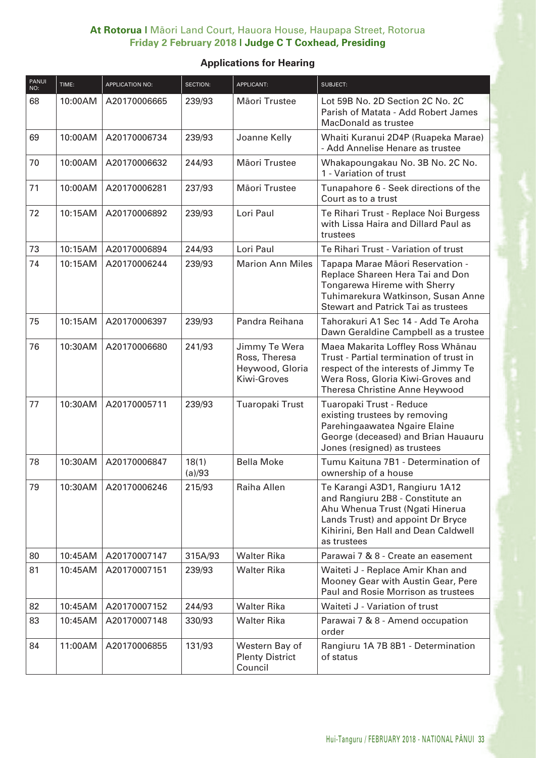## **At Rotorua |** Mäori Land Court, Hauora House, Haupapa Street, Rotorua **Friday 2 February 2018 | Judge C T Coxhead, Presiding**

| PANUI<br>NO: | TIME:   | <b>APPLICATION NO:</b> | SECTION:        | APPLICANT:                                                       | SUBJECT:                                                                                                                                                                                          |
|--------------|---------|------------------------|-----------------|------------------------------------------------------------------|---------------------------------------------------------------------------------------------------------------------------------------------------------------------------------------------------|
| 68           | 10:00AM | A20170006665           | 239/93          | Māori Trustee                                                    | Lot 59B No. 2D Section 2C No. 2C<br>Parish of Matata - Add Robert James<br>MacDonald as trustee                                                                                                   |
| 69           | 10:00AM | A20170006734           | 239/93          | Joanne Kelly                                                     | Whaiti Kuranui 2D4P (Ruapeka Marae)<br>- Add Annelise Henare as trustee                                                                                                                           |
| 70           | 10:00AM | A20170006632           | 244/93          | Māori Trustee                                                    | Whakapoungakau No. 3B No. 2C No.<br>1 - Variation of trust                                                                                                                                        |
| 71           | 10:00AM | A20170006281           | 237/93          | Māori Trustee                                                    | Tunapahore 6 - Seek directions of the<br>Court as to a trust                                                                                                                                      |
| 72           | 10:15AM | A20170006892           | 239/93          | Lori Paul                                                        | Te Rihari Trust - Replace Noi Burgess<br>with Lissa Haira and Dillard Paul as<br>trustees                                                                                                         |
| 73           | 10:15AM | A20170006894           | 244/93          | Lori Paul                                                        | Te Rihari Trust - Variation of trust                                                                                                                                                              |
| 74           | 10:15AM | A20170006244           | 239/93          | <b>Marion Ann Miles</b>                                          | Tapapa Marae Māori Reservation -<br>Replace Shareen Hera Tai and Don<br>Tongarewa Hireme with Sherry<br>Tuhimarekura Watkinson, Susan Anne<br><b>Stewart and Patrick Tai as trustees</b>          |
| 75           | 10:15AM | A20170006397           | 239/93          | Pandra Reihana                                                   | Tahorakuri A1 Sec 14 - Add Te Aroha<br>Dawn Geraldine Campbell as a trustee                                                                                                                       |
| 76           | 10:30AM | A20170006680           | 241/93          | Jimmy Te Wera<br>Ross, Theresa<br>Heywood, Gloria<br>Kiwi-Groves | Maea Makarita Loffley Ross Whānau<br>Trust - Partial termination of trust in<br>respect of the interests of Jimmy Te<br>Wera Ross, Gloria Kiwi-Groves and<br>Theresa Christine Anne Heywood       |
| 77           | 10:30AM | A20170005711           | 239/93          | Tuaropaki Trust                                                  | Tuaropaki Trust - Reduce<br>existing trustees by removing<br>Parehingaawatea Ngaire Elaine<br>George (deceased) and Brian Hauauru<br>Jones (resigned) as trustees                                 |
| 78           | 10:30AM | A20170006847           | 18(1)<br>(a)/93 | <b>Bella Moke</b>                                                | Tumu Kaituna 7B1 - Determination of<br>ownership of a house                                                                                                                                       |
| 79           | 10:30AM | A20170006246           | 215/93          | Raiha Allen                                                      | Te Karangi A3D1, Rangiuru 1A12<br>and Rangiuru 2B8 - Constitute an<br>Ahu Whenua Trust (Ngati Hinerua<br>Lands Trust) and appoint Dr Bryce<br>Kihirini, Ben Hall and Dean Caldwell<br>as trustees |
| 80           | 10:45AM | A20170007147           | 315A/93         | <b>Walter Rika</b>                                               | Parawai 7 & 8 - Create an easement                                                                                                                                                                |
| 81           | 10:45AM | A20170007151           | 239/93          | <b>Walter Rika</b>                                               | Waiteti J - Replace Amir Khan and<br>Mooney Gear with Austin Gear, Pere<br>Paul and Rosie Morrison as trustees                                                                                    |
| 82           | 10:45AM | A20170007152           | 244/93          | <b>Walter Rika</b>                                               | Waiteti J - Variation of trust                                                                                                                                                                    |
| 83           | 10:45AM | A20170007148           | 330/93          | <b>Walter Rika</b>                                               | Parawai 7 & 8 - Amend occupation<br>order                                                                                                                                                         |
| 84           | 11:00AM | A20170006855           | 131/93          | Western Bay of<br><b>Plenty District</b><br>Council              | Rangiuru 1A 7B 8B1 - Determination<br>of status                                                                                                                                                   |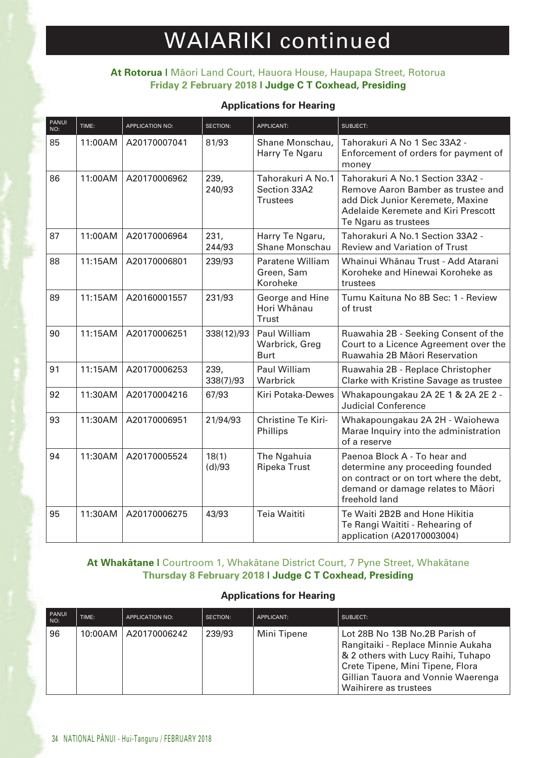# WAIARIKI continued

## **At Rotorua |** Mäori Land Court, Hauora House, Haupapa Street, Rotorua **Friday 2 February 2018 | Judge C T Coxhead, Presiding**

## **Applications for Hearing**

| PANUI<br>NO: | TIME:   | APPLICATION NO: | SECTION:          | APPLICANT:                                           | SUBJECT:                                                                                                                                                                  |
|--------------|---------|-----------------|-------------------|------------------------------------------------------|---------------------------------------------------------------------------------------------------------------------------------------------------------------------------|
| 85           | 11:00AM | A20170007041    | 81/93             | Shane Monschau,<br>Harry Te Ngaru                    | Tahorakuri A No 1 Sec 33A2 -<br>Enforcement of orders for payment of<br>money                                                                                             |
| 86           | 11:00AM | A20170006962    | 239,<br>240/93    | Tahorakuri A No.1<br>Section 33A2<br><b>Trustees</b> | Tahorakuri A No.1 Section 33A2 -<br>Remove Aaron Bamber as trustee and<br>add Dick Junior Keremete, Maxine<br>Adelaide Keremete and Kiri Prescott<br>Te Ngaru as trustees |
| 87           | 11:00AM | A20170006964    | 231,<br>244/93    | Harry Te Ngaru,<br>Shane Monschau                    | Tahorakuri A No.1 Section 33A2 -<br><b>Review and Variation of Trust</b>                                                                                                  |
| 88           | 11:15AM | A20170006801    | 239/93            | Paratene William<br>Green, Sam<br>Koroheke           | Whainui Whānau Trust - Add Atarani<br>Koroheke and Hinewai Koroheke as<br>trustees                                                                                        |
| 89           | 11:15AM | A20160001557    | 231/93            | George and Hine<br>Hori Whānau<br><b>Trust</b>       | Tumu Kaituna No 8B Sec: 1 - Review<br>of trust                                                                                                                            |
| 90           | 11:15AM | A20170006251    | 338(12)/93        | Paul William<br>Warbrick, Greg<br><b>Burt</b>        | Ruawahia 2B - Seeking Consent of the<br>Court to a Licence Agreement over the<br>Ruawahia 2B Māori Reservation                                                            |
| 91           | 11:15AM | A20170006253    | 239,<br>338(7)/93 | Paul William<br>Warbrick                             | Ruawahia 2B - Replace Christopher<br>Clarke with Kristine Savage as trustee                                                                                               |
| 92           | 11:30AM | A20170004216    | 67/93             | Kiri Potaka-Dewes                                    | Whakapoungakau 2A 2E 1 & 2A 2E 2 -<br><b>Judicial Conference</b>                                                                                                          |
| 93           | 11:30AM | A20170006951    | 21/94/93          | Christine Te Kiri-<br>Phillips                       | Whakapoungakau 2A 2H - Waiohewa<br>Marae Inquiry into the administration<br>of a reserve                                                                                  |
| 94           | 11:30AM | A20170005524    | 18(1)<br>(d)/93   | The Ngahuia<br><b>Ripeka Trust</b>                   | Paenoa Block A - To hear and<br>determine any proceeding founded<br>on contract or on tort where the debt,<br>demand or damage relates to Māori<br>freehold land          |
| 95           | 11:30AM | A20170006275    | 43/93             | Teia Waititi                                         | Te Waiti 2B2B and Hone Hikitia<br>Te Rangi Waititi - Rehearing of<br>application (A20170003004)                                                                           |

## **At Whakätane |** Courtroom 1, Whakätane District Court, 7 Pyne Street, Whakätane **Thursday 8 February 2018 | Judge C T Coxhead, Presiding**

| PANUI<br>NO: | TIME:   | <b>APPLICATION NO:</b> | SECTION: | APPLICANT:  | SUBJECT:                                                                                                                                                                                                      |
|--------------|---------|------------------------|----------|-------------|---------------------------------------------------------------------------------------------------------------------------------------------------------------------------------------------------------------|
| 96           | 10:00AM | A20170006242           | 239/93   | Mini Tipene | Lot 28B No 13B No.2B Parish of<br>Rangitaiki - Replace Minnie Aukaha<br>& 2 others with Lucy Raihi, Tuhapo<br>Crete Tipene, Mini Tipene, Flora<br>Gillian Tauora and Vonnie Waerenga<br>Waihirere as trustees |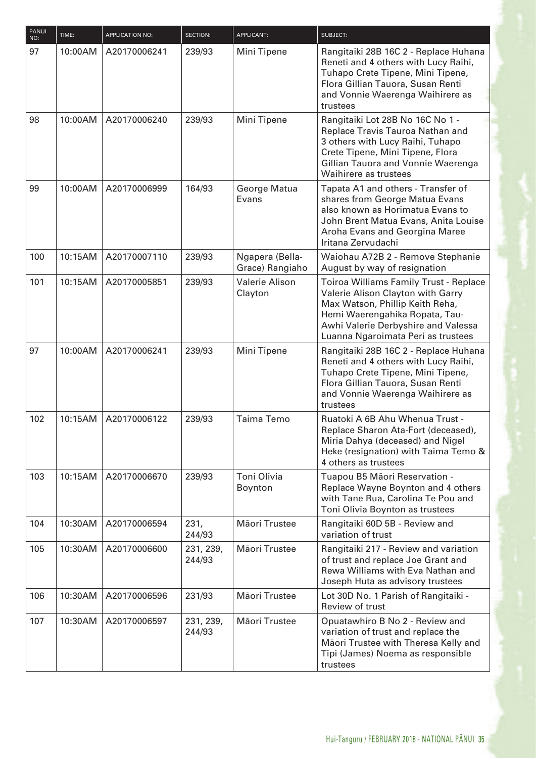| PANUI<br>NO: | TIME:   | <b>APPLICATION NO:</b> | SECTION:            | APPLICANT:                         | SUBJECT:                                                                                                                                                                                                                      |
|--------------|---------|------------------------|---------------------|------------------------------------|-------------------------------------------------------------------------------------------------------------------------------------------------------------------------------------------------------------------------------|
| 97           | 10:00AM | A20170006241           | 239/93              | Mini Tipene                        | Rangitaiki 28B 16C 2 - Replace Huhana<br>Reneti and 4 others with Lucy Raihi,<br>Tuhapo Crete Tipene, Mini Tipene,<br>Flora Gillian Tauora, Susan Renti<br>and Vonnie Waerenga Waihirere as<br>trustees                       |
| 98           | 10:00AM | A20170006240           | 239/93              | Mini Tipene                        | Rangitaiki Lot 28B No 16C No 1 -<br>Replace Travis Tauroa Nathan and<br>3 others with Lucy Raihi, Tuhapo<br>Crete Tipene, Mini Tipene, Flora<br>Gillian Tauora and Vonnie Waerenga<br>Waihirere as trustees                   |
| 99           | 10:00AM | A20170006999           | 164/93              | George Matua<br>Evans              | Tapata A1 and others - Transfer of<br>shares from George Matua Evans<br>also known as Horimatua Evans to<br>John Brent Matua Evans, Anita Louise<br>Aroha Evans and Georgina Maree<br>Iritana Zervudachi                      |
| 100          | 10:15AM | A20170007110           | 239/93              | Ngapera (Bella-<br>Grace) Rangiaho | Waiohau A72B 2 - Remove Stephanie<br>August by way of resignation                                                                                                                                                             |
| 101          | 10:15AM | A20170005851           | 239/93              | <b>Valerie Alison</b><br>Clayton   | Toiroa Williams Family Trust - Replace<br>Valerie Alison Clayton with Garry<br>Max Watson, Phillip Keith Reha,<br>Hemi Waerengahika Ropata, Tau-<br>Awhi Valerie Derbyshire and Valessa<br>Luanna Ngaroimata Peri as trustees |
| 97           | 10:00AM | A20170006241           | 239/93              | Mini Tipene                        | Rangitaiki 28B 16C 2 - Replace Huhana<br>Reneti and 4 others with Lucy Raihi,<br>Tuhapo Crete Tipene, Mini Tipene,<br>Flora Gillian Tauora, Susan Renti<br>and Vonnie Waerenga Waihirere as<br>trustees                       |
| 102          | 10:15AM | A20170006122           | 239/93              | Taima Temo                         | Ruatoki A 6B Ahu Whenua Trust -<br>Replace Sharon Ata-Fort (deceased),<br>Miria Dahya (deceased) and Nigel<br>Heke (resignation) with Taima Temo &<br>4 others as trustees                                                    |
| 103          | 10:15AM | A20170006670           | 239/93              | Toni Olivia<br>Boynton             | Tuapou B5 Māori Reservation -<br>Replace Wayne Boynton and 4 others<br>with Tane Rua, Carolina Te Pou and<br>Toni Olivia Boynton as trustees                                                                                  |
| 104          | 10:30AM | A20170006594           | 231,<br>244/93      | Māori Trustee                      | Rangitaiki 60D 5B - Review and<br>variation of trust                                                                                                                                                                          |
| 105          | 10:30AM | A20170006600           | 231, 239,<br>244/93 | Māori Trustee                      | Rangitaiki 217 - Review and variation<br>of trust and replace Joe Grant and<br>Rewa Williams with Eva Nathan and<br>Joseph Huta as advisory trustees                                                                          |
| 106          | 10:30AM | A20170006596           | 231/93              | Māori Trustee                      | Lot 30D No. 1 Parish of Rangitaiki -<br>Review of trust                                                                                                                                                                       |
| 107          | 10:30AM | A20170006597           | 231, 239,<br>244/93 | Māori Trustee                      | Opuatawhiro B No 2 - Review and<br>variation of trust and replace the<br>Māori Trustee with Theresa Kelly and<br>Tipi (James) Noema as responsible<br>trustees                                                                |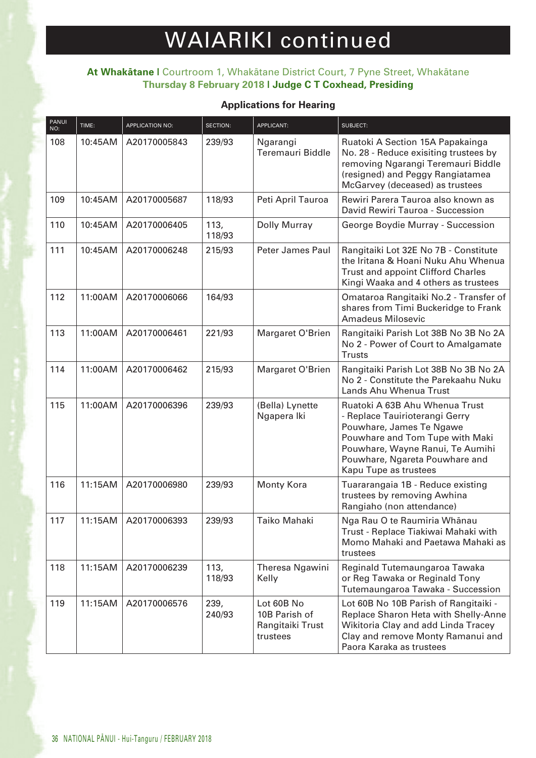# WAIARIKI continued

## **At Whakätane |** Courtroom 1, Whakätane District Court, 7 Pyne Street, Whakätane **Thursday 8 February 2018 | Judge C T Coxhead, Presiding**

| <b>PANUI</b><br>NO: | TIME:   | APPLICATION NO:        | SECTION:       | APPLICANT:                                                  | SUBJECT:                                                                                                                                                                                                                       |
|---------------------|---------|------------------------|----------------|-------------------------------------------------------------|--------------------------------------------------------------------------------------------------------------------------------------------------------------------------------------------------------------------------------|
| 108                 | 10:45AM | A20170005843           | 239/93         | Ngarangi<br><b>Teremauri Biddle</b>                         | Ruatoki A Section 15A Papakainga<br>No. 28 - Reduce exisiting trustees by<br>removing Ngarangi Teremauri Biddle<br>(resigned) and Peggy Rangiatamea<br>McGarvey (deceased) as trustees                                         |
| 109                 | 10:45AM | A20170005687           | 118/93         | Peti April Tauroa                                           | Rewiri Parera Tauroa also known as<br>David Rewiri Tauroa - Succession                                                                                                                                                         |
| 110                 | 10:45AM | A20170006405           | 113,<br>118/93 | Dolly Murray                                                | George Boydie Murray - Succession                                                                                                                                                                                              |
| 111                 | 10:45AM | A20170006248           | 215/93         | Peter James Paul                                            | Rangitaiki Lot 32E No 7B - Constitute<br>the Iritana & Hoani Nuku Ahu Whenua<br><b>Trust and appoint Clifford Charles</b><br>Kingi Waaka and 4 others as trustees                                                              |
| 112                 | 11:00AM | A20170006066           | 164/93         |                                                             | Omataroa Rangitaiki No.2 - Transfer of<br>shares from Timi Buckeridge to Frank<br><b>Amadeus Milosevic</b>                                                                                                                     |
| 113                 | 11:00AM | A20170006461           | 221/93         | Margaret O'Brien                                            | Rangitaiki Parish Lot 38B No 3B No 2A<br>No 2 - Power of Court to Amalgamate<br><b>Trusts</b>                                                                                                                                  |
| 114                 | 11:00AM | A20170006462           | 215/93         | Margaret O'Brien                                            | Rangitaiki Parish Lot 38B No 3B No 2A<br>No 2 - Constitute the Parekaahu Nuku<br>Lands Ahu Whenua Trust                                                                                                                        |
| 115                 | 11:00AM | A20170006396           | 239/93         | (Bella) Lynette<br>Ngapera Iki                              | Ruatoki A 63B Ahu Whenua Trust<br>- Replace Tauirioterangi Gerry<br>Pouwhare, James Te Ngawe<br>Pouwhare and Tom Tupe with Maki<br>Pouwhare, Wayne Ranui, Te Aumihi<br>Pouwhare, Ngareta Pouwhare and<br>Kapu Tupe as trustees |
| 116                 | 11:15AM | A20170006980           | 239/93         | <b>Monty Kora</b>                                           | Tuararangaia 1B - Reduce existing<br>trustees by removing Awhina<br>Rangiaho (non attendance)                                                                                                                                  |
| 117                 |         | 11:15AM   A20170006393 | 239/93         | Taiko Mahaki                                                | Nga Rau O te Raumiria Whānau<br>Trust - Replace Tiakiwai Mahaki with<br>Momo Mahaki and Paetawa Mahaki as<br>trustees                                                                                                          |
| 118                 | 11:15AM | A20170006239           | 113,<br>118/93 | Theresa Ngawini<br>Kelly                                    | Reginald Tutemaungaroa Tawaka<br>or Reg Tawaka or Reginald Tony<br>Tutemaungaroa Tawaka - Succession                                                                                                                           |
| 119                 | 11:15AM | A20170006576           | 239,<br>240/93 | Lot 60B No<br>10B Parish of<br>Rangitaiki Trust<br>trustees | Lot 60B No 10B Parish of Rangitaiki -<br>Replace Sharon Heta with Shelly-Anne<br>Wikitoria Clay and add Linda Tracey<br>Clay and remove Monty Ramanui and<br>Paora Karaka as trustees                                          |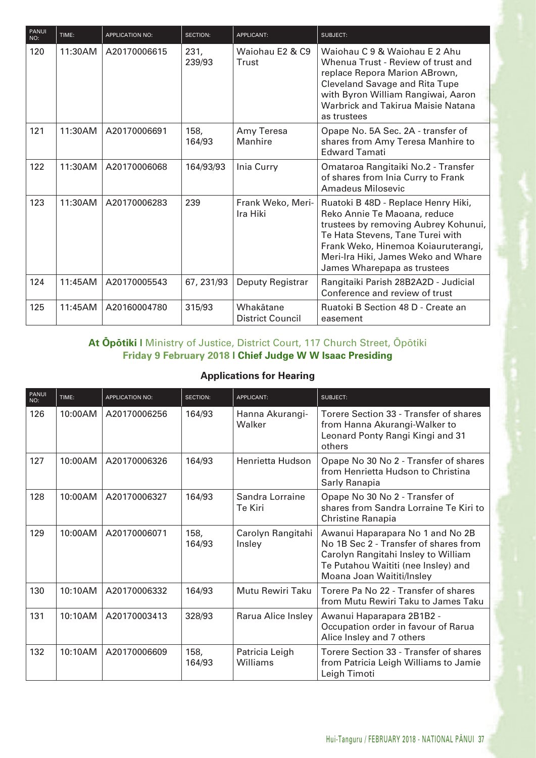| PANUI<br>NO: | TIME:   | <b>APPLICATION NO:</b> | <b>SECTION:</b> | <b>APPLICANT:</b>                                                                                                                                                                                                                                                                  | SUBJECT:                                                                                                                                                                                                                                                     |
|--------------|---------|------------------------|-----------------|------------------------------------------------------------------------------------------------------------------------------------------------------------------------------------------------------------------------------------------------------------------------------------|--------------------------------------------------------------------------------------------------------------------------------------------------------------------------------------------------------------------------------------------------------------|
| 120          | 11:30AM | A20170006615           | 231,<br>239/93  | Waiohau E2 & C9<br>Waiohau C 9 & Waiohau E 2 Ahu<br>Whenua Trust - Review of trust and<br>Trust<br>replace Repora Marion ABrown,<br>Cleveland Savage and Rita Tupe<br>with Byron William Rangiwai, Aaron<br><b>Warbrick and Takirua Maisie Natana</b><br>as trustees<br>Amy Teresa |                                                                                                                                                                                                                                                              |
| 121          | 11:30AM | A20170006691           | 158,<br>164/93  | Manhire                                                                                                                                                                                                                                                                            | Opape No. 5A Sec. 2A - transfer of<br>shares from Amy Teresa Manhire to<br><b>Edward Tamati</b>                                                                                                                                                              |
| 122          | 11:30AM | A20170006068           | 164/93/93       | Inia Curry                                                                                                                                                                                                                                                                         | Omataroa Rangitaiki No.2 - Transfer<br>of shares from Inia Curry to Frank<br>Amadeus Milosevic                                                                                                                                                               |
| 123          | 11:30AM | A20170006283           | 239             | Frank Weko, Meri-<br>Ira Hiki                                                                                                                                                                                                                                                      | Ruatoki B 48D - Replace Henry Hiki,<br>Reko Annie Te Maoana, reduce<br>trustees by removing Aubrey Kohunui,<br>Te Hata Stevens, Tane Turei with<br>Frank Weko, Hinemoa Koiauruterangi,<br>Meri-Ira Hiki, James Weko and Whare<br>James Wharepapa as trustees |
| 124          | 11:45AM | A20170005543           | 67, 231/93      | Rangitaiki Parish 28B2A2D - Judicial<br>Deputy Registrar<br>Conference and review of trust                                                                                                                                                                                         |                                                                                                                                                                                                                                                              |
| 125          | 11:45AM | A20160004780           | 315/93          | Whakātane<br><b>District Council</b>                                                                                                                                                                                                                                               | Ruatoki B Section 48 D - Create an<br>easement                                                                                                                                                                                                               |

## **At Öpötiki |** Ministry of Justice, District Court, 117 Church Street, Öpötiki **Friday 9 February 2018 | Chief Judge W W Isaac Presiding**

| <b>PANUI</b><br>NO: | TIME:   | <b>APPLICATION NO:</b> | <b>SECTION:</b> | <b>APPLICANT:</b>           | SUBJECT:                                                                                                                                                                             |
|---------------------|---------|------------------------|-----------------|-----------------------------|--------------------------------------------------------------------------------------------------------------------------------------------------------------------------------------|
| 126                 | 10:00AM | A20170006256           | 164/93          | Hanna Akurangi-<br>Walker   | Torere Section 33 - Transfer of shares<br>from Hanna Akurangi-Walker to<br>Leonard Ponty Rangi Kingi and 31<br>others                                                                |
| 127                 | 10:00AM | A20170006326           | 164/93          | Henrietta Hudson            | Opape No 30 No 2 - Transfer of shares<br>from Henrietta Hudson to Christina<br>Sarly Ranapia                                                                                         |
| 128                 | 10:00AM | A20170006327           | 164/93          | Sandra Lorraine<br>Te Kiri  | Opape No 30 No 2 - Transfer of<br>shares from Sandra Lorraine Te Kiri to<br>Christine Ranapia                                                                                        |
| 129                 | 10:00AM | A20170006071           | 158,<br>164/93  | Carolyn Rangitahi<br>Insley | Awanui Haparapara No 1 and No 2B<br>No 1B Sec 2 - Transfer of shares from<br>Carolyn Rangitahi Insley to William<br>Te Putahou Waititi (nee Insley) and<br>Moana Joan Waititi/Insley |
| 130                 | 10:10AM | A20170006332           | 164/93          | Mutu Rewiri Taku            | Torere Pa No 22 - Transfer of shares<br>from Mutu Rewiri Taku to James Taku                                                                                                          |
| 131                 | 10:10AM | A20170003413           | 328/93          | Rarua Alice Insley          | Awanui Haparapara 2B1B2 -<br>Occupation order in favour of Rarua<br>Alice Insley and 7 others                                                                                        |
| 132                 | 10:10AM | A20170006609           | 158,<br>164/93  | Patricia Leigh<br>Williams  | Torere Section 33 - Transfer of shares<br>from Patricia Leigh Williams to Jamie<br>Leigh Timoti                                                                                      |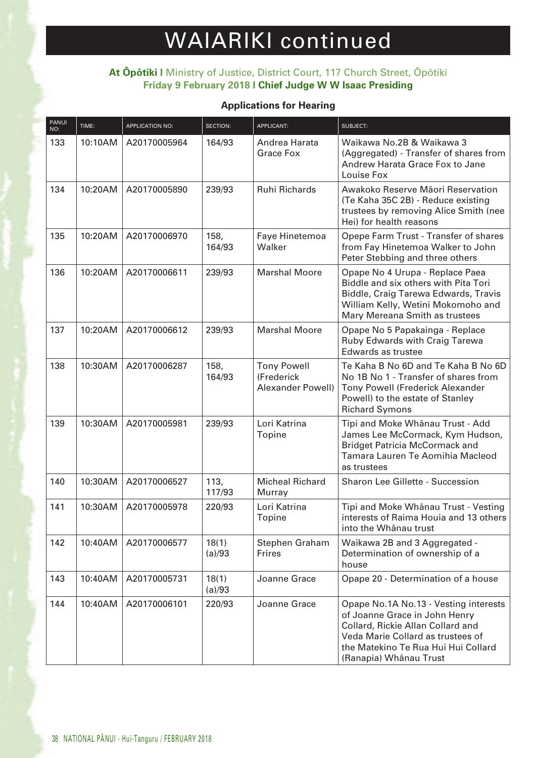# WAIARIKI continued

## **At Öpötiki |** Ministry of Justice, District Court, 117 Church Street, Öpötiki **Friday 9 February 2018 | Chief Judge W W Isaac Presiding**

| <b>PANUI</b><br>NO: | TIME:   | APPLICATION NO: | SECTION:        | APPLICANT:                                            | SUBJECT:                                                                                                                                                                                                          |
|---------------------|---------|-----------------|-----------------|-------------------------------------------------------|-------------------------------------------------------------------------------------------------------------------------------------------------------------------------------------------------------------------|
| 133                 | 10:10AM | A20170005964    | 164/93          | Andrea Harata<br>Grace Fox                            | Waikawa No.2B & Waikawa 3<br>(Aggregated) - Transfer of shares from<br>Andrew Harata Grace Fox to Jane<br>Louise Fox                                                                                              |
| 134                 | 10:20AM | A20170005890    | 239/93          | <b>Ruhi Richards</b>                                  | Awakoko Reserve Māori Reservation<br>(Te Kaha 35C 2B) - Reduce existing<br>trustees by removing Alice Smith (nee<br>Hei) for health reasons                                                                       |
| 135                 | 10:20AM | A20170006970    | 158,<br>164/93  | Faye Hinetemoa<br>Walker                              | Opepe Farm Trust - Transfer of shares<br>from Fay Hinetemoa Walker to John<br>Peter Stebbing and three others                                                                                                     |
| 136                 | 10:20AM | A20170006611    | 239/93          | <b>Marshal Moore</b>                                  | Opape No 4 Urupa - Replace Paea<br>Biddle and six others with Pita Tori<br>Biddle, Craig Tarewa Edwards, Travis<br>William Kelly, Wetini Mokomoho and<br>Mary Mereana Smith as trustees                           |
| 137                 | 10:20AM | A20170006612    | 239/93          | <b>Marshal Moore</b>                                  | Opape No 5 Papakainga - Replace<br><b>Ruby Edwards with Craig Tarewa</b><br>Edwards as trustee                                                                                                                    |
| 138                 | 10:30AM | A20170006287    | 158,<br>164/93  | <b>Tony Powell</b><br>(Frederick<br>Alexander Powell) | Te Kaha B No 6D and Te Kaha B No 6D<br>No 1B No 1 - Transfer of shares from<br>Tony Powell (Frederick Alexander<br>Powell) to the estate of Stanley<br><b>Richard Symons</b>                                      |
| 139                 | 10:30AM | A20170005981    | 239/93          | Lori Katrina<br>Topine                                | Tipi and Moke Whānau Trust - Add<br>James Lee McCormack, Kym Hudson,<br><b>Bridget Patricia McCormack and</b><br>Tamara Lauren Te Aomihia Macleod<br>as trustees                                                  |
| 140                 | 10:30AM | A20170006527    | 113,<br>117/93  | <b>Micheal Richard</b><br>Murray                      | Sharon Lee Gillette - Succession                                                                                                                                                                                  |
| 141                 | 10:30AM | A20170005978    | 220/93          | Lori Katrina<br>Topine                                | Tipi and Moke Whānau Trust - Vesting<br>interests of Raima Houia and 13 others<br>into the Whānau trust                                                                                                           |
| 142                 | 10:40AM | A20170006577    | 18(1)<br>(a)/93 | Stephen Graham<br>Frires                              | Waikawa 2B and 3 Aggregated -<br>Determination of ownership of a<br>house                                                                                                                                         |
| 143                 | 10:40AM | A20170005731    | 18(1)<br>(a)/93 | Joanne Grace                                          | Opape 20 - Determination of a house                                                                                                                                                                               |
| 144                 | 10:40AM | A20170006101    | 220/93          | Joanne Grace                                          | Opape No.1A No.13 - Vesting interests<br>of Joanne Grace in John Henry<br>Collard, Rickie Allan Collard and<br>Veda Marie Collard as trustees of<br>the Matekino Te Rua Hui Hui Collard<br>(Ranapia) Whānau Trust |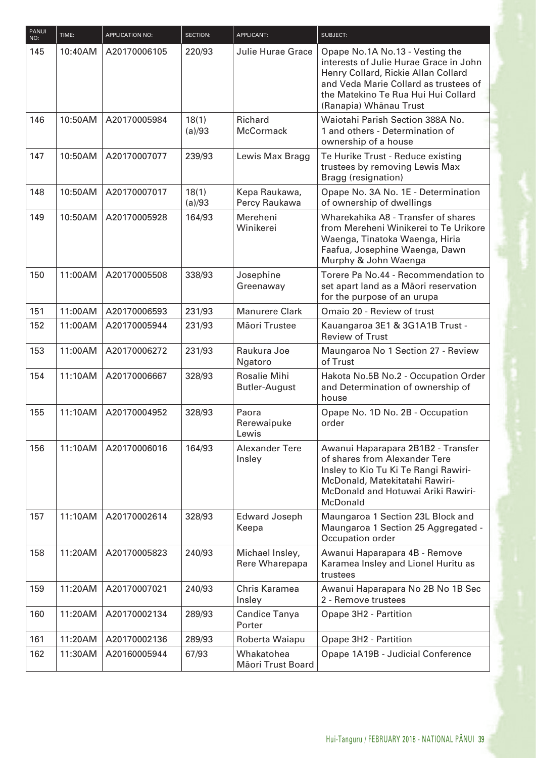| PANUI<br>NO: | TIME:   | APPLICATION NO: | SECTION:        | APPLICANT:                           | SUBJECT:                                                                                                                                                                                                                   |
|--------------|---------|-----------------|-----------------|--------------------------------------|----------------------------------------------------------------------------------------------------------------------------------------------------------------------------------------------------------------------------|
| 145          | 10:40AM | A20170006105    | 220/93          | Julie Hurae Grace                    | Opape No.1A No.13 - Vesting the<br>interests of Julie Hurae Grace in John<br>Henry Collard, Rickie Allan Collard<br>and Veda Marie Collard as trustees of<br>the Matekino Te Rua Hui Hui Collard<br>(Ranapia) Whānau Trust |
| 146          | 10:50AM | A20170005984    | 18(1)<br>(a)/93 | <b>Richard</b><br><b>McCormack</b>   | Waiotahi Parish Section 388A No.<br>1 and others - Determination of<br>ownership of a house                                                                                                                                |
| 147          | 10:50AM | A20170007077    | 239/93          | Lewis Max Bragg                      | Te Hurike Trust - Reduce existing<br>trustees by removing Lewis Max<br>Bragg (resignation)                                                                                                                                 |
| 148          | 10:50AM | A20170007017    | 18(1)<br>(a)/93 | Kepa Raukawa,<br>Percy Raukawa       | Opape No. 3A No. 1E - Determination<br>of ownership of dwellings                                                                                                                                                           |
| 149          | 10:50AM | A20170005928    | 164/93          | Mereheni<br>Winikerei                | Wharekahika A8 - Transfer of shares<br>from Mereheni Winikerei to Te Urikore<br>Waenga, Tinatoka Waenga, Hiria<br>Faafua, Josephine Waenga, Dawn<br>Murphy & John Waenga                                                   |
| 150          | 11:00AM | A20170005508    | 338/93          | Josephine<br>Greenaway               | Torere Pa No.44 - Recommendation to<br>set apart land as a Māori reservation<br>for the purpose of an urupa                                                                                                                |
| 151          | 11:00AM | A20170006593    | 231/93          | <b>Manurere Clark</b>                | Omaio 20 - Review of trust                                                                                                                                                                                                 |
| 152          | 11:00AM | A20170005944    | 231/93          | Māori Trustee                        | Kauangaroa 3E1 & 3G1A1B Trust -<br><b>Review of Trust</b>                                                                                                                                                                  |
| 153          | 11:00AM | A20170006272    | 231/93          | Raukura Joe<br>Ngatoro               | Maungaroa No 1 Section 27 - Review<br>of Trust                                                                                                                                                                             |
| 154          | 11:10AM | A20170006667    | 328/93          | Rosalie Mihi<br><b>Butler-August</b> | Hakota No.5B No.2 - Occupation Order<br>and Determination of ownership of<br>house                                                                                                                                         |
| 155          | 11:10AM | A20170004952    | 328/93          | Paora<br>Rerewaipuke<br>Lewis        | Opape No. 1D No. 2B - Occupation<br>order                                                                                                                                                                                  |
| 156          | 11:10AM | A20170006016    | 164/93          | <b>Alexander Tere</b><br>Insley      | Awanui Haparapara 2B1B2 - Transfer<br>of shares from Alexander Tere<br>Insley to Kio Tu Ki Te Rangi Rawiri-<br>McDonald, Matekitatahi Rawiri-<br>McDonald and Hotuwai Ariki Rawiri-<br>McDonald                            |
| 157          | 11:10AM | A20170002614    | 328/93          | <b>Edward Joseph</b><br>Keepa        | Maungaroa 1 Section 23L Block and<br>Maungaroa 1 Section 25 Aggregated -<br>Occupation order                                                                                                                               |
| 158          | 11:20AM | A20170005823    | 240/93          | Michael Insley,<br>Rere Wharepapa    | Awanui Haparapara 4B - Remove<br>Karamea Insley and Lionel Huritu as<br>trustees                                                                                                                                           |
| 159          | 11:20AM | A20170007021    | 240/93          | Chris Karamea<br>Insley              | Awanui Haparapara No 2B No 1B Sec<br>2 - Remove trustees                                                                                                                                                                   |
| 160          | 11:20AM | A20170002134    | 289/93          | Candice Tanya<br>Porter              | Opape 3H2 - Partition                                                                                                                                                                                                      |
| 161          | 11:20AM | A20170002136    | 289/93          | Roberta Waiapu                       | Opape 3H2 - Partition                                                                                                                                                                                                      |
| 162          | 11:30AM | A20160005944    | 67/93           | Whakatohea<br>Māori Trust Board      | Opape 1A19B - Judicial Conference                                                                                                                                                                                          |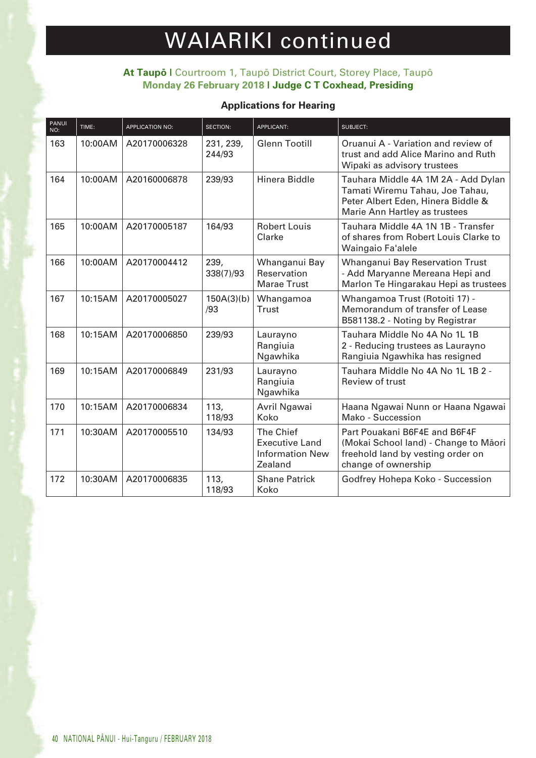# WAIARIKI continued

## **At Taupö |** Courtroom 1, Taupö District Court, Storey Place, Taupö **Monday 26 February 2018 | Judge C T Coxhead, Presiding**

| <b>PANUI</b><br>NO: | TIME:   | <b>APPLICATION NO:</b> | SECTION:            | APPLICANT:                                                              | SUBJECT:                                                                                                                                      |
|---------------------|---------|------------------------|---------------------|-------------------------------------------------------------------------|-----------------------------------------------------------------------------------------------------------------------------------------------|
| 163                 | 10:00AM | A20170006328           | 231, 239,<br>244/93 | <b>Glenn Tootill</b>                                                    | Oruanui A - Variation and review of<br>trust and add Alice Marino and Ruth<br>Wipaki as advisory trustees                                     |
| 164                 | 10:00AM | A20160006878           | 239/93              | <b>Hinera Biddle</b>                                                    | Tauhara Middle 4A 1M 2A - Add Dylan<br>Tamati Wiremu Tahau, Joe Tahau,<br>Peter Albert Eden, Hinera Biddle &<br>Marie Ann Hartley as trustees |
| 165                 | 10:00AM | A20170005187           | 164/93              | <b>Robert Louis</b><br>Clarke                                           | Tauhara Middle 4A 1N 1B - Transfer<br>of shares from Robert Louis Clarke to<br>Waingaio Fa'alele                                              |
| 166                 | 10:00AM | A20170004412           | 239,<br>338(7)/93   | Whanganui Bay<br>Reservation<br><b>Marae Trust</b>                      | <b>Whanganui Bay Reservation Trust</b><br>- Add Maryanne Mereana Hepi and<br>Marlon Te Hingarakau Hepi as trustees                            |
| 167                 | 10:15AM | A20170005027           | 150A(3)(b)<br>/93   | Whangamoa<br>Trust                                                      | Whangamoa Trust (Rotoiti 17) -<br>Memorandum of transfer of Lease<br>B581138.2 - Noting by Registrar                                          |
| 168                 | 10:15AM | A20170006850           | 239/93              | Laurayno<br>Rangiuia<br>Ngawhika                                        | Tauhara Middle No 4A No 1L 1B<br>2 - Reducing trustees as Laurayno<br>Rangiuia Ngawhika has resigned                                          |
| 169                 | 10:15AM | A20170006849           | 231/93              | Laurayno<br>Rangiuia<br>Ngawhika                                        | Tauhara Middle No 4A No 1L 1B 2 -<br>Review of trust                                                                                          |
| 170                 | 10:15AM | A20170006834           | 113,<br>118/93      | Avril Ngawai<br>Koko                                                    | Haana Ngawai Nunn or Haana Ngawai<br>Mako - Succession                                                                                        |
| 171                 | 10:30AM | A20170005510           | 134/93              | The Chief<br><b>Executive Land</b><br><b>Information New</b><br>Zealand | Part Pouakani B6F4E and B6F4F<br>(Mokai School land) - Change to Māori<br>freehold land by vesting order on<br>change of ownership            |
| 172                 | 10:30AM | A20170006835           | 113,<br>118/93      | <b>Shane Patrick</b><br>Koko                                            | Godfrey Hohepa Koko - Succession                                                                                                              |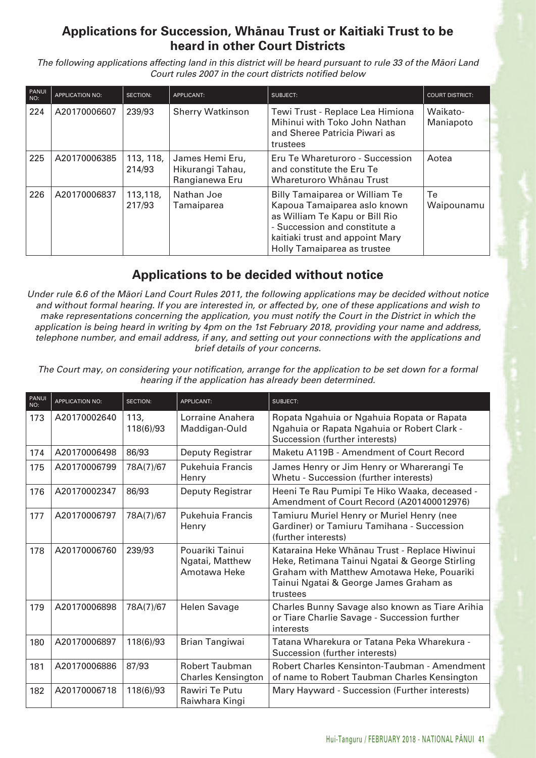## **Applications for Succession, Whänau Trust or Kaitiaki Trust to be heard in other Court Districts**

*The following applications affecting land in this district will be heard pursuant to rule 33 of the Mäori Land Court rules 2007 in the court districts notified below*

| <b>PANUI</b><br>NO: | <b>APPLICATION NO:</b> | <b>SECTION:</b>     | APPLICANT:                                            | SUBJECT:                                                                                                                                                                                                   | <b>COURT DISTRICT:</b> |
|---------------------|------------------------|---------------------|-------------------------------------------------------|------------------------------------------------------------------------------------------------------------------------------------------------------------------------------------------------------------|------------------------|
| 224                 | A20170006607           | 239/93              | <b>Sherry Watkinson</b>                               | Tewi Trust - Replace Lea Himiona<br>Mihinui with Toko John Nathan<br>and Sheree Patricia Piwari as<br>trustees                                                                                             | Waikato-<br>Maniapoto  |
| 225                 | A20170006385           | 113, 118,<br>214/93 | James Hemi Eru,<br>Hikurangi Tahau,<br>Rangianewa Eru | Eru Te Whareturoro - Succession<br>and constitute the Eru Te<br>Whareturoro Whānau Trust                                                                                                                   | Aotea                  |
| 226                 | A20170006837           | 113,118,<br>217/93  | Nathan Joe<br>Tamaiparea                              | <b>Billy Tamaiparea or William Te</b><br>Kapoua Tamaiparea aslo known<br>as William Te Kapu or Bill Rio<br>- Succession and constitute a<br>kaitiaki trust and appoint Mary<br>Holly Tamaiparea as trustee | Te<br>Waipounamu       |

## **Applications to be decided without notice**

*Under rule 6.6 of the Mäori Land Court Rules 2011, the following applications may be decided without notice and without formal hearing. If you are interested in, or affected by, one of these applications and wish to make representations concerning the application, you must notify the Court in the District in which the application is being heard in writing by 4pm on the 1st February 2018, providing your name and address, telephone number, and email address, if any, and setting out your connections with the applications and brief details of your concerns.*

*The Court may, on considering your notification, arrange for the application to be set down for a formal hearing if the application has already been determined.*

| <b>PANUI</b><br>NO: | <b>APPLICATION NO:</b> | <b>SECTION:</b>   | <b>APPLICANT:</b>                                  | SUBJECT:                                                                                                                                                                                            |  |
|---------------------|------------------------|-------------------|----------------------------------------------------|-----------------------------------------------------------------------------------------------------------------------------------------------------------------------------------------------------|--|
| 173                 | A20170002640           | 113,<br>118(6)/93 | Lorraine Anahera<br>Maddigan-Ould                  | Ropata Ngahuia or Ngahuia Ropata or Rapata<br>Ngahuia or Rapata Ngahuia or Robert Clark -<br>Succession (further interests)                                                                         |  |
| 174                 | A20170006498           | 86/93             | Deputy Registrar                                   | Maketu A119B - Amendment of Court Record                                                                                                                                                            |  |
| 175                 | A20170006799           | 78A(7)/67         | Pukehuja Francis<br>Henry                          | James Henry or Jim Henry or Wharerangi Te<br>Whetu - Succession (further interests)                                                                                                                 |  |
| 176                 | A20170002347           | 86/93             | Deputy Registrar                                   | Heeni Te Rau Pumipi Te Hiko Waaka, deceased -<br>Amendment of Court Record (A201400012976)                                                                                                          |  |
| 177                 | A20170006797           | 78A(7)/67         | <b>Pukehuia Francis</b><br>Henry                   | Tamiuru Muriel Henry or Muriel Henry (nee<br>Gardiner) or Tamiuru Tamihana - Succession<br>(further interests)                                                                                      |  |
| 178                 | A20170006760           | 239/93            | Pouariki Tainui<br>Ngatai, Matthew<br>Amotawa Heke | Kataraina Heke Whānau Trust - Replace Hiwinui<br>Heke, Retimana Tainui Ngatai & George Stirling<br>Graham with Matthew Amotawa Heke, Pouariki<br>Tainui Ngatai & George James Graham as<br>trustees |  |
| 179                 | A20170006898           | 78A(7)/67         | Helen Savage                                       | Charles Bunny Savage also known as Tiare Arihia<br>or Tiare Charlie Savage - Succession further<br>interests                                                                                        |  |
| 180                 | A20170006897           | 118(6)/93         | Brian Tangiwai                                     | Tatana Wharekura or Tatana Peka Wharekura -<br>Succession (further interests)                                                                                                                       |  |
| 181                 | A20170006886           | 87/93             | <b>Robert Taubman</b><br><b>Charles Kensington</b> | Robert Charles Kensinton-Taubman - Amendment<br>of name to Robert Taubman Charles Kensington                                                                                                        |  |
| 182                 | A20170006718           | 118(6)/93         | <b>Rawiri Te Putu</b><br>Raiwhara Kingi            | Mary Hayward - Succession (Further interests)                                                                                                                                                       |  |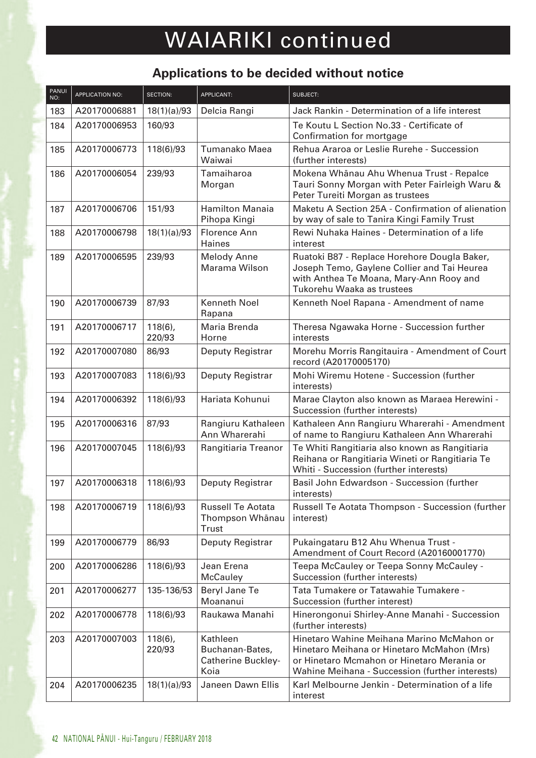# WAIARIKI continued

# **Applications to be decided without notice**

| <b>PANUI</b><br>NO: | APPLICATION NO: | <b>SECTION:</b>      | APPLICANT:                                                       | SUBJECT:                                                                                                                                                                                 |  |
|---------------------|-----------------|----------------------|------------------------------------------------------------------|------------------------------------------------------------------------------------------------------------------------------------------------------------------------------------------|--|
| 183                 | A20170006881    | 18(1)(a)/93          | Delcia Rangi                                                     | Jack Rankin - Determination of a life interest                                                                                                                                           |  |
| 184                 | A20170006953    | 160/93               |                                                                  | Te Koutu L Section No.33 - Certificate of<br>Confirmation for mortgage                                                                                                                   |  |
| 185                 | A20170006773    | 118(6)/93            | Tumanako Maea<br>Waiwai                                          | Rehua Araroa or Leslie Rurehe - Succession<br>(further interests)                                                                                                                        |  |
| 186                 | A20170006054    | 239/93               | Tamaiharoa<br>Morgan                                             | Mokena Whānau Ahu Whenua Trust - Repalce<br>Tauri Sonny Morgan with Peter Fairleigh Waru &<br>Peter Tureiti Morgan as trustees                                                           |  |
| 187                 | A20170006706    | 151/93               | <b>Hamilton Manaia</b><br>Pihopa Kingi                           | Maketu A Section 25A - Confirmation of alienation<br>by way of sale to Tanira Kingi Family Trust                                                                                         |  |
| 188                 | A20170006798    | 18(1)(a)/93          | <b>Florence Ann</b><br>Haines                                    | Rewi Nuhaka Haines - Determination of a life<br>interest                                                                                                                                 |  |
| 189                 | A20170006595    | 239/93               | <b>Melody Anne</b><br>Marama Wilson                              | Ruatoki B87 - Replace Horehore Dougla Baker,<br>Joseph Temo, Gaylene Collier and Tai Heurea<br>with Anthea Te Moana, Mary-Ann Rooy and<br>Tukorehu Waaka as trustees                     |  |
| 190                 | A20170006739    | 87/93                | Kenneth Noel<br>Rapana                                           | Kenneth Noel Rapana - Amendment of name                                                                                                                                                  |  |
| 191                 | A20170006717    | $118(6)$ ,<br>220/93 | Maria Brenda<br>Horne                                            | Theresa Ngawaka Horne - Succession further<br>interests                                                                                                                                  |  |
| 192                 | A20170007080    | 86/93                | Deputy Registrar                                                 | Morehu Morris Rangitauira - Amendment of Court<br>record (A20170005170)                                                                                                                  |  |
| 193                 | A20170007083    | 118(6)/93            | Deputy Registrar                                                 | Mohi Wiremu Hotene - Succession (further<br>interests)                                                                                                                                   |  |
| 194                 | A20170006392    | 118(6)/93            | Hariata Kohunui                                                  | Marae Clayton also known as Maraea Herewini -<br>Succession (further interests)                                                                                                          |  |
| 195                 | A20170006316    | 87/93                | Rangiuru Kathaleen<br>Ann Wharerahi                              | Kathaleen Ann Rangiuru Wharerahi - Amendment<br>of name to Rangiuru Kathaleen Ann Wharerahi                                                                                              |  |
| 196                 | A20170007045    | 118(6)/93            | Rangitiaria Treanor                                              | Te Whiti Rangitiaria also known as Rangitiaria<br>Reihana or Rangitiaria Wineti or Rangitiaria Te<br>Whiti - Succession (further interests)                                              |  |
| 197                 | A20170006318    | 118(6)/93            | Deputy Registrar                                                 | Basil John Edwardson - Succession (further<br>interests)                                                                                                                                 |  |
| 198                 | A20170006719    | 118(6)/93            | <b>Russell Te Aotata</b><br>Thompson Whānau<br>Trust             | Russell Te Aotata Thompson - Succession (further<br>interest)                                                                                                                            |  |
| 199                 | A20170006779    | 86/93                | Deputy Registrar                                                 | Pukaingataru B12 Ahu Whenua Trust -<br>Amendment of Court Record (A20160001770)                                                                                                          |  |
| 200                 | A20170006286    | 118(6)/93            | Jean Erena<br>McCauley                                           | Teepa McCauley or Teepa Sonny McCauley -<br>Succession (further interests)                                                                                                               |  |
| 201                 | A20170006277    | 135-136/53           | Beryl Jane Te<br>Moananui                                        | Tata Tumakere or Tatawahie Tumakere -<br>Succession (further interest)                                                                                                                   |  |
| 202                 | A20170006778    | 118(6)/93            | Raukawa Manahi                                                   | Hinerongonui Shirley-Anne Manahi - Succession<br>(further interests)                                                                                                                     |  |
| 203                 | A20170007003    | $118(6)$ ,<br>220/93 | Kathleen<br>Buchanan-Bates,<br><b>Catherine Buckley-</b><br>Koia | Hinetaro Wahine Meihana Marino McMahon or<br>Hinetaro Meihana or Hinetaro McMahon (Mrs)<br>or Hinetaro Mcmahon or Hinetaro Merania or<br>Wahine Meihana - Succession (further interests) |  |
| 204                 | A20170006235    | 18(1)(a)/93          | Janeen Dawn Ellis                                                | Karl Melbourne Jenkin - Determination of a life<br>interest                                                                                                                              |  |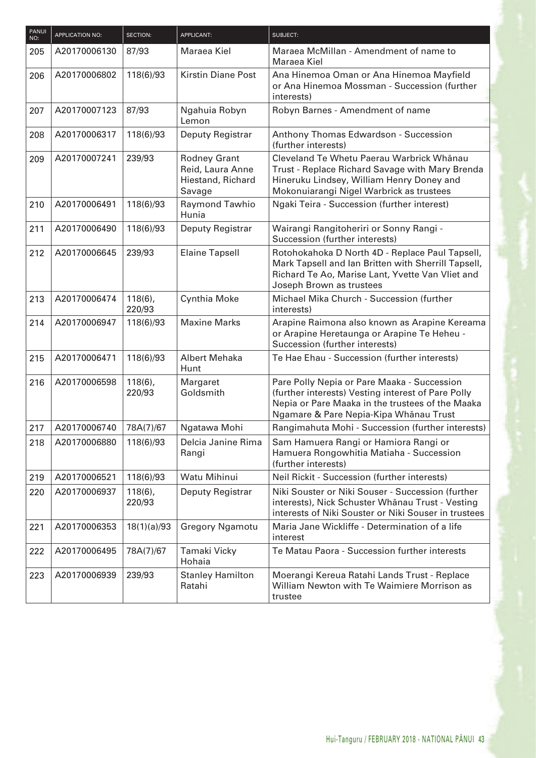| PANUI<br>NO: | APPLICATION NO: | SECTION:             | APPLICANT:                                                             | SUBJECT:                                                                                                                                                                                        |
|--------------|-----------------|----------------------|------------------------------------------------------------------------|-------------------------------------------------------------------------------------------------------------------------------------------------------------------------------------------------|
| 205          | A20170006130    | 87/93                | Maraea Kiel                                                            | Maraea McMillan - Amendment of name to<br>Maraea Kiel                                                                                                                                           |
| 206          | A20170006802    | 118(6)/93            | <b>Kirstin Diane Post</b>                                              | Ana Hinemoa Oman or Ana Hinemoa Mayfield<br>or Ana Hinemoa Mossman - Succession (further<br>interests)                                                                                          |
| 207          | A20170007123    | 87/93                | Ngahuia Robyn<br>Lemon                                                 | Robyn Barnes - Amendment of name                                                                                                                                                                |
| 208          | A20170006317    | 118(6)/93            | Deputy Registrar                                                       | Anthony Thomas Edwardson - Succession<br>(further interests)                                                                                                                                    |
| 209          | A20170007241    | 239/93               | <b>Rodney Grant</b><br>Reid, Laura Anne<br>Hiestand, Richard<br>Savage | Cleveland Te Whetu Paerau Warbrick Whānau<br>Trust - Replace Richard Savage with Mary Brenda<br>Hineruku Lindsey, William Henry Doney and<br>Mokonuiarangi Nigel Warbrick as trustees           |
| 210          | A20170006491    | 118(6)/93            | Raymond Tawhio<br>Hunia                                                | Ngaki Teira - Succession (further interest)                                                                                                                                                     |
| 211          | A20170006490    | 118(6)/93            | Deputy Registrar                                                       | Wairangi Rangitoheriri or Sonny Rangi -<br>Succession (further interests)                                                                                                                       |
| 212          | A20170006645    | 239/93               | <b>Elaine Tapsell</b>                                                  | Rotohokahoka D North 4D - Replace Paul Tapsell,<br>Mark Tapsell and Ian Britten with Sherrill Tapsell,<br>Richard Te Ao, Marise Lant, Yvette Van Vliet and<br>Joseph Brown as trustees          |
| 213          | A20170006474    | $118(6)$ ,<br>220/93 | Cynthia Moke                                                           | Michael Mika Church - Succession (further<br>interests)                                                                                                                                         |
| 214          | A20170006947    | 118(6)/93            | <b>Maxine Marks</b>                                                    | Arapine Raimona also known as Arapine Kereama<br>or Arapine Heretaunga or Arapine Te Heheu -<br>Succession (further interests)                                                                  |
| 215          | A20170006471    | 118(6)/93            | Albert Mehaka<br>Hunt                                                  | Te Hae Ehau - Succession (further interests)                                                                                                                                                    |
| 216          | A20170006598    | $118(6)$ ,<br>220/93 | Margaret<br>Goldsmith                                                  | Pare Polly Nepia or Pare Maaka - Succession<br>(further interests) Vesting interest of Pare Polly<br>Nepia or Pare Maaka in the trustees of the Maaka<br>Ngamare & Pare Nepia-Kipa Whānau Trust |
| 217          | A20170006740    | 78A(7)/67            | Ngatawa Mohi                                                           | Rangimahuta Mohi - Succession (further interests)                                                                                                                                               |
| 218          | A20170006880    | 118(6)/93            | Delcia Janine Rima<br>Rangi                                            | Sam Hamuera Rangi or Hamiora Rangi or<br>Hamuera Rongowhitia Matiaha - Succession<br>(further interests)                                                                                        |
| 219          | A20170006521    | 118(6)/93            | Watu Mihinui                                                           | Neil Rickit - Succession (further interests)                                                                                                                                                    |
| 220          | A20170006937    | $118(6)$ ,<br>220/93 | Deputy Registrar                                                       | Niki Souster or Niki Souser - Succession (further<br>interests), Nick Schuster Whānau Trust - Vesting<br>interests of Niki Souster or Niki Souser in trustees                                   |
| 221          | A20170006353    | 18(1)(a)/93          | <b>Gregory Ngamotu</b>                                                 | Maria Jane Wickliffe - Determination of a life<br>interest                                                                                                                                      |
| 222          | A20170006495    | 78A(7)/67            | Tamaki Vicky<br>Hohaia                                                 | Te Matau Paora - Succession further interests                                                                                                                                                   |
| 223          | A20170006939    | 239/93               | <b>Stanley Hamilton</b><br>Ratahi                                      | Moerangi Kereua Ratahi Lands Trust - Replace<br>William Newton with Te Waimiere Morrison as<br>trustee                                                                                          |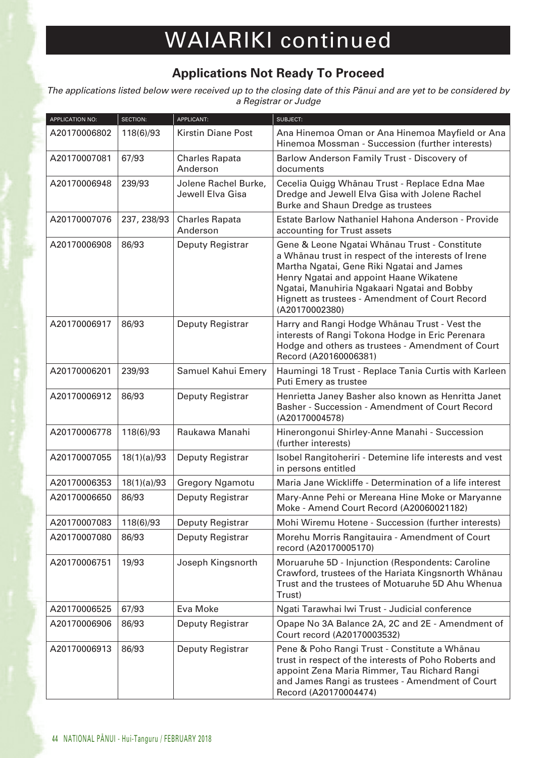# WAIARIKI continued

## **Applications Not Ready To Proceed**

*The applications listed below were received up to the closing date of this Pänui and are yet to be considered by a Registrar or Judge*

| <b>APPLICATION NO:</b> | <b>SECTION:</b> | APPLICANT:                               | <b>SUBJECT:</b>                                                                                                                                                                                                                                                                                                  |
|------------------------|-----------------|------------------------------------------|------------------------------------------------------------------------------------------------------------------------------------------------------------------------------------------------------------------------------------------------------------------------------------------------------------------|
| A20170006802           | 118(6)/93       | Kirstin Diane Post                       | Ana Hinemoa Oman or Ana Hinemoa Mayfield or Ana<br>Hinemoa Mossman - Succession (further interests)                                                                                                                                                                                                              |
| A20170007081           | 67/93           | <b>Charles Rapata</b><br>Anderson        | Barlow Anderson Family Trust - Discovery of<br>documents                                                                                                                                                                                                                                                         |
| A20170006948           | 239/93          | Jolene Rachel Burke,<br>Jewell Elva Gisa | Cecelia Quigg Whānau Trust - Replace Edna Mae<br>Dredge and Jewell Elva Gisa with Jolene Rachel<br>Burke and Shaun Dredge as trustees                                                                                                                                                                            |
| A20170007076           | 237, 238/93     | <b>Charles Rapata</b><br>Anderson        | Estate Barlow Nathaniel Hahona Anderson - Provide<br>accounting for Trust assets                                                                                                                                                                                                                                 |
| A20170006908           | 86/93           | Deputy Registrar                         | Gene & Leone Ngatai Whānau Trust - Constitute<br>a Whānau trust in respect of the interests of Irene<br>Martha Ngatai, Gene Riki Ngatai and James<br>Henry Ngatai and appoint Haane Wikatene<br>Ngatai, Manuhiria Ngakaari Ngatai and Bobby<br>Hignett as trustees - Amendment of Court Record<br>(A20170002380) |
| A20170006917           | 86/93           | Deputy Registrar                         | Harry and Rangi Hodge Whānau Trust - Vest the<br>interests of Rangi Tokona Hodge in Eric Perenara<br>Hodge and others as trustees - Amendment of Court<br>Record (A20160006381)                                                                                                                                  |
| A20170006201           | 239/93          | Samuel Kahui Emery                       | Haumingi 18 Trust - Replace Tania Curtis with Karleen<br>Puti Emery as trustee                                                                                                                                                                                                                                   |
| A20170006912           | 86/93           | Deputy Registrar                         | Henrietta Janey Basher also known as Henritta Janet<br>Basher - Succession - Amendment of Court Record<br>(A20170004578)                                                                                                                                                                                         |
| A20170006778           | 118(6)/93       | Raukawa Manahi                           | Hinerongonui Shirley-Anne Manahi - Succession<br>(further interests)                                                                                                                                                                                                                                             |
| A20170007055           | 18(1)(a)/93     | Deputy Registrar                         | Isobel Rangitoheriri - Detemine life interests and vest<br>in persons entitled                                                                                                                                                                                                                                   |
| A20170006353           | 18(1)(a)/93     | <b>Gregory Ngamotu</b>                   | Maria Jane Wickliffe - Determination of a life interest                                                                                                                                                                                                                                                          |
| A20170006650           | 86/93           | Deputy Registrar                         | Mary-Anne Pehi or Mereana Hine Moke or Maryanne<br>Moke - Amend Court Record (A20060021182)                                                                                                                                                                                                                      |
| A20170007083           | 118(6)/93       | Deputy Registrar                         | Mohi Wiremu Hotene - Succession (further interests)                                                                                                                                                                                                                                                              |
| A20170007080           | 86/93           | Deputy Registrar                         | Morehu Morris Rangitauira - Amendment of Court<br>record (A20170005170)                                                                                                                                                                                                                                          |
| A20170006751           | 19/93           | Joseph Kingsnorth                        | Moruaruhe 5D - Injunction (Respondents: Caroline<br>Crawford, trustees of the Hariata Kingsnorth Whānau<br>Trust and the trustees of Motuaruhe 5D Ahu Whenua<br>Trust)                                                                                                                                           |
| A20170006525           | 67/93           | Eva Moke                                 | Ngati Tarawhai lwi Trust - Judicial conference                                                                                                                                                                                                                                                                   |
| A20170006906           | 86/93           | Deputy Registrar                         | Opape No 3A Balance 2A, 2C and 2E - Amendment of<br>Court record (A20170003532)                                                                                                                                                                                                                                  |
| A20170006913           | 86/93           | Deputy Registrar                         | Pene & Poho Rangi Trust - Constitute a Whānau<br>trust in respect of the interests of Poho Roberts and<br>appoint Zena Maria Rimmer, Tau Richard Rangi<br>and James Rangi as trustees - Amendment of Court<br>Record (A20170004474)                                                                              |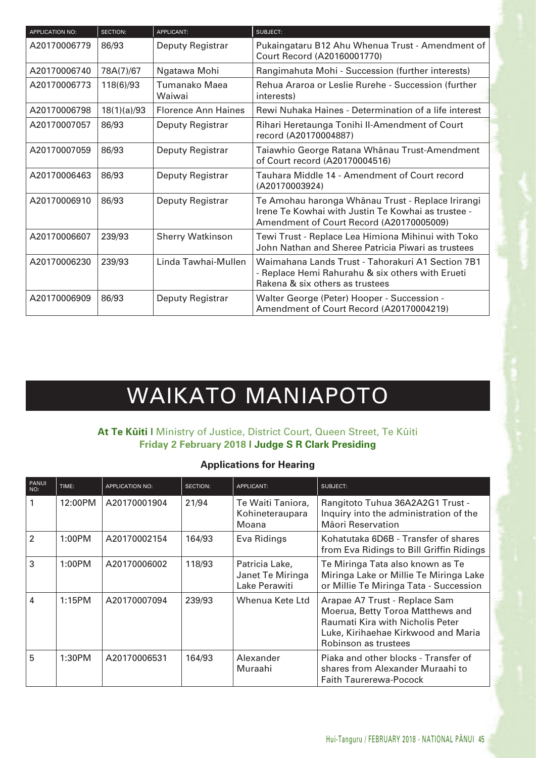| <b>APPLICATION NO:</b> | <b>SECTION:</b> | <b>APPLICANT:</b>          | SUBJECT:                                                                                                                                            |
|------------------------|-----------------|----------------------------|-----------------------------------------------------------------------------------------------------------------------------------------------------|
| A20170006779           | 86/93           | Deputy Registrar           | Pukaingataru B12 Ahu Whenua Trust - Amendment of<br>Court Record (A20160001770)                                                                     |
| A20170006740           | 78A(7)/67       | Ngatawa Mohi               | Rangimahuta Mohi - Succession (further interests)                                                                                                   |
| A20170006773           | 118(6)/93       | Tumanako Maea<br>Waiwai    | Rehua Araroa or Leslie Rurehe - Succession (further<br>interests)                                                                                   |
| A20170006798           | 18(1)(a)/93     | <b>Florence Ann Haines</b> | Rewi Nuhaka Haines - Determination of a life interest                                                                                               |
| A20170007057           | 86/93           | Deputy Registrar           | Rihari Heretaunga Tonihi II-Amendment of Court<br>record (A20170004887)                                                                             |
| A20170007059           | 86/93           | Deputy Registrar           | Taiawhio George Ratana Whānau Trust-Amendment<br>of Court record (A20170004516)                                                                     |
| A20170006463           | 86/93           | Deputy Registrar           | Tauhara Middle 14 - Amendment of Court record<br>(A20170003924)                                                                                     |
| A20170006910           | 86/93           | Deputy Registrar           | Te Amohau haronga Whānau Trust - Replace Irirangi<br>Irene Te Kowhai with Justin Te Kowhai as trustee -<br>Amendment of Court Record (A20170005009) |
| A20170006607           | 239/93          | <b>Sherry Watkinson</b>    | Tewi Trust - Replace Lea Himiona Mihinui with Toko<br>John Nathan and Sheree Patricia Piwari as trustees                                            |
| A20170006230           | 239/93          | Linda Tawhai-Mullen        | Waimahana Lands Trust - Tahorakuri A1 Section 7B1<br>- Replace Hemi Rahurahu & six others with Erueti<br>Rakena & six others as trustees            |
| A20170006909           | 86/93           | Deputy Registrar           | Walter George (Peter) Hooper - Succession -<br>Amendment of Court Record (A20170004219)                                                             |

# WAIKATO MANIAPOTO

## **At Te Küiti |** Ministry of Justice, District Court, Queen Street, Te Küiti **Friday 2 February 2018 | Judge S R Clark Presiding**

| PANUI<br>NO:   | TIME:   | <b>APPLICATION NO:</b> | <b>SECTION:</b> | <b>APPLICANT:</b>                                   | SUBJECT:                                                                                                                                                             |
|----------------|---------|------------------------|-----------------|-----------------------------------------------------|----------------------------------------------------------------------------------------------------------------------------------------------------------------------|
| 1              | 12:00PM | A20170001904           | 21/94           | Te Waiti Taniora,<br>Kohineteraupara<br>Moana       | Rangitoto Tuhua 36A2A2G1 Trust -<br>Inquiry into the administration of the<br>Māori Reservation                                                                      |
| $\overline{2}$ | 1:00PM  | A20170002154           | 164/93          | Eva Ridings                                         | Kohatutaka 6D6B - Transfer of shares<br>from Eva Ridings to Bill Griffin Ridings                                                                                     |
| 3              | 1:00PM  | A20170006002           | 118/93          | Patricia Lake,<br>Janet Te Miringa<br>Lake Perawiti | Te Miringa Tata also known as Te<br>Miringa Lake or Millie Te Miringa Lake<br>or Millie Te Miringa Tata - Succession                                                 |
| 4              | 1:15PM  | A20170007094           | 239/93          | Whenua Kete Ltd                                     | Arapae A7 Trust - Replace Sam<br>Moerua, Betty Toroa Matthews and<br>Raumati Kira with Nicholis Peter<br>Luke, Kirihaehae Kirkwood and Maria<br>Robinson as trustees |
| 5              | 1:30PM  | A20170006531           | 164/93          | Alexander<br>Muraahi                                | Piaka and other blocks - Transfer of<br>shares from Alexander Muraahi to<br><b>Faith Taurerewa-Pocock</b>                                                            |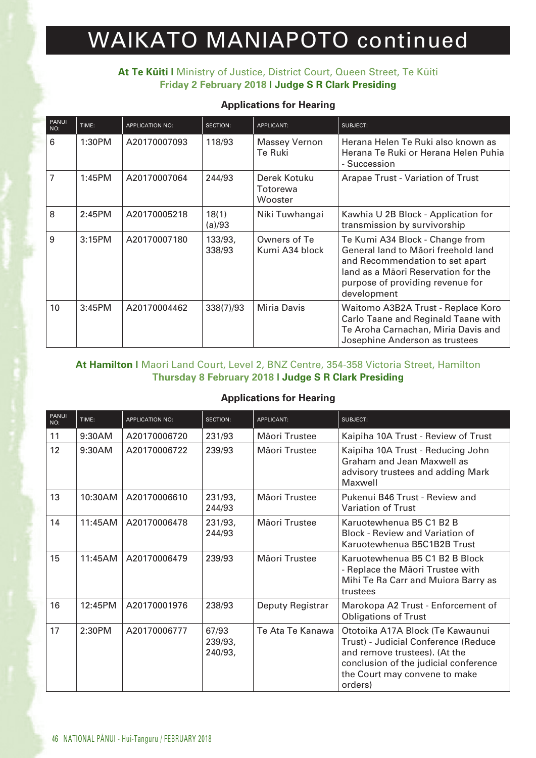# WAIKATO MANIAPOTO continued

## **At Te Küiti |** Ministry of Justice, District Court, Queen Street, Te Küiti **Friday 2 February 2018 | Judge S R Clark Presiding**

| <b>PANUI</b><br>NO: | TIME:  | <b>APPLICATION NO:</b> | SECTION:          | APPLICANT:                          | <b>SUBJECT:</b>                                                                                                                                                                                     |
|---------------------|--------|------------------------|-------------------|-------------------------------------|-----------------------------------------------------------------------------------------------------------------------------------------------------------------------------------------------------|
| 6                   | 1:30PM | A20170007093           | 118/93            | Massey Vernon<br>Te Ruki            | Herana Helen Te Ruki also known as<br>Herana Te Ruki or Herana Helen Puhia<br>- Succession                                                                                                          |
| 7                   | 1:45PM | A20170007064           | 244/93            | Derek Kotuku<br>Totorewa<br>Wooster | Arapae Trust - Variation of Trust                                                                                                                                                                   |
| 8                   | 2:45PM | A20170005218           | 18(1)<br>(a)/93   | Niki Tuwhangai                      | Kawhia U 2B Block - Application for<br>transmission by survivorship                                                                                                                                 |
| 9                   | 3:15PM | A20170007180           | 133/93,<br>338/93 | Owners of Te<br>Kumi A34 block      | Te Kumi A34 Block - Change from<br>General land to Maori freehold land<br>and Recommendation to set apart<br>land as a Māori Reservation for the<br>purpose of providing revenue for<br>development |
| 10                  | 3:45PM | A20170004462           | 338(7)/93         | Miria Davis                         | Waitomo A3B2A Trust - Replace Koro<br>Carlo Taane and Reginald Taane with<br>Te Aroha Carnachan, Miria Davis and<br>Josephine Anderson as trustees                                                  |

## **Applications for Hearing**

## **At Hamilton |** Maori Land Court, Level 2, BNZ Centre, 354-358 Victoria Street, Hamilton **Thursday 8 February 2018 | Judge S R Clark Presiding**

| <b>PANUI</b><br>NO: | TIME:   | <b>APPLICATION NO:</b> | <b>SECTION:</b>             | APPLICANT:       | SUBJECT:                                                                                                                                                                                       |
|---------------------|---------|------------------------|-----------------------------|------------------|------------------------------------------------------------------------------------------------------------------------------------------------------------------------------------------------|
| 11                  | 9:30AM  | A20170006720           | 231/93                      | Māori Trustee    | Kaipiha 10A Trust - Review of Trust                                                                                                                                                            |
| 12                  | 9:30AM  | A20170006722           | 239/93                      | Māori Trustee    | Kaipiha 10A Trust - Reducing John<br><b>Graham and Jean Maxwell as</b><br>advisory trustees and adding Mark<br>Maxwell                                                                         |
| 13                  | 10:30AM | A20170006610           | 231/93,<br>244/93           | Māori Trustee    | Pukenui B46 Trust - Review and<br><b>Variation of Trust</b>                                                                                                                                    |
| 14                  | 11:45AM | A20170006478           | 231/93,<br>244/93           | Māori Trustee    | Karuotewhenua B5 C1 B2 B<br><b>Block - Review and Variation of</b><br>Karuotewhenua B5C1B2B Trust                                                                                              |
| 15                  | 11:45AM | A20170006479           | 239/93                      | Māori Trustee    | Karuotewhenua B5 C1 B2 B Block<br>- Replace the Māori Trustee with<br>Mihi Te Ra Carr and Muiora Barry as<br>trustees                                                                          |
| 16                  | 12:45PM | A20170001976           | 238/93                      | Deputy Registrar | Marokopa A2 Trust - Enforcement of<br><b>Obligations of Trust</b>                                                                                                                              |
| 17                  | 2:30PM  | A20170006777           | 67/93<br>239/93,<br>240/93, | Te Ata Te Kanawa | Ototoika A17A Block (Te Kawaunui<br>Trust) - Judicial Conference (Reduce<br>and remove trustees). (At the<br>conclusion of the judicial conference<br>the Court may convene to make<br>orders) |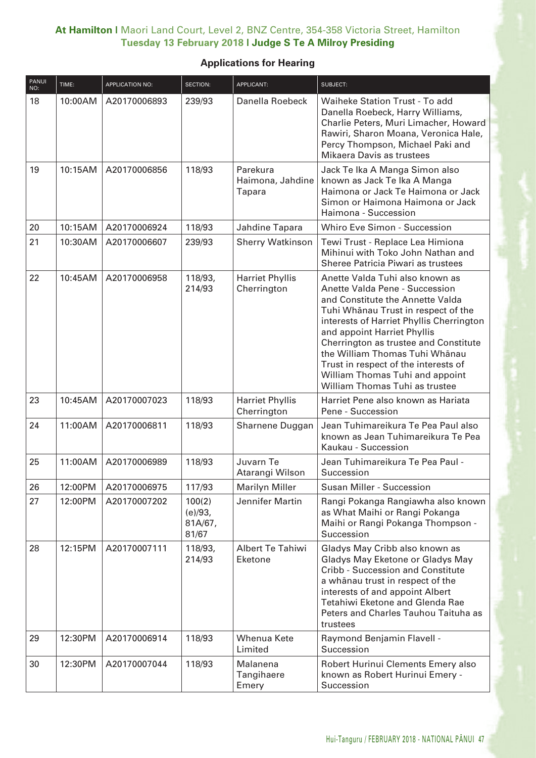## **At Hamilton |** Maori Land Court, Level 2, BNZ Centre, 354-358 Victoria Street, Hamilton **Tuesday 13 February 2018 | Judge S Te A Milroy Presiding**

| <b>PANUI</b><br>NO: | TIME:   | APPLICATION NO: | SECTION:                              | APPLICANT:                             | SUBJECT:                                                                                                                                                                                                                                                                                                                                                                                                        |
|---------------------|---------|-----------------|---------------------------------------|----------------------------------------|-----------------------------------------------------------------------------------------------------------------------------------------------------------------------------------------------------------------------------------------------------------------------------------------------------------------------------------------------------------------------------------------------------------------|
| 18                  | 10:00AM | A20170006893    | 239/93                                | Danella Roebeck                        | Waiheke Station Trust - To add<br>Danella Roebeck, Harry Williams,<br>Charlie Peters, Muri Limacher, Howard<br>Rawiri, Sharon Moana, Veronica Hale,<br>Percy Thompson, Michael Paki and<br>Mikaera Davis as trustees                                                                                                                                                                                            |
| 19                  | 10:15AM | A20170006856    | 118/93                                | Parekura<br>Haimona, Jahdine<br>Tapara | Jack Te Ika A Manga Simon also<br>known as Jack Te Ika A Manga<br>Haimona or Jack Te Haimona or Jack<br>Simon or Haimona Haimona or Jack<br>Haimona - Succession                                                                                                                                                                                                                                                |
| 20                  | 10:15AM | A20170006924    | 118/93                                | Jahdine Tapara                         | <b>Whiro Eve Simon - Succession</b>                                                                                                                                                                                                                                                                                                                                                                             |
| 21                  | 10:30AM | A20170006607    | 239/93                                | <b>Sherry Watkinson</b>                | Tewi Trust - Replace Lea Himiona<br>Mihinui with Toko John Nathan and<br>Sheree Patricia Piwari as trustees                                                                                                                                                                                                                                                                                                     |
| 22                  | 10:45AM | A20170006958    | 118/93,<br>214/93                     | <b>Harriet Phyllis</b><br>Cherrington  | Anette Valda Tuhi also known as<br>Anette Valda Pene - Succession<br>and Constitute the Annette Valda<br>Tuhi Whānau Trust in respect of the<br>interests of Harriet Phyllis Cherrington<br>and appoint Harriet Phyllis<br>Cherrington as trustee and Constitute<br>the William Thomas Tuhi Whānau<br>Trust in respect of the interests of<br>William Thomas Tuhi and appoint<br>William Thomas Tuhi as trustee |
| 23                  | 10:45AM | A20170007023    | 118/93                                | <b>Harriet Phyllis</b><br>Cherrington  | Harriet Pene also known as Hariata<br>Pene - Succession                                                                                                                                                                                                                                                                                                                                                         |
| 24                  | 11:00AM | A20170006811    | 118/93                                | Sharnene Duggan                        | Jean Tuhimareikura Te Pea Paul also<br>known as Jean Tuhimareikura Te Pea<br>Kaukau - Succession                                                                                                                                                                                                                                                                                                                |
| 25                  | 11:00AM | A20170006989    | 118/93                                | Juvarn Te<br>Atarangi Wilson           | Jean Tuhimareikura Te Pea Paul -<br>Succession                                                                                                                                                                                                                                                                                                                                                                  |
| 26                  | 12:00PM | A20170006975    | 117/93                                | <b>Marilyn Miller</b>                  | Susan Miller - Succession                                                                                                                                                                                                                                                                                                                                                                                       |
| 27                  | 12:00PM | A20170007202    | 100(2)<br>(e)/93,<br>81A/67,<br>81/67 | Jennifer Martin                        | Rangi Pokanga Rangiawha also known<br>as What Maihi or Rangi Pokanga<br>Maihi or Rangi Pokanga Thompson -<br>Succession                                                                                                                                                                                                                                                                                         |
| 28                  | 12:15PM | A20170007111    | 118/93,<br>214/93                     | Albert Te Tahiwi<br>Eketone            | Gladys May Cribb also known as<br>Gladys May Eketone or Gladys May<br><b>Cribb - Succession and Constitute</b><br>a whānau trust in respect of the<br>interests of and appoint Albert<br>Tetahiwi Eketone and Glenda Rae<br>Peters and Charles Tauhou Taituha as<br>trustees                                                                                                                                    |
| 29                  | 12:30PM | A20170006914    | 118/93                                | Whenua Kete<br>Limited                 | Raymond Benjamin Flavell -<br>Succession                                                                                                                                                                                                                                                                                                                                                                        |
| 30                  | 12:30PM | A20170007044    | 118/93                                | Malanena<br>Tangihaere<br>Emery        | Robert Hurinui Clements Emery also<br>known as Robert Hurinui Emery -<br>Succession                                                                                                                                                                                                                                                                                                                             |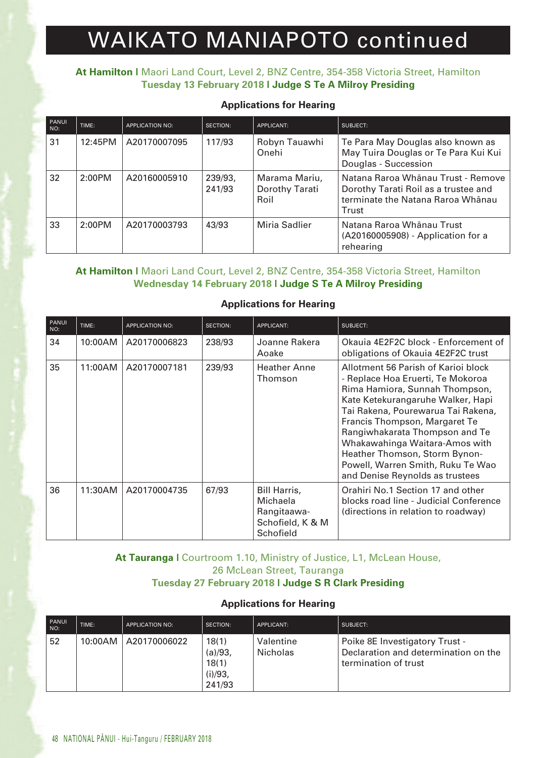# WAIKATO MANIAPOTO continued

## **At Hamilton |** Maori Land Court, Level 2, BNZ Centre, 354-358 Victoria Street, Hamilton **Tuesday 13 February 2018 | Judge S Te A Milroy Presiding**

## **Applications for Hearing**

| PANUI<br>NO: | TIME:     | <b>APPLICATION NO:</b> | <b>SECTION:</b>   | APPLICANT:                              | SUBJECT:                                                                                                                 |
|--------------|-----------|------------------------|-------------------|-----------------------------------------|--------------------------------------------------------------------------------------------------------------------------|
| 31           | 12:45PM   | A20170007095           | 117/93            | Robyn Tauawhi<br>Onehi                  | Te Para May Douglas also known as<br>May Tuira Douglas or Te Para Kui Kui<br>Douglas - Succession                        |
| 32           | 2:00PM    | A20160005910           | 239/93,<br>241/93 | Marama Mariu,<br>Dorothy Tarati<br>Roil | Natana Raroa Whānau Trust - Remove<br>Dorothy Tarati Roil as a trustee and<br>terminate the Natana Raroa Whānau<br>Trust |
| 33           | $2:00$ PM | A20170003793           | 43/93             | Miria Sadlier                           | Natana Raroa Whānau Trust<br>(A20160005908) - Application for a<br>rehearing                                             |

## **At Hamilton |** Maori Land Court, Level 2, BNZ Centre, 354-358 Victoria Street, Hamilton **Wednesday 14 February 2018 | Judge S Te A Milroy Presiding**

## **Applications for Hearing**

| <b>PANUI</b><br>NO: | TIME:   | <b>APPLICATION NO:</b> | <b>SECTION:</b> | <b>APPLICANT:</b>                                                        | SUBJECT:                                                                                                                                                                                                                                                                                                                                                                                            |
|---------------------|---------|------------------------|-----------------|--------------------------------------------------------------------------|-----------------------------------------------------------------------------------------------------------------------------------------------------------------------------------------------------------------------------------------------------------------------------------------------------------------------------------------------------------------------------------------------------|
| 34                  | 10:00AM | A20170006823           | 238/93          | Joanne Rakera<br>Aoake                                                   | Okauia 4E2F2C block - Enforcement of<br>obligations of Okauia 4E2F2C trust                                                                                                                                                                                                                                                                                                                          |
| 35                  | 11:00AM | A20170007181           | 239/93          | <b>Heather Anne</b><br>Thomson                                           | Allotment 56 Parish of Karioi block<br>- Replace Hoa Eruerti, Te Mokoroa<br>Rima Hamiora, Sunnah Thompson,<br>Kate Ketekurangaruhe Walker, Hapi<br>Tai Rakena, Pourewarua Tai Rakena,<br>Francis Thompson, Margaret Te<br>Rangiwhakarata Thompson and Te<br>Whakawahinga Waitara-Amos with<br>Heather Thomson, Storm Bynon-<br>Powell, Warren Smith, Ruku Te Wao<br>and Denise Reynolds as trustees |
| 36                  | 11:30AM | A20170004735           | 67/93           | Bill Harris,<br>Michaela<br>Rangitaawa-<br>Schofield, K & M<br>Schofield | Orahiri No.1 Section 17 and other<br>blocks road line - Judicial Conference<br>(directions in relation to roadway)                                                                                                                                                                                                                                                                                  |

## **At Tauranga |** Courtroom 1.10, Ministry of Justice, L1, McLean House, 26 McLean Street, Tauranga **Tuesday 27 February 2018 | Judge S R Clark Presiding**

| PANUI<br>NO: | TIME:   | <b>APPLICATION NO:</b> | SECTION:                                       | APPLICANT:                   | SUBJECT:                                                                                       |
|--------------|---------|------------------------|------------------------------------------------|------------------------------|------------------------------------------------------------------------------------------------|
| 52           | 10:00AM | A20170006022           | 18(1)<br>(a)/93,<br>18(1)<br>(i)/93,<br>241/93 | Valentine<br><b>Nicholas</b> | Poike 8E Investigatory Trust -<br>Declaration and determination on the<br>termination of trust |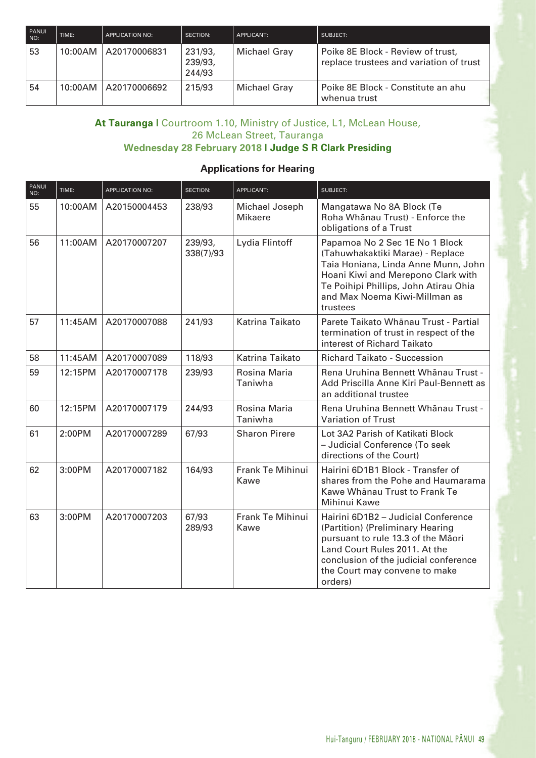| PANUI<br>NO: | TIME:     | <b>APPLICATION NO:</b> | SECTION:                     | APPLICANT:   | SUBJECT:                                                                     |
|--------------|-----------|------------------------|------------------------------|--------------|------------------------------------------------------------------------------|
| 53           | 10:00AM   | A20170006831           | 231/93,<br>239/93,<br>244/93 | Michael Gray | Poike 8E Block - Review of trust,<br>replace trustees and variation of trust |
| 54           | $10:00AM$ | A20170006692           | 215/93                       | Michael Gray | Poike 8E Block - Constitute an ahu<br>whenua trust                           |

## **At Tauranga |** Courtroom 1.10, Ministry of Justice, L1, McLean House, 26 McLean Street, Tauranga

## **Wednesday 28 February 2018 | Judge S R Clark Presiding**

| PANUI<br>NO: | TIME:   | <b>APPLICATION NO:</b> | SECTION:             | APPLICANT:                       | <b>SUBJECT:</b>                                                                                                                                                                                                                       |
|--------------|---------|------------------------|----------------------|----------------------------------|---------------------------------------------------------------------------------------------------------------------------------------------------------------------------------------------------------------------------------------|
| 55           | 10:00AM | A20150004453           | 238/93               | Michael Joseph<br><b>Mikaere</b> | Mangatawa No 8A Block (Te<br>Roha Whānau Trust) - Enforce the<br>obligations of a Trust                                                                                                                                               |
| 56           | 11:00AM | A20170007207           | 239/93,<br>338(7)/93 | Lydia Flintoff                   | Papamoa No 2 Sec 1E No 1 Block<br>(Tahuwhakaktiki Marae) - Replace<br>Taia Honiana, Linda Anne Munn, John<br>Hoani Kiwi and Merepono Clark with<br>Te Poihipi Phillips, John Atirau Ohia<br>and Max Noema Kiwi-Millman as<br>trustees |
| 57           | 11:45AM | A20170007088           | 241/93               | <b>Katrina Taikato</b>           | Parete Taikato Whānau Trust - Partial<br>termination of trust in respect of the<br>interest of Richard Taikato                                                                                                                        |
| 58           | 11:45AM | A20170007089           | 118/93               | Katrina Taikato                  | <b>Richard Taikato - Succession</b>                                                                                                                                                                                                   |
| 59           | 12:15PM | A20170007178           | 239/93               | Rosina Maria<br>Taniwha          | Rena Uruhina Bennett Whānau Trust -<br>Add Priscilla Anne Kiri Paul-Bennett as<br>an additional trustee                                                                                                                               |
| 60           | 12:15PM | A20170007179           | 244/93               | Rosina Maria<br>Taniwha          | Rena Uruhina Bennett Whānau Trust -<br><b>Variation of Trust</b>                                                                                                                                                                      |
| 61           | 2:00PM  | A20170007289           | 67/93                | <b>Sharon Pirere</b>             | Lot 3A2 Parish of Katikati Block<br>- Judicial Conference (To seek<br>directions of the Court)                                                                                                                                        |
| 62           | 3:00PM  | A20170007182           | 164/93               | Frank Te Mihinui<br>Kawe         | Hairini 6D1B1 Block - Transfer of<br>shares from the Pohe and Haumarama<br>Kawe Whānau Trust to Frank Te<br>Mihinui Kawe                                                                                                              |
| 63           | 3:00PM  | A20170007203           | 67/93<br>289/93      | Frank Te Mihinui<br>Kawe         | Hairini 6D1B2 - Judicial Conference<br>(Partition) (Preliminary Hearing<br>pursuant to rule 13.3 of the Māori<br>Land Court Rules 2011. At the<br>conclusion of the judicial conference<br>the Court may convene to make<br>orders)   |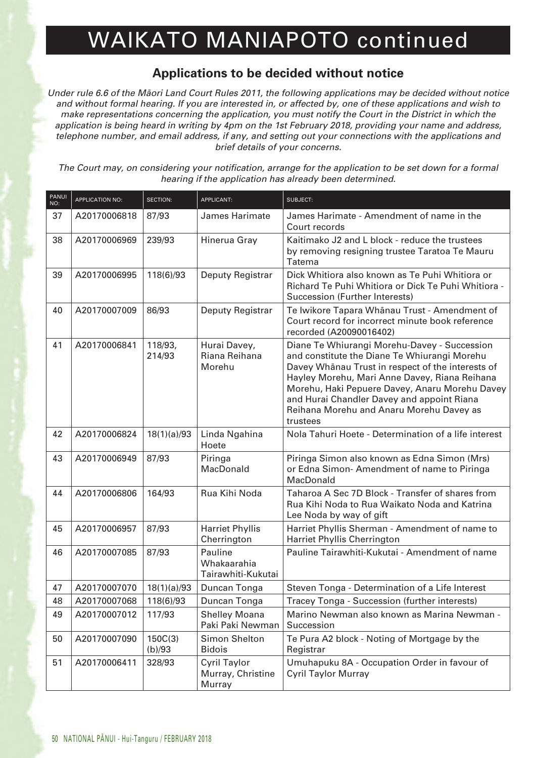# WAIKATO MANIAPOTO continued

## **Applications to be decided without notice**

*Under rule 6.6 of the Mäori Land Court Rules 2011, the following applications may be decided without notice and without formal hearing. If you are interested in, or affected by, one of these applications and wish to make representations concerning the application, you must notify the Court in the District in which the application is being heard in writing by 4pm on the 1st February 2018, providing your name and address, telephone number, and email address, if any, and setting out your connections with the applications and brief details of your concerns.*

*The Court may, on considering your notification, arrange for the application to be set down for a formal hearing if the application has already been determined.*

| <b>PANUI</b><br>NO: | APPLICATION NO: | SECTION:          | APPLICANT:                                   | SUBJECT:                                                                                                                                                                                                                                                                                                                                                   |
|---------------------|-----------------|-------------------|----------------------------------------------|------------------------------------------------------------------------------------------------------------------------------------------------------------------------------------------------------------------------------------------------------------------------------------------------------------------------------------------------------------|
| 37                  | A20170006818    | 87/93             | James Harimate                               | James Harimate - Amendment of name in the<br>Court records                                                                                                                                                                                                                                                                                                 |
| 38                  | A20170006969    | 239/93            | Hinerua Gray                                 | Kaitimako J2 and L block - reduce the trustees<br>by removing resigning trustee Taratoa Te Mauru<br>Tatema                                                                                                                                                                                                                                                 |
| 39                  | A20170006995    | 118(6)/93         | Deputy Registrar                             | Dick Whitiora also known as Te Puhi Whitiora or<br>Richard Te Puhi Whitiora or Dick Te Puhi Whitiora -<br>Succession (Further Interests)                                                                                                                                                                                                                   |
| 40                  | A20170007009    | 86/93             | Deputy Registrar                             | Te Iwikore Tapara Whānau Trust - Amendment of<br>Court record for incorrect minute book reference<br>recorded (A20090016402)                                                                                                                                                                                                                               |
| 41                  | A20170006841    | 118/93,<br>214/93 | Hurai Davey,<br>Riana Reihana<br>Morehu      | Diane Te Whiurangi Morehu-Davey - Succession<br>and constitute the Diane Te Whiurangi Morehu<br>Davey Whānau Trust in respect of the interests of<br>Hayley Morehu, Mari Anne Davey, Riana Reihana<br>Morehu, Haki Pepuere Davey, Anaru Morehu Davey<br>and Hurai Chandler Davey and appoint Riana<br>Reihana Morehu and Anaru Morehu Davey as<br>trustees |
| 42                  | A20170006824    | 18(1)(a)/93       | Linda Ngahina<br>Hoete                       | Nola Tahuri Hoete - Determination of a life interest                                                                                                                                                                                                                                                                                                       |
| 43                  | A20170006949    | 87/93             | Piringa<br>MacDonald                         | Piringa Simon also known as Edna Simon (Mrs)<br>or Edna Simon-Amendment of name to Piringa<br>MacDonald                                                                                                                                                                                                                                                    |
| 44                  | A20170006806    | 164/93            | Rua Kihi Noda                                | Taharoa A Sec 7D Block - Transfer of shares from<br>Rua Kihi Noda to Rua Waikato Noda and Katrina<br>Lee Noda by way of gift                                                                                                                                                                                                                               |
| 45                  | A20170006957    | 87/93             | <b>Harriet Phyllis</b><br>Cherrington        | Harriet Phyllis Sherman - Amendment of name to<br>Harriet Phyllis Cherrington                                                                                                                                                                                                                                                                              |
| 46                  | A20170007085    | 87/93             | Pauline<br>Whakaarahia<br>Tairawhiti-Kukutai | Pauline Tairawhiti-Kukutai - Amendment of name                                                                                                                                                                                                                                                                                                             |
| 47                  | A20170007070    | 18(1)(a)/93       | Duncan Tonga                                 | Steven Tonga - Determination of a Life Interest                                                                                                                                                                                                                                                                                                            |
| 48                  | A20170007068    | 118(6)/93         | Duncan Tonga                                 | Tracey Tonga - Succession (further interests)                                                                                                                                                                                                                                                                                                              |
| 49                  | A20170007012    | 117/93            | <b>Shelley Moana</b><br>Paki Paki Newman     | Marino Newman also known as Marina Newman -<br>Succession                                                                                                                                                                                                                                                                                                  |
| 50                  | A20170007090    | 150C(3)<br>(b)/93 | Simon Shelton<br><b>Bidois</b>               | Te Pura A2 block - Noting of Mortgage by the<br>Registrar                                                                                                                                                                                                                                                                                                  |
| 51                  | A20170006411    | 328/93            | Cyril Taylor<br>Murray, Christine<br>Murray  | Umuhapuku 8A - Occupation Order in favour of<br><b>Cyril Taylor Murray</b>                                                                                                                                                                                                                                                                                 |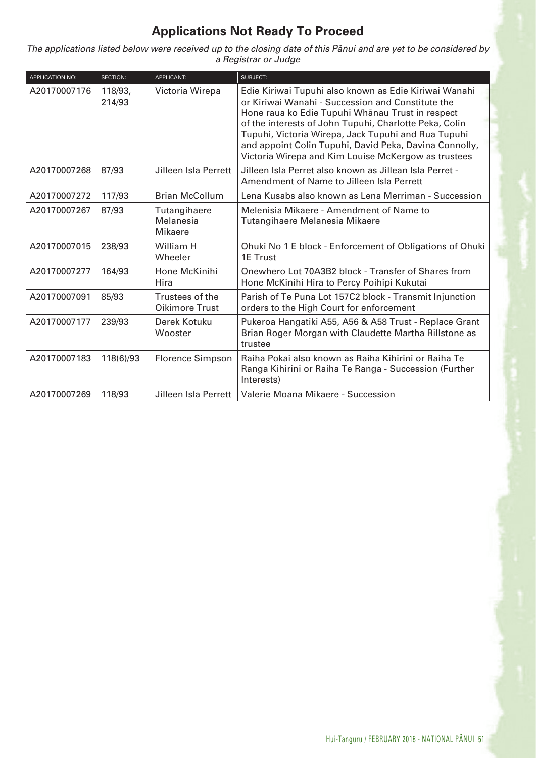## **Applications Not Ready To Proceed**

*The applications listed below were received up to the closing date of this Pänui and are yet to be considered by a Registrar or Judge*

| <b>APPLICATION NO:</b> | SECTION:          | <b>APPLICANT:</b>                           | SUBJECT:                                                                                                                                                                                                                                                                                                                                                                                         |
|------------------------|-------------------|---------------------------------------------|--------------------------------------------------------------------------------------------------------------------------------------------------------------------------------------------------------------------------------------------------------------------------------------------------------------------------------------------------------------------------------------------------|
| A20170007176           | 118/93,<br>214/93 | Victoria Wirepa                             | Edie Kiriwai Tupuhi also known as Edie Kiriwai Wanahi<br>or Kiriwai Wanahi - Succession and Constitute the<br>Hone raua ko Edie Tupuhi Whānau Trust in respect<br>of the interests of John Tupuhi, Charlotte Peka, Colin<br>Tupuhi, Victoria Wirepa, Jack Tupuhi and Rua Tupuhi<br>and appoint Colin Tupuhi, David Peka, Davina Connolly,<br>Victoria Wirepa and Kim Louise McKergow as trustees |
| A20170007268           | 87/93             | Jilleen Isla Perrett                        | Jilleen Isla Perret also known as Jillean Isla Perret -<br>Amendment of Name to Jilleen Isla Perrett                                                                                                                                                                                                                                                                                             |
| A20170007272           | 117/93            | <b>Brian McCollum</b>                       | Lena Kusabs also known as Lena Merriman - Succession                                                                                                                                                                                                                                                                                                                                             |
| A20170007267           | 87/93             | Tutangihaere<br>Melanesia<br><b>Mikaere</b> | Melenisia Mikaere - Amendment of Name to<br>Tutangihaere Melanesia Mikaere                                                                                                                                                                                                                                                                                                                       |
| A20170007015           | 238/93            | William H<br>Wheeler                        | Ohuki No 1 E block - Enforcement of Obligations of Ohuki<br>1E Trust                                                                                                                                                                                                                                                                                                                             |
| A20170007277           | 164/93            | Hone McKinihi<br>Hira                       | Onewhero Lot 70A3B2 block - Transfer of Shares from<br>Hone McKinihi Hira to Percy Poihipi Kukutai                                                                                                                                                                                                                                                                                               |
| A20170007091           | 85/93             | Trustees of the<br>Oikimore Trust           | Parish of Te Puna Lot 157C2 block - Transmit Injunction<br>orders to the High Court for enforcement                                                                                                                                                                                                                                                                                              |
| A20170007177           | 239/93            | Derek Kotuku<br>Wooster                     | Pukeroa Hangatiki A55, A56 & A58 Trust - Replace Grant<br>Brian Roger Morgan with Claudette Martha Rillstone as<br>trustee                                                                                                                                                                                                                                                                       |
| A20170007183           | 118(6)/93         | <b>Florence Simpson</b>                     | Raiha Pokai also known as Raiha Kihirini or Raiha Te<br>Ranga Kihirini or Raiha Te Ranga - Succession (Further<br>Interests)                                                                                                                                                                                                                                                                     |
| A20170007269           | 118/93            | Jilleen Isla Perrett                        | Valerie Moana Mikaere - Succession                                                                                                                                                                                                                                                                                                                                                               |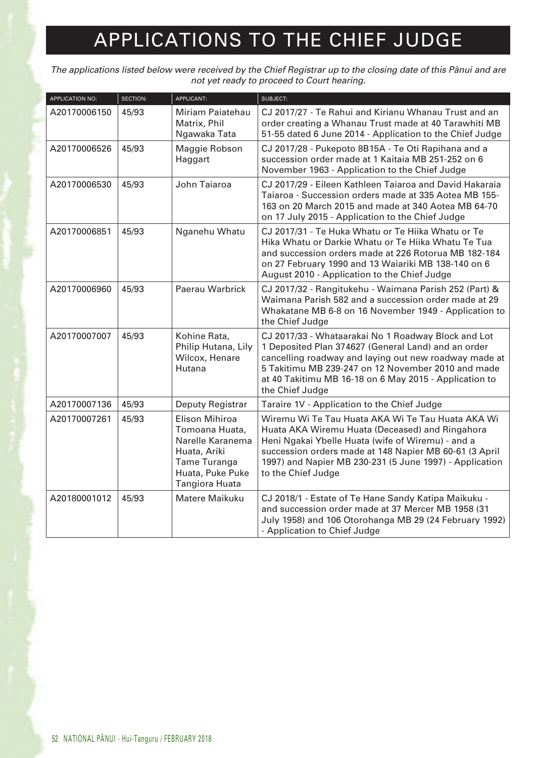# APPLICATIONS TO THE CHIEF JUDGE

*The applications listed below were received by the Chief Registrar up to the closing date of this Pänui and are not yet ready to proceed to Court hearing.*

| <b>APPLICATION NO:</b> | <b>SECTION:</b> | APPLICANT:                                                                                                                               | SUBJECT:                                                                                                                                                                                                                                                                                               |
|------------------------|-----------------|------------------------------------------------------------------------------------------------------------------------------------------|--------------------------------------------------------------------------------------------------------------------------------------------------------------------------------------------------------------------------------------------------------------------------------------------------------|
| A20170006150           | 45/93           | Miriam Paiatehau<br>Matrix, Phil<br>Ngawaka Tata                                                                                         | CJ 2017/27 - Te Rahui and Kirianu Whanau Trust and an<br>order creating a Whanau Trust made at 40 Tarawhiti MB<br>51-55 dated 6 June 2014 - Application to the Chief Judge                                                                                                                             |
| A20170006526           | 45/93           | Maggie Robson<br>Haggart                                                                                                                 | CJ 2017/28 - Pukepoto 8B15A - Te Oti Rapihana and a<br>succession order made at 1 Kaitaia MB 251-252 on 6<br>November 1963 - Application to the Chief Judge                                                                                                                                            |
| A20170006530           | 45/93           | John Taiaroa                                                                                                                             | CJ 2017/29 - Eileen Kathleen Taiaroa and David Hakaraia<br>Taiaroa - Succession orders made at 335 Aotea MB 155-<br>163 on 20 March 2015 and made at 340 Aotea MB 64-70<br>on 17 July 2015 - Application to the Chief Judge                                                                            |
| A20170006851           | 45/93           | Nganehu Whatu                                                                                                                            | CJ 2017/31 - Te Huka Whatu or Te Hiika Whatu or Te<br>Hika Whatu or Darkie Whatu or Te Hiika Whatu Te Tua<br>and succession orders made at 226 Rotorua MB 182-184<br>on 27 February 1990 and 13 Waiariki MB 138-140 on 6<br>August 2010 - Application to the Chief Judge                               |
| A20170006960           | 45/93           | Paerau Warbrick                                                                                                                          | CJ 2017/32 - Rangitukehu - Waimana Parish 252 (Part) &<br>Waimana Parish 582 and a succession order made at 29<br>Whakatane MB 6-8 on 16 November 1949 - Application to<br>the Chief Judge                                                                                                             |
| A20170007007           | 45/93           | Kohine Rata,<br>Philip Hutana, Lily<br>Wilcox, Henare<br>Hutana                                                                          | CJ 2017/33 - Whataarakai No 1 Roadway Block and Lot<br>1 Deposited Plan 374627 (General Land) and an order<br>cancelling roadway and laying out new roadway made at<br>5 Takitimu MB 239-247 on 12 November 2010 and made<br>at 40 Takitimu MB 16-18 on 6 May 2015 - Application to<br>the Chief Judge |
| A20170007136           | 45/93           | Deputy Registrar                                                                                                                         | Taraire 1V - Application to the Chief Judge                                                                                                                                                                                                                                                            |
| A20170007261           | 45/93           | <b>Elison Mihiroa</b><br>Tomoana Huata,<br>Narelle Karanema<br>Huata, Ariki<br>Tame Turanga<br>Huata, Puke Puke<br><b>Tangiora Huata</b> | Wiremu Wi Te Tau Huata AKA Wi Te Tau Huata AKA Wi<br>Huata AKA Wiremu Huata (Deceased) and Ringahora<br>Heni Ngakai Ybelle Huata (wife of Wiremu) - and a<br>succession orders made at 148 Napier MB 60-61 (3 April<br>1997) and Napier MB 230-231 (5 June 1997) - Application<br>to the Chief Judge   |
| A20180001012           | 45/93           | Matere Maikuku                                                                                                                           | CJ 2018/1 - Estate of Te Hane Sandy Katipa Maikuku -<br>and succession order made at 37 Mercer MB 1958 (31<br>July 1958) and 106 Otorohanga MB 29 (24 February 1992)<br>- Application to Chief Judge                                                                                                   |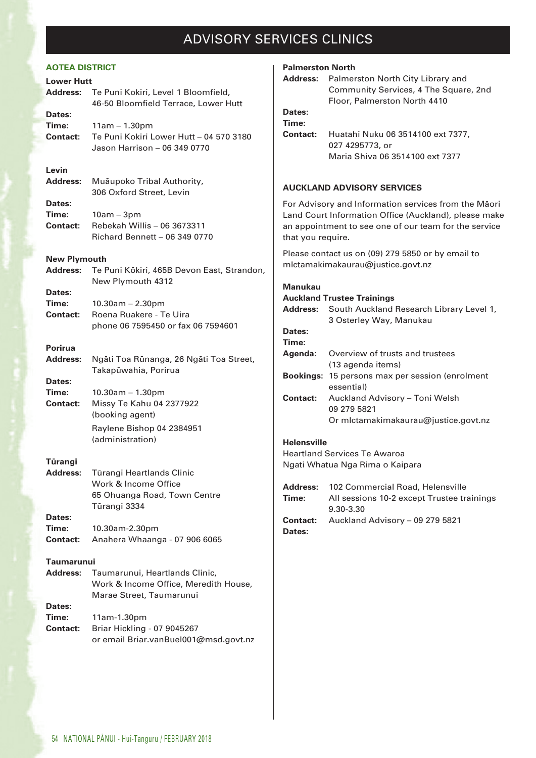# ADVISORY SERVICES CLINICS

| <b>AOTEA DISTRICT</b> |                                                            |  |  |  |  |
|-----------------------|------------------------------------------------------------|--|--|--|--|
| <b>Lower Hutt</b>     |                                                            |  |  |  |  |
| Address:              | Te Puni Kokiri, Level 1 Bloomfield,                        |  |  |  |  |
|                       | 46-50 Bloomfield Terrace, Lower Hutt                       |  |  |  |  |
| Dates:                |                                                            |  |  |  |  |
| Time:                 |                                                            |  |  |  |  |
|                       | $11am - 1.30pm$<br>Te Puni Kokiri Lower Hutt - 04 570 3180 |  |  |  |  |
| <b>Contact:</b>       | Jason Harrison - 06 349 0770                               |  |  |  |  |
|                       |                                                            |  |  |  |  |
|                       |                                                            |  |  |  |  |
| Levin                 |                                                            |  |  |  |  |
| Address:              | Muāupoko Tribal Authority,                                 |  |  |  |  |
|                       | 306 Oxford Street, Levin                                   |  |  |  |  |
| Dates:                |                                                            |  |  |  |  |
| Time:                 | $10am - 3pm$                                               |  |  |  |  |
| Contact:              | Rebekah Willis - 06 3673311                                |  |  |  |  |
|                       | Richard Bennett - 06 349 0770                              |  |  |  |  |
|                       |                                                            |  |  |  |  |
| <b>New Plymouth</b>   |                                                            |  |  |  |  |
| Address:              | Te Puni Kōkiri, 465B Devon East, Strandon,                 |  |  |  |  |
|                       | New Plymouth 4312                                          |  |  |  |  |
| Dates:                |                                                            |  |  |  |  |
| Time:                 | $10.30am - 2.30pm$                                         |  |  |  |  |
| <b>Contact:</b>       | Roena Ruakere - Te Uira                                    |  |  |  |  |
|                       | phone 06 7595450 or fax 06 7594601                         |  |  |  |  |
|                       |                                                            |  |  |  |  |
| <b>Porirua</b>        |                                                            |  |  |  |  |
| <b>Address:</b>       | Ngāti Toa Rūnanga, 26 Ngāti Toa Street,                    |  |  |  |  |
|                       | Takapūwahia, Porirua                                       |  |  |  |  |
| Dates:                |                                                            |  |  |  |  |
| Time:                 | $10.30$ am – 1.30pm                                        |  |  |  |  |
| Contact:              | Missy Te Kahu 04 2377922                                   |  |  |  |  |
|                       | (booking agent)                                            |  |  |  |  |
|                       | Raylene Bishop 04 2384951                                  |  |  |  |  |
|                       | (administration)                                           |  |  |  |  |
|                       |                                                            |  |  |  |  |
| Tūrangi               |                                                            |  |  |  |  |
| <b>Address:</b>       | Türangi Heartlands Clinic                                  |  |  |  |  |
|                       | Work & Income Office                                       |  |  |  |  |
|                       | 65 Ohuanga Road, Town Centre                               |  |  |  |  |
|                       | Tūrangi 3334                                               |  |  |  |  |
| Dates:                |                                                            |  |  |  |  |
| Time:                 | 10.30am-2.30pm                                             |  |  |  |  |
| <b>Contact:</b>       | Anahera Whaanga - 07 906 6065                              |  |  |  |  |
|                       |                                                            |  |  |  |  |
| Taumarunui            |                                                            |  |  |  |  |
| Address:              | Taumarunui, Heartlands Clinic,                             |  |  |  |  |
|                       | Work & Income Office, Meredith House,                      |  |  |  |  |
|                       |                                                            |  |  |  |  |

| $\sim$ $\sim$ |  |
|---------------|--|

#### **Dates:**

| Time: | $11am-1.30pm$                               |
|-------|---------------------------------------------|
|       | <b>Contact:</b> Briar Hickling - 07 9045267 |
|       | or email Briar.vanBuel001@msd.govt.nz       |

Marae Street, Taumarunui

| <b>Palmerston North</b>                              |                                                                            |  |
|------------------------------------------------------|----------------------------------------------------------------------------|--|
| Address:                                             | Palmerston North City Library and<br>Community Services, 4 The Square, 2nd |  |
|                                                      | Floor, Palmerston North 4410                                               |  |
| Dates:                                               |                                                                            |  |
| Time:                                                |                                                                            |  |
| <b>Contact:</b>                                      | Huatahi Nuku 06 3514100 ext 7377,                                          |  |
|                                                      | 027 4295773, or                                                            |  |
|                                                      | Maria Shiva 06 3514100 ext 7377                                            |  |
|                                                      |                                                                            |  |
|                                                      | <b>AUCKLAND ADVISORY SERVICES</b>                                          |  |
|                                                      | For Advisory and Information services from the Māori                       |  |
|                                                      | Land Court Information Office (Auckland), please make                      |  |
|                                                      | an appointment to see one of our team for the service                      |  |
| that you require.                                    |                                                                            |  |
|                                                      | Please contact us on (09) 279 5850 or by email to                          |  |
|                                                      | mlctamakimakaurau@justice.govt.nz                                          |  |
|                                                      |                                                                            |  |
| Manukau                                              |                                                                            |  |
|                                                      | <b>Auckland Trustee Trainings</b>                                          |  |
| South Auckland Research Library Level 1,<br>Address: |                                                                            |  |
|                                                      | 3 Osterley Way, Manukau                                                    |  |
| Dates:                                               |                                                                            |  |
|                                                      |                                                                            |  |
| Time:                                                |                                                                            |  |
| Agenda:                                              | Overview of trusts and trustees                                            |  |
|                                                      | (13 agenda items)                                                          |  |
| Bookings:                                            | 15 persons max per session (enrolment                                      |  |
|                                                      | essential)                                                                 |  |
| Contact:                                             | Auckland Advisory - Toni Welsh                                             |  |
|                                                      | 09 279 5821                                                                |  |
|                                                      | Or mlctamakimakaurau@justice.govt.nz                                       |  |
| <b>Helensville</b>                                   |                                                                            |  |
|                                                      | <b>Heartland Services Te Awaroa</b>                                        |  |
|                                                      | Ngati Whatua Nga Rima o Kaipara                                            |  |
|                                                      |                                                                            |  |
| Address:                                             | 102 Commercial Road, Helensville                                           |  |
| Time:                                                | All sessions 10-2 except Trustee trainings<br>9.30-3.30                    |  |

**Contact:** Auckland Advisory – 09 279 5821 **Dates:**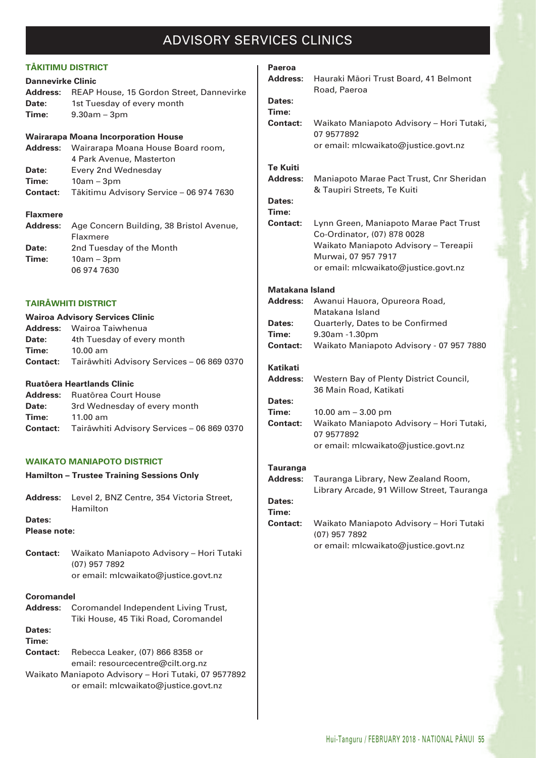# ADVISORY SERVICES CLINICS

## **TÄKITIMU DISTRICT**

#### **Dannevirke Clinic**

|       | <b>Address:</b> REAP House, 15 Gordon Street, Dannevirke |
|-------|----------------------------------------------------------|
| Date: | 1st Tuesday of every month                               |
| Time: | $9.30$ am – $3$ pm                                       |

#### **Wairarapa Moana Incorporation House**

|                 | <b>Address:</b> Wairarapa Moana House Board room, |  |
|-----------------|---------------------------------------------------|--|
|                 | 4 Park Avenue, Masterton                          |  |
| Date:           | Every 2nd Wednesday                               |  |
| Time:           | $10am - 3pm$                                      |  |
| <b>Contact:</b> | Tākitimu Advisory Service - 06 974 7630           |  |

#### **Flaxmere**

|       | <b>Address:</b> Age Concern Building, 38 Bristol Avenue, |
|-------|----------------------------------------------------------|
|       | Flaxmere                                                 |
| Date: | 2nd Tuesday of the Month                                 |
| Time: | $10am - 3pm$                                             |
|       | 06 974 7630                                              |

## **TAIRÄWHITI DISTRICT**

#### **Wairoa Advisory Services Clinic**

|       | <b>Address:</b> Wairoa Taiwhenua                           |
|-------|------------------------------------------------------------|
| Date: | 4th Tuesday of every month                                 |
| Time: | 10.00 am                                                   |
|       | <b>Contact:</b> Tairāwhiti Advisory Services - 06 869 0370 |

#### **Ruatöera Heartlands Clinic**

|       | <b>Address:</b> Ruatorea Court House                       |
|-------|------------------------------------------------------------|
| Date: | 3rd Wednesday of every month                               |
| Time: | 11.00 am                                                   |
|       | <b>Contact:</b> Tairāwhiti Advisory Services – 06 869 0370 |

## **WAIKATO MANIAPOTO DISTRICT**

| WAIKATO MANIAPOTO DISTRICT                                                                   |                                                                                                   |  |  |
|----------------------------------------------------------------------------------------------|---------------------------------------------------------------------------------------------------|--|--|
| <b>Hamilton - Trustee Training Sessions Only</b>                                             |                                                                                                   |  |  |
| Address:                                                                                     | Level 2, BNZ Centre, 354 Victoria Street,<br>Hamilton                                             |  |  |
| Dates:                                                                                       |                                                                                                   |  |  |
| Please note:                                                                                 |                                                                                                   |  |  |
| <b>Contact:</b>                                                                              | Waikato Maniapoto Advisory – Hori Tutaki<br>(07) 957 7892<br>or email: mlcwaikato@justice.govt.nz |  |  |
| Coromandel                                                                                   |                                                                                                   |  |  |
| Address:                                                                                     | Coromandel Independent Living Trust,<br>Tiki House, 45 Tiki Road, Coromandel                      |  |  |
| Dates:<br>Time:                                                                              |                                                                                                   |  |  |
| Contact:                                                                                     | Rebecca Leaker, (07) 866 8358 or<br>email: resourcecentre@cilt.org.nz                             |  |  |
| Waikato Maniapoto Advisory - Hori Tutaki, 07 9577892<br>or email: mlcwaikato@justice.govt.nz |                                                                                                   |  |  |

| Paeroa                   |                                                                         |
|--------------------------|-------------------------------------------------------------------------|
| Address:                 | Hauraki Māori Trust Board, 41 Belmont<br>Road, Paeroa                   |
| Dates:                   |                                                                         |
| Time:                    |                                                                         |
| <b>Contact:</b>          | Waikato Maniapoto Advisory - Hori Tutaki,<br>07 9577892                 |
|                          | or email: mlcwaikato@justice.govt.nz                                    |
| <b>Te Kuiti</b>          |                                                                         |
| <b>Address:</b>          | Maniapoto Marae Pact Trust, Cnr Sheridan<br>& Taupiri Streets, Te Kuiti |
| Dates:                   |                                                                         |
| Time:<br><b>Contact:</b> | Lynn Green, Maniapoto Marae Pact Trust                                  |
|                          | Co-Ordinator, (07) 878 0028                                             |
|                          | Waikato Maniapoto Advisory - Tereapii<br>Murwai, 07 957 7917            |
|                          | or email: mlcwaikato@justice.govt.nz                                    |
| Matakana Island          |                                                                         |
| Address:                 | Awanui Hauora, Opureora Road,                                           |
|                          | Matakana Island                                                         |
| Dates:                   | Quarterly, Dates to be Confirmed                                        |
| Time:                    | 9.30am -1.30pm                                                          |
| <b>Contact:</b>          | Waikato Maniapoto Advisory - 07 957 7880                                |
| Katikati                 |                                                                         |
| <b>Address:</b>          | Western Bay of Plenty District Council,                                 |
|                          | 36 Main Road, Katikati                                                  |
| Dates:                   |                                                                         |
| Time:                    | 10.00 $am - 3.00$ pm                                                    |
| <b>Contact:</b>          | Waikato Maniapoto Advisory - Hori Tutaki,                               |
|                          | 07 9577892                                                              |
|                          | or email: mlcwaikato@justice.govt.nz                                    |
| Tauranga                 |                                                                         |
| Address:                 | Tauranga Library, New Zealand Room,                                     |
|                          | Library Arcade, 91 Willow Street, Tauranga                              |
| <b>Dates:</b>            |                                                                         |
| Time:                    |                                                                         |
| Contact:                 | Waikato Maniapoto Advisory - Hori Tutaki<br>(07) 957 7892               |
|                          | or email: mlcwaikato@justice.govt.nz                                    |
|                          |                                                                         |
|                          |                                                                         |
|                          |                                                                         |
|                          |                                                                         |
|                          |                                                                         |
|                          |                                                                         |
|                          |                                                                         |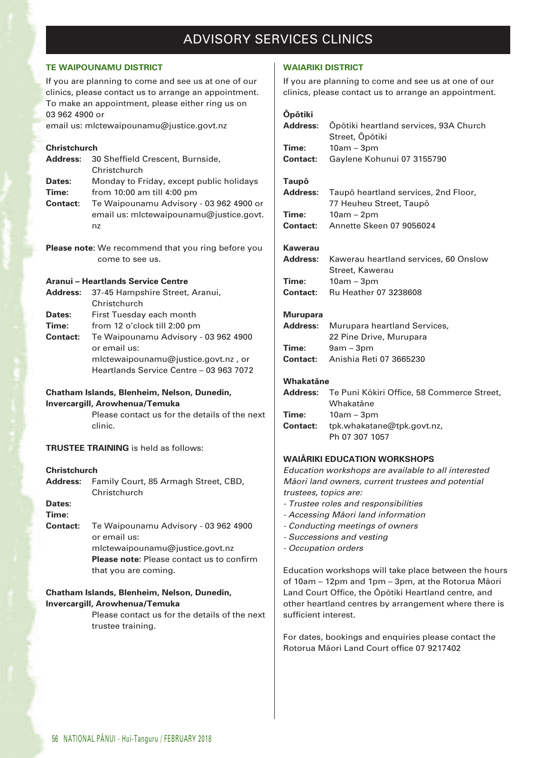## ADVISORY SERVICES CLINICS

#### **TE WAIPOUNAMU DISTRICT**

If you are planning to come and see us at one of our clinics, please contact us to arrange an appointment. To make an appointment, please either ring us on 03 962 4900 or

email us: mlctewaipounamu@justice.govt.nz

#### **Christchurch**

| Address:        | 30 Sheffield Crescent, Burnside,                                                   |  |  |
|-----------------|------------------------------------------------------------------------------------|--|--|
|                 | Christchurch                                                                       |  |  |
| Dates:          | Monday to Friday, except public holidays                                           |  |  |
| Time:           | from $10:00$ am till $4:00$ pm                                                     |  |  |
| <b>Contact:</b> | Te Waipounamu Advisory - 03 962 4900 or<br>email us: mlctewaipounamu@justice.govt. |  |  |
|                 | nz                                                                                 |  |  |
|                 |                                                                                    |  |  |

**Please note:** We recommend that you ring before you come to see us.

#### **Aranui – Heartlands Service Centre**

| <b>Address:</b> | 37-45 Hampshire Street, Aranui,         |  |
|-----------------|-----------------------------------------|--|
|                 | Christchurch                            |  |
| Dates:          | First Tuesday each month                |  |
| Time:           | from 12 o'clock till 2:00 pm            |  |
| Contact:        | Te Waipounamu Advisory - 03 962 4900    |  |
|                 | or email us:                            |  |
|                 | mlctewaipounamu@justice.govt.nz, or     |  |
|                 | Heartlands Service Centre - 03 963 7072 |  |

#### **Chatham Islands, Blenheim, Nelson, Dunedin, Invercargill, Arowhenua/Temuka**

 Please contact us for the details of the next clinic.

#### **TRUSTEE TRAINING** is held as follows:

#### **Christchurch**

**Address:** Family Court, 85 Armagh Street, CBD, Christchurch

#### **Dates: Time:**

**Contact:** Te Waipounamu Advisory - 03 962 4900 or email us: mlctewaipounamu@justice.govt.nz **Please note:** Please contact us to confirm that you are coming.

#### **Chatham Islands, Blenheim, Nelson, Dunedin, Invercargill, Arowhenua/Temuka**

 Please contact us for the details of the next trustee training.

#### **WAIARIKI DISTRICT**

If you are planning to come and see us at one of our clinics, please contact us to arrange an appointment.

| <b>Opotiki</b>  |                                            |
|-----------------|--------------------------------------------|
| <b>Address:</b> | Opōtiki heartland services, 93A Church     |
|                 | Street, Ōpōtiki                            |
| Time:           | $10am - 3pm$                               |
| Contact:        | Gaylene Kohunui 07 3155790                 |
| Taupō           |                                            |
| <b>Address:</b> | Taupō heartland services, 2nd Floor,       |
|                 | 77 Heuheu Street, Taupō                    |
| Time:           | $10am - 2pm$                               |
| <b>Contact:</b> | Annette Skeen 07 9056024                   |
|                 |                                            |
| Kawerau         |                                            |
| <b>Address:</b> | Kawerau heartland services, 60 Onslow      |
|                 | Street, Kawerau                            |
| Time:           | $10am - 3pm$                               |
| Contact:        | Ru Heather 07 3238608                      |
|                 |                                            |
| <b>Murupara</b> |                                            |
| <b>Address:</b> | Murupara heartland Services,               |
|                 | 22 Pine Drive, Murupara                    |
| Time:           | $9am - 3pm$                                |
| Contact:        | Anishia Reti 07 3665230                    |
|                 |                                            |
| Whakatāne       |                                            |
| <b>Address:</b> | Te Puni Kōkiri Office, 58 Commerce Street, |
|                 | Whakatāne                                  |
| Time:           | $10am - 3pm$                               |
| <b>Contact:</b> | tpk.whakatane@tpk.govt.nz,                 |

## Ph 07 307 1057 **WAIÄRIKI EDUCATION WORKSHOPS**

*Education workshops are available to all interested Mäori land owners, current trustees and potential trustees, topics are:*

- *Trustee roles and responsibilities*
- *Accessing Mäori land information*
- *Conducting meetings of owners*
- *Successions and vesting*
- *Occupation orders*

Education workshops will take place between the hours of 10am – 12pm and 1pm – 3pm, at the Rotorua Mäori Land Court Office, the Opotiki Heartland centre, and other heartland centres by arrangement where there is sufficient interest.

For dates, bookings and enquiries please contact the Rotorua Māori Land Court office 07 9217402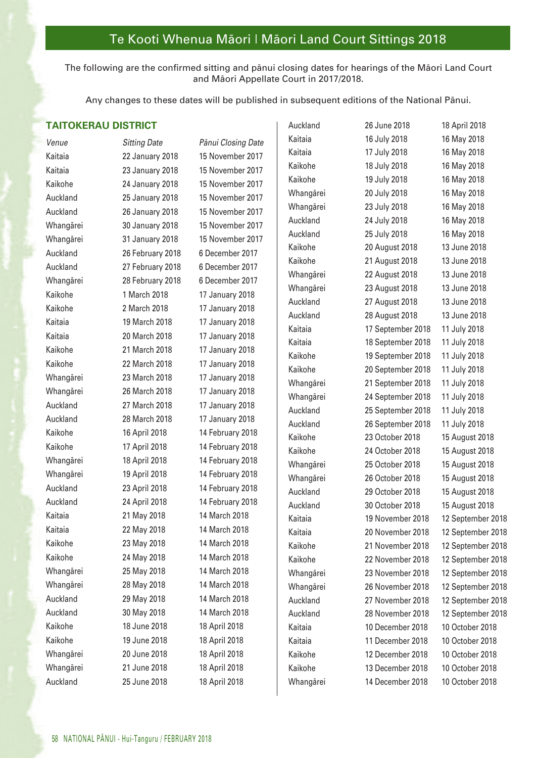The following are the confirmed sitting and panui closing dates for hearings of the Maori Land Court and Mäori Appellate Court in 2017/2018.

Any changes to these dates will be published in subsequent editions of the National Pänui.

#### **TAITOKERAU DISTRICT**

*Venue Sitting Date Pänui Closing Date* Kaitaia 22 January 2018 15 November 2017 Kaitaia 23 January 2018 15 November 2017 Kaikohe 24 January 2018 15 November 2017 Auckland 25 January 2018 15 November 2017 Auckland 26 January 2018 15 November 2017 Whangärei 30 January 2018 15 November 2017 Whangärei 31 January 2018 15 November 2017 Auckland 26 February 2018 6 December 2017 Auckland 27 February 2018 6 December 2017 Whangärei 28 February 2018 6 December 2017 Kaikohe 1 March 2018 17 January 2018 Kaikohe 2018 17 January 2018 Kaitaia 19 March 2018 17 January 2018 Kaitaia 20 March 2018 17 January 2018 Kaikohe 21 March 2018 17 January 2018 Kaikohe 22 March 2018 17 January 2018 Whangārei 23 March 2018 17 January 2018 Whangārei 26 March 2018 17 January 2018 Auckland 27 March 2018 17 January 2018 Auckland 28 March 2018 17 January 2018 Kaikohe 16 April 2018 14 February 2018 Kaikohe 17 April 2018 14 February 2018 Whangārei 18 April 2018 14 February 2018 Whangārei 19 April 2018 14 February 2018 Auckland 23 April 2018 14 February 2018 Auckland 24 April 2018 14 February 2018 Kaitaia 21 May 2018 14 March 2018 Kaitaia 22 May 2018 14 March 2018 Kaikohe 23 May 2018 14 March 2018 Kaikohe 24 May 2018 14 March 2018 Whangärei 25 May 2018 14 March 2018 Whangärei 28 May 2018 14 March 2018 Auckland 29 May 2018 14 March 2018 Auckland 30 May 2018 14 March 2018 Kaikohe 18 June 2018 18 April 2018 Kaikohe 19 June 2018 18 April 2018 Whangärei 20 June 2018 18 April 2018 Whangärei 21 June 2018 18 April 2018 Auckland 25 June 2018 18 April 2018

Auckland 26 June 2018 18 April 2018 Kaitaia 16 July 2018 16 May 2018 Kaitaia 17 July 2018 16 May 2018 Kaikohe 18 July 2018 16 May 2018 Kaikohe 19 July 2018 16 May 2018 Whangärei 20 July 2018 16 May 2018 Whangärei 23 July 2018 16 May 2018 Auckland 24 July 2018 16 May 2018 Auckland 25 July 2018 16 May 2018 Kaikohe 20 August 2018 13 June 2018 Kaikohe 21 August 2018 13 June 2018 Whangärei 22 August 2018 13 June 2018 Whangärei 23 August 2018 13 June 2018 Auckland 27 August 2018 13 June 2018 Auckland 28 August 2018 13 June 2018 Kaitaia 17 September 2018 11 July 2018 Kaitaia 18 September 2018 11 July 2018 Kaikohe 19 September 2018 11 July 2018 Kaikohe 20 September 2018 11 July 2018 Whangärei 21 September 2018 11 July 2018 Whangärei 24 September 2018 11 July 2018 Auckland 25 September 2018 11 July 2018 Auckland 26 September 2018 11 July 2018 Kaikohe 23 October 2018 15 August 2018 Kaikohe 24 October 2018 15 August 2018 Whangärei 25 October 2018 15 August 2018 Whangärei 26 October 2018 15 August 2018 Auckland 29 October 2018 15 August 2018 Auckland 30 October 2018 15 August 2018 Kaitaia 19 November 2018 12 September 2018 Kaitaia 20 November 2018 12 September 2018 Kaikohe 21 November 2018 12 September 2018 Kaikohe 22 November 2018 12 September 2018 Whangärei 23 November 2018 12 September 2018 Whangärei 26 November 2018 12 September 2018 Auckland 27 November 2018 12 September 2018 Auckland 28 November 2018 12 September 2018 Kaitaia 10 December 2018 10 October 2018 Kaitaia 11 December 2018 10 October 2018 Kaikohe 12 December 2018 10 October 2018 Kaikohe 13 December 2018 10 October 2018 Whangärei 14 December 2018 10 October 2018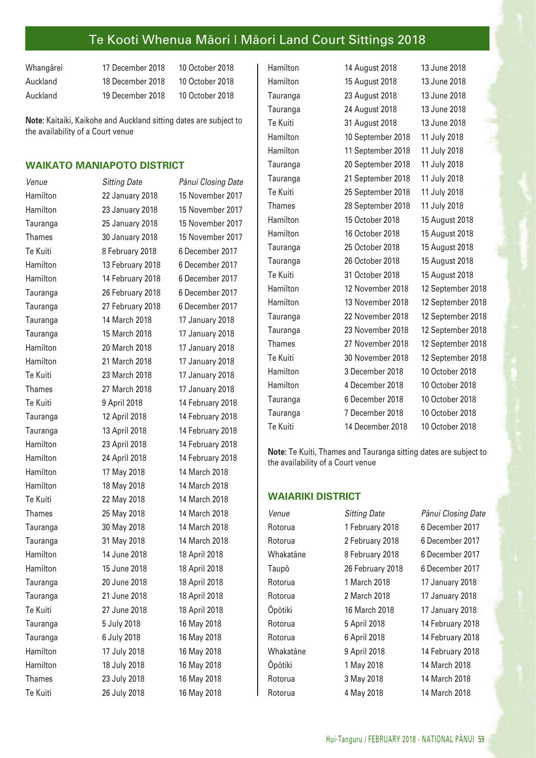| Whangārei | 17 December 2018 | 10 October 2018 |
|-----------|------------------|-----------------|
| Auckland  | 18 December 2018 | 10 October 2018 |
| Auckland  | 19 December 2018 | 10 October 2018 |

**Note:** Kaitaiki, Kaikohe and Auckland sitting dates are subject to the availability of a Court venue

## **WAIKATO MANIAPOTO DISTRICT**

| Venue         | <b>Sitting Date</b> | Pānui Closing Date |
|---------------|---------------------|--------------------|
| Hamilton      | 22 January 2018     | 15 November 2017   |
| Hamilton      | 23 January 2018     | 15 November 2017   |
| Tauranga      | 25 January 2018     | 15 November 2017   |
| <b>Thames</b> | 30 January 2018     | 15 November 2017   |
| Te Kuiti      | 8 February 2018     | 6 December 2017    |
| Hamilton      | 13 February 2018    | 6 December 2017    |
| Hamilton      | 14 February 2018    | 6 December 2017    |
| Tauranga      | 26 February 2018    | 6 December 2017    |
| Tauranga      | 27 February 2018    | 6 December 2017    |
| Tauranga      | 14 March 2018       | 17 January 2018    |
| Tauranga      | 15 March 2018       | 17 January 2018    |
| Hamilton      | 20 March 2018       | 17 January 2018    |
| Hamilton      | 21 March 2018       | 17 January 2018    |
| Te Kuiti      | 23 March 2018       | 17 January 2018    |
| <b>Thames</b> | 27 March 2018       | 17 January 2018    |
| Te Kuiti      | 9 April 2018        | 14 February 2018   |
| Tauranga      | 12 April 2018       | 14 February 2018   |
| Tauranga      | 13 April 2018       | 14 February 2018   |
| Hamilton      | 23 April 2018       | 14 February 2018   |
| Hamilton      | 24 April 2018       | 14 February 2018   |
| Hamilton      | 17 May 2018         | 14 March 2018      |
| Hamilton      | 18 May 2018         | 14 March 2018      |
| Te Kuiti      | 22 May 2018         | 14 March 2018      |
| <b>Thames</b> | 25 May 2018         | 14 March 2018      |
| Tauranga      | 30 May 2018         | 14 March 2018      |
| Tauranga      | 31 May 2018         | 14 March 2018      |
| Hamilton      | 14 June 2018        | 18 April 2018      |
| Hamilton      | 15 June 2018        | 18 April 2018      |
| Tauranga      | 20 June 2018        | 18 April 2018      |
| Tauranga      | 21 June 2018        | 18 April 2018      |
| Te Kuiti      | 27 June 2018        | 18 April 2018      |
| Tauranga      | 5 July 2018         | 16 May 2018        |
| Tauranga      | 6 July 2018         | 16 May 2018        |
| Hamilton      | 17 July 2018        | 16 May 2018        |
| Hamilton      | 18 July 2018        | 16 May 2018        |
| <b>Thames</b> | 23 July 2018        | 16 May 2018        |
| Te Kuiti      | 26 July 2018        | 16 May 2018        |

| Hamilton | 14 August 2018    | 13 June 2018      |
|----------|-------------------|-------------------|
| Hamilton | 15 August 2018    | 13 June 2018      |
| Tauranga | 23 August 2018    | 13 June 2018      |
| Tauranga | 24 August 2018    | 13 June 2018      |
| Te Kuiti | 31 August 2018    | 13 June 2018      |
| Hamilton | 10 September 2018 | 11 July 2018      |
| Hamilton | 11 September 2018 | 11 July 2018      |
| Tauranga | 20 September 2018 | 11 July 2018      |
| Tauranga | 21 September 2018 | 11 July 2018      |
| Te Kuiti | 25 September 2018 | 11 July 2018      |
| Thames   | 28 September 2018 | 11 July 2018      |
| Hamilton | 15 October 2018   | 15 August 2018    |
| Hamilton | 16 October 2018   | 15 August 2018    |
| Tauranga | 25 October 2018   | 15 August 2018    |
| Tauranga | 26 October 2018   | 15 August 2018    |
| Te Kuiti | 31 October 2018   | 15 August 2018    |
| Hamilton | 12 November 2018  | 12 September 2018 |
| Hamilton | 13 November 2018  | 12 September 2018 |
| Tauranga | 22 November 2018  | 12 September 2018 |
| Tauranga | 23 November 2018  | 12 September 2018 |
| Thames   | 27 November 2018  | 12 September 2018 |
| Te Kuiti | 30 November 2018  | 12 September 2018 |
| Hamilton | 3 December 2018   | 10 October 2018   |
| Hamilton | 4 December 2018   | 10 October 2018   |
| Tauranga | 6 December 2018   | 10 October 2018   |
| Tauranga | 7 December 2018   | 10 October 2018   |
| Te Kuiti | 14 December 2018  | 10 October 2018   |

**Note:** Te Kuiti, Thames and Tauranga sitting dates are subject to the availability of a Court venue

### **WAIARIKI DISTRICT**

| Venue          | <b>Sitting Date</b> | Pānui Closing Date |
|----------------|---------------------|--------------------|
| Rotorua        | 1 February 2018     | 6 December 2017    |
| Rotorua        | 2 February 2018     | 6 December 2017    |
| Whakatāne      | 8 February 2018     | 6 December 2017    |
| Taupō          | 26 February 2018    | 6 December 2017    |
| Rotorua        | 1 March 2018        | 17 January 2018    |
| Rotorua        | 2 March 2018        | 17 January 2018    |
| <b>Opotiki</b> | 16 March 2018       | 17 January 2018    |
| Rotorua        | 5 April 2018        | 14 February 2018   |
| Rotorua        | 6 April 2018        | 14 February 2018   |
| Whakatāne      | 9 April 2018        | 14 February 2018   |
| <b>Opotiki</b> | 1 May 2018          | 14 March 2018      |
| Rotorua        | 3 May 2018          | 14 March 2018      |
| Rotorua        | 4 May 2018          | 14 March 2018      |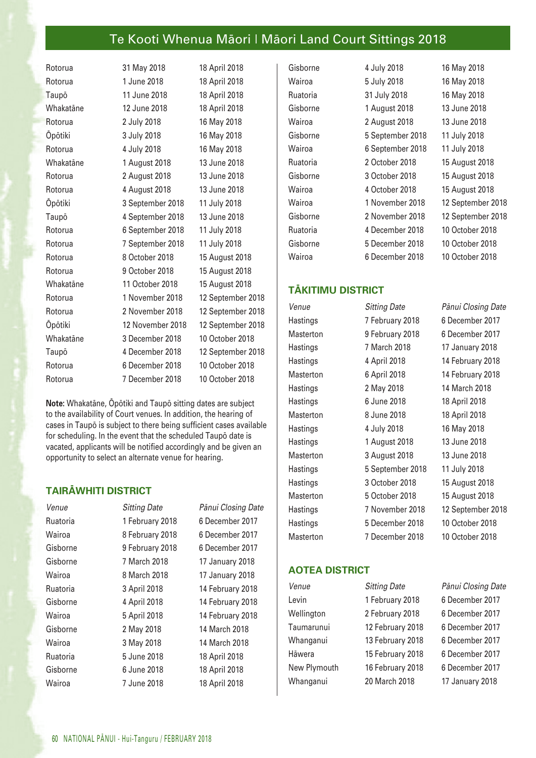| Rotorua        | 31 May 2018      | 18 April 2018     |
|----------------|------------------|-------------------|
| Rotorua        | 1 June 2018      | 18 April 2018     |
| Taupō          | 11 June 2018     | 18 April 2018     |
| Whakatāne      | 12 June 2018     | 18 April 2018     |
| Rotorua        | 2 July 2018      | 16 May 2018       |
| <b>Opotiki</b> | 3 July 2018      | 16 May 2018       |
| Rotorua        | 4 July 2018      | 16 May 2018       |
| Whakatāne      | 1 August 2018    | 13 June 2018      |
| Rotorua        | 2 August 2018    | 13 June 2018      |
| Rotorua        | 4 August 2018    | 13 June 2018      |
| Ōpōtiki        | 3 September 2018 | 11 July 2018      |
| Taupō          | 4 September 2018 | 13 June 2018      |
| Rotorua        | 6 September 2018 | 11 July 2018      |
| Rotorua        | 7 September 2018 | 11 July 2018      |
| Rotorua        | 8 October 2018   | 15 August 2018    |
| Rotorua        | 9 October 2018   | 15 August 2018    |
| Whakatāne      | 11 October 2018  | 15 August 2018    |
| Rotorua        | 1 November 2018  | 12 September 2018 |
| Rotorua        | 2 November 2018  | 12 September 2018 |
| <b>Opotiki</b> | 12 November 2018 | 12 September 2018 |
| Whakatāne      | 3 December 2018  | 10 October 2018   |
| Taupō          | 4 December 2018  | 12 September 2018 |
| Rotorua        | 6 December 2018  | 10 October 2018   |
| Rotorua        | 7 December 2018  | 10 October 2018   |
|                |                  |                   |

**Note:** Whakatäne, Öpötiki and Taupö sitting dates are subject to the availability of Court venues. In addition, the hearing of cases in Taupō is subject to there being sufficient cases available for scheduling. In the event that the scheduled Taupö date is vacated, applicants will be notified accordingly and be given an opportunity to select an alternate venue for hearing.

## **TAIRÄWHITI DISTRICT**

| Venue    | <b>Sitting Date</b> | Pānui Closing Date |
|----------|---------------------|--------------------|
| Ruatoria | 1 February 2018     | 6 December 2017    |
| Wairoa   | 8 February 2018     | 6 December 2017    |
| Gisborne | 9 February 2018     | 6 December 2017    |
| Gisborne | 7 March 2018        | 17 January 2018    |
| Wairoa   | 8 March 2018        | 17 January 2018    |
| Ruatoria | 3 April 2018        | 14 February 2018   |
| Gisborne | 4 April 2018        | 14 February 2018   |
| Wairoa   | 5 April 2018        | 14 February 2018   |
| Gisborne | 2 May 2018          | 14 March 2018      |
| Wairoa   | 3 May 2018          | 14 March 2018      |
| Ruatoria | 5 June 2018         | 18 April 2018      |
| Gisborne | 6 June 2018         | 18 April 2018      |
| Wairoa   | 7 June 2018         | 18 April 2018      |

| Gisborne | 4 July 2018      | 16 May 2018  |
|----------|------------------|--------------|
| Wairoa   | 5 July 2018      | 16 May 2018  |
| Ruatoria | 31 July 2018     | 16 May 2018  |
| Gisborne | 1 August 2018    | 13 June 2018 |
| Wairoa   | 2 August 2018    | 13 June 2018 |
| Gisborne | 5 September 2018 | 11 July 2018 |
| Wairoa   | 6 September 2018 | 11 July 2018 |
| Ruatoria | 2 October 2018   | 15 August 20 |
| Gisborne | 3 October 2018   | 15 August 20 |
| Wairoa   | 4 October 2018   | 15 August 20 |
| Wairoa   | 1 November 2018  | 12 Septembe  |
| Gisborne | 2 November 2018  | 12 Septembe  |
| Ruatoria | 4 December 2018  | 10 October 2 |
| Gisborne | 5 December 2018  | 10 October 2 |
| Wairoa   | 6 December 2018  | 10 October 2 |

# **TÄKITIMU DISTRICT**

*Venue Sitting Date Pänui Closing Date*

Hastings 7 February 2018 6 December 2017 Masterton 9 February 2018 6 December 2017 Hastings 7 March 2018 17 January 2018 Hastings 4 April 2018 14 February 2018 Masterton 6 April 2018 14 February 2018 Hastings 2 May 2018 14 March 2018 Hastings 6 June 2018 18 April 2018 Masterton 8 June 2018 18 April 2018 Hastings 4 July 2018 16 May 2018 Hastings 1 August 2018 13 June 2018 Masterton 3 August 2018 13 June 2018 Hastings 5 September 2018 11 July 2018 Hastings 3 October 2018 15 August 2018 Masterton 5 October 2018 15 August 2018 Hastings 5 December 2018 10 October 2018 Masterton 7 December 2018 10 October 2018

# Hastings 7 November 2018 12 September 2018

## **AOTEA DISTRICT**

Wellington 2 February 2018 6 December 2017 Taumarunui 12 February 2018 6 December 2017 Whanganui 13 February 2018 6 December 2017 Häwera 15 February 2018 6 December 2017 New Plymouth 16 February 2018 6 December 2017 Whanganui 20 March 2018 17 January 2018

*Venue Sitting Date Pänui Closing Date* Levin 1 February 2018 6 December 2017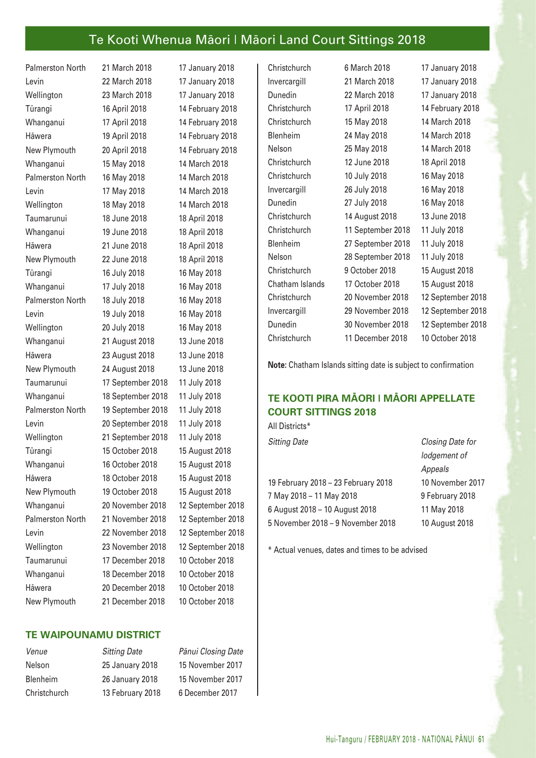| <b>Palmerston North</b> | 21 March 2018     | 17 January 2018   | Christchurch                                                                                      | 6 March 2018                                                  | 17 January 2018   |
|-------------------------|-------------------|-------------------|---------------------------------------------------------------------------------------------------|---------------------------------------------------------------|-------------------|
| Levin                   | 22 March 2018     | 17 January 2018   | Invercargill                                                                                      | 21 March 2018                                                 | 17 January 2018   |
| Wellington              | 23 March 2018     | 17 January 2018   | Dunedin                                                                                           | 22 March 2018                                                 | 17 January 2018   |
| Tūrangi                 | 16 April 2018     | 14 February 2018  | Christchurch                                                                                      | 17 April 2018                                                 | 14 February 2018  |
| Whanganui               | 17 April 2018     | 14 February 2018  | Christchurch                                                                                      | 15 May 2018                                                   | 14 March 2018     |
| Hāwera                  | 19 April 2018     | 14 February 2018  | Blenheim                                                                                          | 24 May 2018                                                   | 14 March 2018     |
| New Plymouth            | 20 April 2018     | 14 February 2018  | Nelson                                                                                            | 25 May 2018                                                   | 14 March 2018     |
| Whanganui               | 15 May 2018       | 14 March 2018     | Christchurch                                                                                      | 12 June 2018                                                  | 18 April 2018     |
| <b>Palmerston North</b> | 16 May 2018       | 14 March 2018     | Christchurch                                                                                      | 10 July 2018                                                  | 16 May 2018       |
| Levin                   | 17 May 2018       | 14 March 2018     | Invercargill                                                                                      | 26 July 2018                                                  | 16 May 2018       |
| Wellington              | 18 May 2018       | 14 March 2018     | Dunedin                                                                                           | 27 July 2018                                                  | 16 May 2018       |
| Taumarunui              | 18 June 2018      | 18 April 2018     | Christchurch                                                                                      | 14 August 2018                                                | 13 June 2018      |
| Whanganui               | 19 June 2018      | 18 April 2018     | Christchurch                                                                                      | 11 September 2018                                             | 11 July 2018      |
| Hāwera                  | 21 June 2018      | 18 April 2018     | Blenheim                                                                                          | 27 September 2018                                             | 11 July 2018      |
| New Plymouth            | 22 June 2018      | 18 April 2018     | Nelson                                                                                            | 28 September 2018                                             | 11 July 2018      |
| Tūrangi                 | 16 July 2018      | 16 May 2018       | Christchurch                                                                                      | 9 October 2018                                                | 15 August 2018    |
| Whanganui               | 17 July 2018      | 16 May 2018       | Chatham Islands                                                                                   | 17 October 2018                                               | 15 August 2018    |
| <b>Palmerston North</b> | 18 July 2018      | 16 May 2018       | Christchurch                                                                                      | 20 November 2018                                              | 12 September 2018 |
| Levin                   | 19 July 2018      | 16 May 2018       | Invercargill                                                                                      | 29 November 2018                                              | 12 September 2018 |
| Wellington              | 20 July 2018      | 16 May 2018       | Dunedin                                                                                           | 30 November 2018                                              | 12 September 2018 |
| Whanganui               | 21 August 2018    | 13 June 2018      | Christchurch                                                                                      | 11 December 2018                                              | 10 October 2018   |
| Hāwera                  | 23 August 2018    | 13 June 2018      |                                                                                                   |                                                               |                   |
| New Plymouth            | 24 August 2018    | 13 June 2018      |                                                                                                   | Note: Chatham Islands sitting date is subject to confirmation |                   |
| Taumarunui              | 17 September 2018 | 11 July 2018      |                                                                                                   |                                                               |                   |
| Whanganui               | 18 September 2018 | 11 July 2018      |                                                                                                   | TE KOOTI PIRA MÄORI I MÄORI APPELLATE                         |                   |
| <b>Palmerston North</b> | 19 September 2018 | 11 July 2018      | <b>COURT SITTINGS 2018</b>                                                                        |                                                               |                   |
| Levin                   | 20 September 2018 | 11 July 2018      | All Districts*                                                                                    |                                                               |                   |
| Wellington              | 21 September 2018 | 11 July 2018      | <b>Sitting Date</b>                                                                               |                                                               | Closing Date for  |
| Tūrangi                 | 15 October 2018   | 15 August 2018    |                                                                                                   |                                                               | lodgement of      |
| Whanganui               | 16 October 2018   | 15 August 2018    |                                                                                                   |                                                               | Appeals           |
| Hāwera                  | 18 October 2018   | 15 August 2018    |                                                                                                   |                                                               | 10 November 2017  |
| New Plymouth            | 19 October 2018   | 15 August 2018    | 19 February 2018 - 23 February 2018<br>7 May 2018 - 11 May 2018<br>6 August 2018 - 10 August 2018 |                                                               | 9 February 2018   |
| Whanganui               | 20 November 2018  | 12 September 2018 |                                                                                                   |                                                               | 11 May 2018       |
| <b>Palmerston North</b> | 21 November 2018  | 12 September 2018 | 5 November 2018 - 9 November 2018                                                                 |                                                               | 10 August 2018    |
| Levin                   | 22 November 2018  | 12 September 2018 |                                                                                                   |                                                               |                   |
| Wellington              | 23 November 2018  | 12 September 2018 |                                                                                                   | * Actual venues, dates and times to be advised                |                   |
| Taumarunui              | 17 December 2018  | 10 October 2018   |                                                                                                   |                                                               |                   |
| Whanganui               | 18 December 2018  | 10 October 2018   |                                                                                                   |                                                               |                   |
| Hāwera                  | 20 December 2018  | 10 October 2018   |                                                                                                   |                                                               |                   |

## **TE WAIPOUNAMU DISTRICT**

| Venue           | <b>Sitting Date</b> | Pānui Closing Date |
|-----------------|---------------------|--------------------|
| Nelson          | 25 January 2018     | 15 November 2017   |
| <b>Blenheim</b> | 26 January 2018     | 15 November 2017   |
| Christchurch    | 13 February 2018    | 6 December 2017    |

New Plymouth 21 December 2018 10 October 2018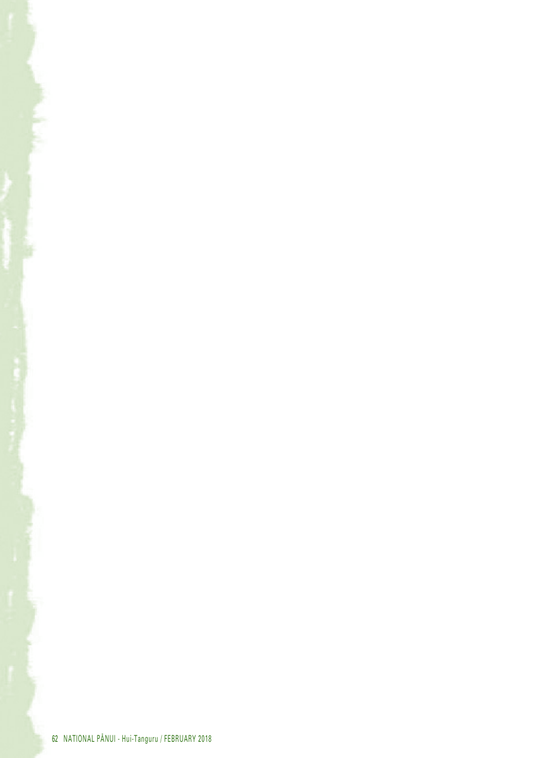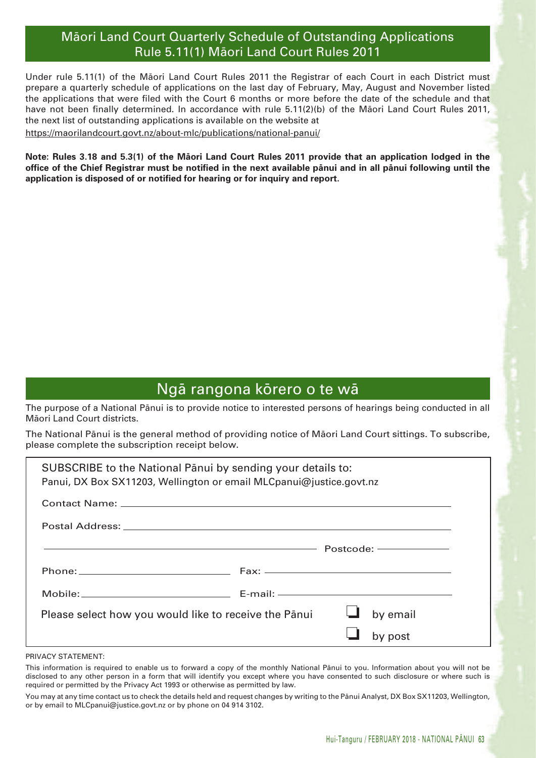## Mäori Land Court Quarterly Schedule of Outstanding Applications Rule 5.11(1) Mäori Land Court Rules 2011

Under rule 5.11(1) of the Mäori Land Court Rules 2011 the Registrar of each Court in each District must prepare a quarterly schedule of applications on the last day of February, May, August and November listed the applications that were filed with the Court 6 months or more before the date of the schedule and that have not been finally determined. In accordance with rule 5.11(2)(b) of the Māori Land Court Rules 2011, the next list of outstanding applications is available on the website at

https://maorilandcourt.govt.nz/about-mlc/publications/national-panui/

**Note: Rules 3.18 and 5.3(1) of the Mäori Land Court Rules 2011 provide that an application lodged in the**  office of the Chief Registrar must be notified in the next available pānui and in all pānui following until the application is disposed of or notified for hearing or for inquiry and report.

## Ngä rangona körero o te wä

The purpose of a National Pänui is to provide notice to interested persons of hearings being conducted in all Mäori Land Court districts.

The National Pänui is the general method of providing notice of Mäori Land Court sittings. To subscribe, please complete the subscription receipt below.

| SUBSCRIBE to the National Pānui by sending your details to:<br>Panui, DX Box SX11203, Wellington or email MLCpanui@justice.govt.nz |        |          |
|------------------------------------------------------------------------------------------------------------------------------------|--------|----------|
|                                                                                                                                    |        |          |
|                                                                                                                                    |        |          |
|                                                                                                                                    |        |          |
|                                                                                                                                    |        |          |
|                                                                                                                                    |        |          |
| Please select how you would like to receive the Pānui                                                                              | $\Box$ | by email |
|                                                                                                                                    |        | by post  |

PRIVACY STATEMENT:

This information is required to enable us to forward a copy of the monthly National Pänui to you. Information about you will not be disclosed to any other person in a form that will identify you except where you have consented to such disclosure or where such is required or permitted by the Privacy Act 1993 or otherwise as permitted by law.

You may at any time contact us to check the details held and request changes by writing to the Pänui Analyst, DX Box SX11203, Wellington, or by email to MLCpanui@justice.govt.nz or by phone on 04 914 3102.